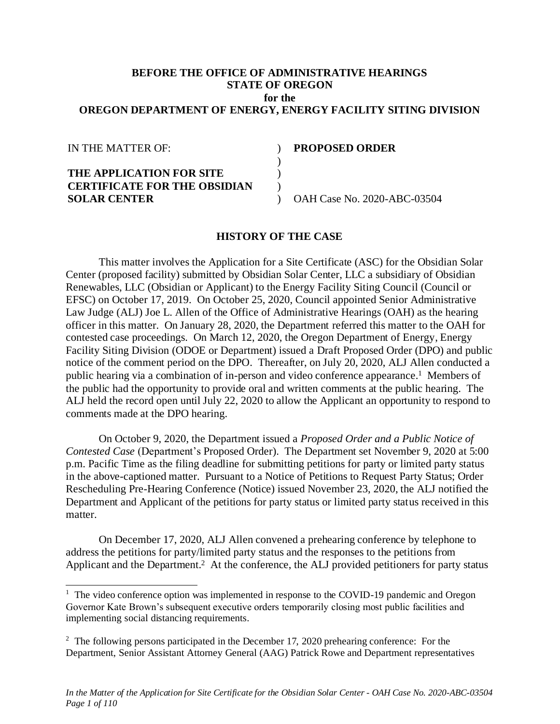### **BEFORE THE OFFICE OF ADMINISTRATIVE HEARINGS STATE OF OREGON for the OREGON DEPARTMENT OF ENERGY, ENERGY FACILITY SITING DIVISION**

| <b>PROPOSED ORDER</b>       |
|-----------------------------|
|                             |
|                             |
|                             |
| OAH Case No. 2020-ABC-03504 |
|                             |

## **HISTORY OF THE CASE**

This matter involves the Application for a Site Certificate (ASC) for the Obsidian Solar Center (proposed facility) submitted by Obsidian Solar Center, LLC a subsidiary of Obsidian Renewables, LLC (Obsidian or Applicant) to the Energy Facility Siting Council (Council or EFSC) on October 17, 2019. On October 25, 2020, Council appointed Senior Administrative Law Judge (ALJ) Joe L. Allen of the Office of Administrative Hearings (OAH) as the hearing officer in this matter. On January 28, 2020, the Department referred this matter to the OAH for contested case proceedings. On March 12, 2020, the Oregon Department of Energy, Energy Facility Siting Division (ODOE or Department) issued a Draft Proposed Order (DPO) and public notice of the comment period on the DPO. Thereafter, on July 20, 2020, ALJ Allen conducted a public hearing via a combination of in-person and video conference appearance.<sup>1</sup> Members of the public had the opportunity to provide oral and written comments at the public hearing. The ALJ held the record open until July 22, 2020 to allow the Applicant an opportunity to respond to comments made at the DPO hearing.

On October 9, 2020, the Department issued a *Proposed Order and a Public Notice of Contested Case* (Department's Proposed Order). The Department set November 9, 2020 at 5:00 p.m. Pacific Time as the filing deadline for submitting petitions for party or limited party status in the above-captioned matter. Pursuant to a Notice of Petitions to Request Party Status; Order Rescheduling Pre-Hearing Conference (Notice) issued November 23, 2020, the ALJ notified the Department and Applicant of the petitions for party status or limited party status received in this matter.

On December 17, 2020, ALJ Allen convened a prehearing conference by telephone to address the petitions for party/limited party status and the responses to the petitions from Applicant and the Department.<sup>2</sup> At the conference, the ALJ provided petitioners for party status

<sup>&</sup>lt;sup>1</sup> The video conference option was implemented in response to the COVID-19 pandemic and Oregon Governor Kate Brown's subsequent executive orders temporarily closing most public facilities and implementing social distancing requirements.

 $2$  The following persons participated in the December 17, 2020 prehearing conference: For the Department, Senior Assistant Attorney General (AAG) Patrick Rowe and Department representatives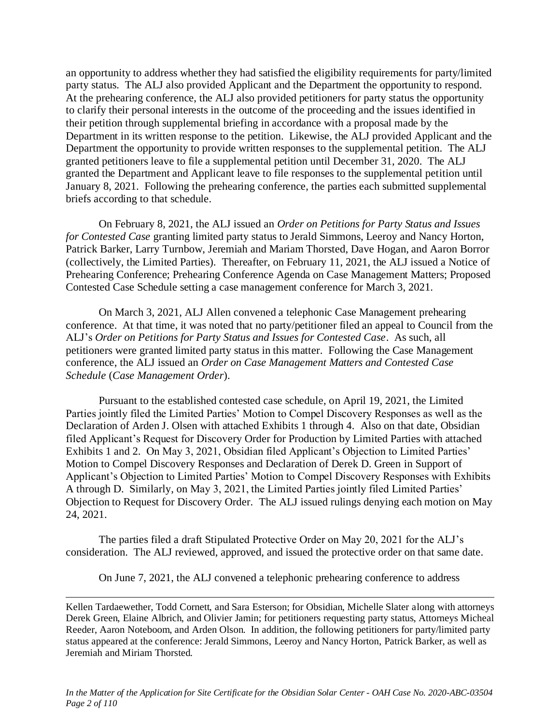an opportunity to address whether they had satisfied the eligibility requirements for party/limited party status. The ALJ also provided Applicant and the Department the opportunity to respond. At the prehearing conference, the ALJ also provided petitioners for party status the opportunity to clarify their personal interests in the outcome of the proceeding and the issues identified in their petition through supplemental briefing in accordance with a proposal made by the Department in its written response to the petition. Likewise, the ALJ provided Applicant and the Department the opportunity to provide written responses to the supplemental petition. The ALJ granted petitioners leave to file a supplemental petition until December 31, 2020. The ALJ granted the Department and Applicant leave to file responses to the supplemental petition until January 8, 2021. Following the prehearing conference, the parties each submitted supplemental briefs according to that schedule.

On February 8, 2021, the ALJ issued an *Order on Petitions for Party Status and Issues for Contested Case* granting limited party status to Jerald Simmons, Leeroy and Nancy Horton, Patrick Barker, Larry Turnbow, Jeremiah and Mariam Thorsted, Dave Hogan, and Aaron Borror (collectively, the Limited Parties). Thereafter, on February 11, 2021, the ALJ issued a Notice of Prehearing Conference; Prehearing Conference Agenda on Case Management Matters; Proposed Contested Case Schedule setting a case management conference for March 3, 2021.

On March 3, 2021, ALJ Allen convened a telephonic Case Management prehearing conference. At that time, it was noted that no party/petitioner filed an appeal to Council from the ALJ's *Order on Petitions for Party Status and Issues for Contested Case*. As such, all petitioners were granted limited party status in this matter. Following the Case Management conference, the ALJ issued an *Order on Case Management Matters and Contested Case Schedule* (*Case Management Order*).

Pursuant to the established contested case schedule, on April 19, 2021, the Limited Parties jointly filed the Limited Parties' Motion to Compel Discovery Responses as well as the Declaration of Arden J. Olsen with attached Exhibits 1 through 4. Also on that date, Obsidian filed Applicant's Request for Discovery Order for Production by Limited Parties with attached Exhibits 1 and 2. On May 3, 2021, Obsidian filed Applicant's Objection to Limited Parties' Motion to Compel Discovery Responses and Declaration of Derek D. Green in Support of Applicant's Objection to Limited Parties' Motion to Compel Discovery Responses with Exhibits A through D. Similarly, on May 3, 2021, the Limited Parties jointly filed Limited Parties' Objection to Request for Discovery Order. The ALJ issued rulings denying each motion on May 24, 2021.

The parties filed a draft Stipulated Protective Order on May 20, 2021 for the ALJ's consideration. The ALJ reviewed, approved, and issued the protective order on that same date.

On June 7, 2021, the ALJ convened a telephonic prehearing conference to address

Kellen Tardaewether, Todd Cornett, and Sara Esterson; for Obsidian, Michelle Slater along with attorneys Derek Green, Elaine Albrich, and Olivier Jamin; for petitioners requesting party status, Attorneys Micheal Reeder, Aaron Noteboom, and Arden Olson. In addition, the following petitioners for party/limited party status appeared at the conference: Jerald Simmons, Leeroy and Nancy Horton, Patrick Barker, as well as Jeremiah and Miriam Thorsted.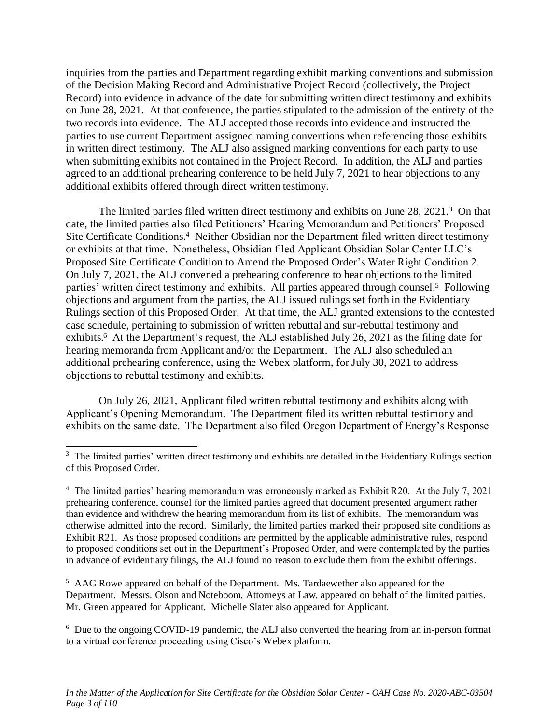inquiries from the parties and Department regarding exhibit marking conventions and submission of the Decision Making Record and Administrative Project Record (collectively, the Project Record) into evidence in advance of the date for submitting written direct testimony and exhibits on June 28, 2021. At that conference, the parties stipulated to the admission of the entirety of the two records into evidence. The ALJ accepted those records into evidence and instructed the parties to use current Department assigned naming conventions when referencing those exhibits in written direct testimony. The ALJ also assigned marking conventions for each party to use when submitting exhibits not contained in the Project Record. In addition, the ALJ and parties agreed to an additional prehearing conference to be held July 7, 2021 to hear objections to any additional exhibits offered through direct written testimony.

The limited parties filed written direct testimony and exhibits on June 28, 2021.<sup>3</sup> On that date, the limited parties also filed Petitioners' Hearing Memorandum and Petitioners' Proposed Site Certificate Conditions.<sup>4</sup> Neither Obsidian nor the Department filed written direct testimony or exhibits at that time. Nonetheless, Obsidian filed Applicant Obsidian Solar Center LLC's Proposed Site Certificate Condition to Amend the Proposed Order's Water Right Condition 2. On July 7, 2021, the ALJ convened a prehearing conference to hear objections to the limited parties' written direct testimony and exhibits. All parties appeared through counsel.<sup>5</sup> Following objections and argument from the parties, the ALJ issued rulings set forth in the Evidentiary Rulings section of this Proposed Order. At that time, the ALJ granted extensions to the contested case schedule, pertaining to submission of written rebuttal and sur-rebuttal testimony and exhibits.<sup>6</sup> At the Department's request, the ALJ established July 26, 2021 as the filing date for hearing memoranda from Applicant and/or the Department. The ALJ also scheduled an additional prehearing conference, using the Webex platform, for July 30, 2021 to address objections to rebuttal testimony and exhibits.

On July 26, 2021, Applicant filed written rebuttal testimony and exhibits along with Applicant's Opening Memorandum. The Department filed its written rebuttal testimony and exhibits on the same date. The Department also filed Oregon Department of Energy's Response

<sup>5</sup> AAG Rowe appeared on behalf of the Department. Ms. Tardaewether also appeared for the Department. Messrs. Olson and Noteboom, Attorneys at Law, appeared on behalf of the limited parties. Mr. Green appeared for Applicant. Michelle Slater also appeared for Applicant.

<sup>6</sup> Due to the ongoing COVID-19 pandemic, the ALJ also converted the hearing from an in-person format to a virtual conference proceeding using Cisco's Webex platform.

<sup>&</sup>lt;sup>3</sup> The limited parties' written direct testimony and exhibits are detailed in the Evidentiary Rulings section of this Proposed Order.

<sup>&</sup>lt;sup>4</sup> The limited parties' hearing memorandum was erroneously marked as Exhibit R20. At the July 7, 2021 prehearing conference, counsel for the limited parties agreed that document presented argument rather than evidence and withdrew the hearing memorandum from its list of exhibits. The memorandum was otherwise admitted into the record. Similarly, the limited parties marked their proposed site conditions as Exhibit R21. As those proposed conditions are permitted by the applicable administrative rules, respond to proposed conditions set out in the Department's Proposed Order, and were contemplated by the parties in advance of evidentiary filings, the ALJ found no reason to exclude them from the exhibit offerings.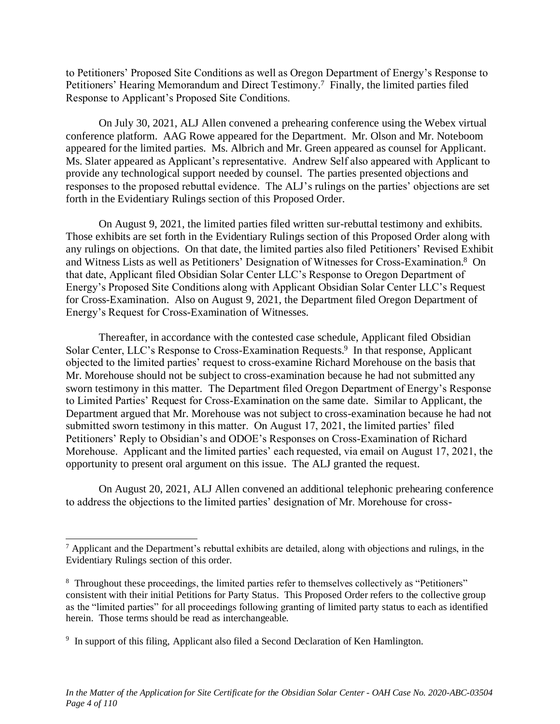to Petitioners' Proposed Site Conditions as well as Oregon Department of Energy's Response to Petitioners' Hearing Memorandum and Direct Testimony.<sup>7</sup> Finally, the limited parties filed Response to Applicant's Proposed Site Conditions.

On July 30, 2021, ALJ Allen convened a prehearing conference using the Webex virtual conference platform. AAG Rowe appeared for the Department. Mr. Olson and Mr. Noteboom appeared for the limited parties. Ms. Albrich and Mr. Green appeared as counsel for Applicant. Ms. Slater appeared as Applicant's representative. Andrew Self also appeared with Applicant to provide any technological support needed by counsel. The parties presented objections and responses to the proposed rebuttal evidence. The ALJ's rulings on the parties' objections are set forth in the Evidentiary Rulings section of this Proposed Order.

On August 9, 2021, the limited parties filed written sur-rebuttal testimony and exhibits. Those exhibits are set forth in the Evidentiary Rulings section of this Proposed Order along with any rulings on objections. On that date, the limited parties also filed Petitioners' Revised Exhibit and Witness Lists as well as Petitioners' Designation of Witnesses for Cross-Examination.<sup>8</sup> On that date, Applicant filed Obsidian Solar Center LLC's Response to Oregon Department of Energy's Proposed Site Conditions along with Applicant Obsidian Solar Center LLC's Request for Cross-Examination. Also on August 9, 2021, the Department filed Oregon Department of Energy's Request for Cross-Examination of Witnesses.

Thereafter, in accordance with the contested case schedule, Applicant filed Obsidian Solar Center, LLC's Response to Cross-Examination Requests.<sup>9</sup> In that response, Applicant objected to the limited parties' request to cross-examine Richard Morehouse on the basis that Mr. Morehouse should not be subject to cross-examination because he had not submitted any sworn testimony in this matter. The Department filed Oregon Department of Energy's Response to Limited Parties' Request for Cross-Examination on the same date. Similar to Applicant, the Department argued that Mr. Morehouse was not subject to cross-examination because he had not submitted sworn testimony in this matter. On August 17, 2021, the limited parties' filed Petitioners' Reply to Obsidian's and ODOE's Responses on Cross-Examination of Richard Morehouse. Applicant and the limited parties' each requested, via email on August 17, 2021, the opportunity to present oral argument on this issue. The ALJ granted the request.

On August 20, 2021, ALJ Allen convened an additional telephonic prehearing conference to address the objections to the limited parties' designation of Mr. Morehouse for cross-

<sup>7</sup> Applicant and the Department's rebuttal exhibits are detailed, along with objections and rulings, in the Evidentiary Rulings section of this order.

<sup>&</sup>lt;sup>8</sup> Throughout these proceedings, the limited parties refer to themselves collectively as "Petitioners" consistent with their initial Petitions for Party Status. This Proposed Order refers to the collective group as the "limited parties" for all proceedings following granting of limited party status to each as identified herein. Those terms should be read as interchangeable.

<sup>&</sup>lt;sup>9</sup> In support of this filing, Applicant also filed a Second Declaration of Ken Hamlington.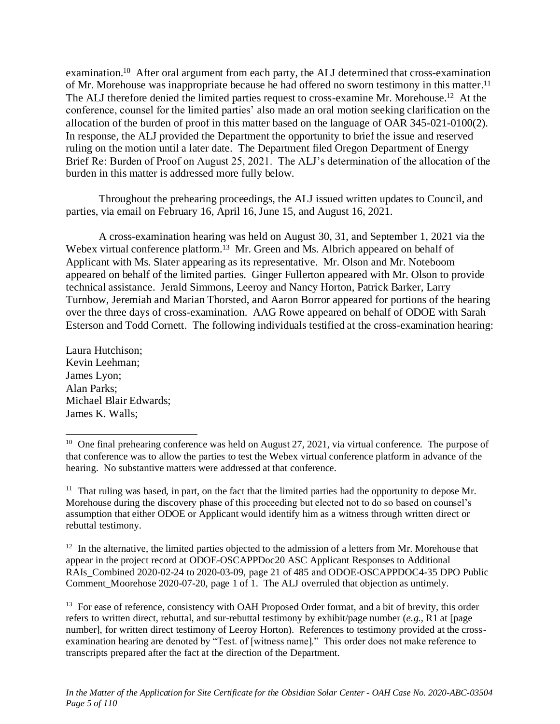examination.<sup>10</sup> After oral argument from each party, the ALJ determined that cross-examination of Mr. Morehouse was inappropriate because he had offered no sworn testimony in this matter.<sup>11</sup> The ALJ therefore denied the limited parties request to cross-examine Mr. Morehouse.<sup>12</sup> At the conference, counsel for the limited parties' also made an oral motion seeking clarification on the allocation of the burden of proof in this matter based on the language of OAR 345-021-0100(2). In response, the ALJ provided the Department the opportunity to brief the issue and reserved ruling on the motion until a later date. The Department filed Oregon Department of Energy Brief Re: Burden of Proof on August 25, 2021. The ALJ's determination of the allocation of the burden in this matter is addressed more fully below.

Throughout the prehearing proceedings, the ALJ issued written updates to Council, and parties, via email on February 16, April 16, June 15, and August 16, 2021.

A cross-examination hearing was held on August 30, 31, and September 1, 2021 via the Webex virtual conference platform.<sup>13</sup> Mr. Green and Ms. Albrich appeared on behalf of Applicant with Ms. Slater appearing as its representative. Mr. Olson and Mr. Noteboom appeared on behalf of the limited parties. Ginger Fullerton appeared with Mr. Olson to provide technical assistance. Jerald Simmons, Leeroy and Nancy Horton, Patrick Barker, Larry Turnbow, Jeremiah and Marian Thorsted, and Aaron Borror appeared for portions of the hearing over the three days of cross-examination. AAG Rowe appeared on behalf of ODOE with Sarah Esterson and Todd Cornett. The following individuals testified at the cross-examination hearing:

Laura Hutchison; Kevin Leehman; James Lyon; Alan Parks; Michael Blair Edwards; James K. Walls;

<sup>11</sup> That ruling was based, in part, on the fact that the limited parties had the opportunity to depose Mr. Morehouse during the discovery phase of this proceeding but elected not to do so based on counsel's assumption that either ODOE or Applicant would identify him as a witness through written direct or rebuttal testimony.

<sup>12</sup> In the alternative, the limited parties objected to the admission of a letters from Mr. Morehouse that appear in the project record at ODOE-OSCAPPDoc20 ASC Applicant Responses to Additional RAIs\_Combined 2020-02-24 to 2020-03-09, page 21 of 485 and ODOE-OSCAPPDOC4-35 DPO Public Comment\_Moorehose 2020-07-20, page 1 of 1. The ALJ overruled that objection as untimely.

<sup>13</sup> For ease of reference, consistency with OAH Proposed Order format, and a bit of brevity, this order refers to written direct, rebuttal, and sur-rebuttal testimony by exhibit/page number (*e.g*., R1 at [page number], for written direct testimony of Leeroy Horton). References to testimony provided at the crossexamination hearing are denoted by "Test. of [witness name]." This order does not make reference to transcripts prepared after the fact at the direction of the Department.

<sup>&</sup>lt;sup>10</sup> One final prehearing conference was held on August 27, 2021, via virtual conference. The purpose of that conference was to allow the parties to test the Webex virtual conference platform in advance of the hearing. No substantive matters were addressed at that conference.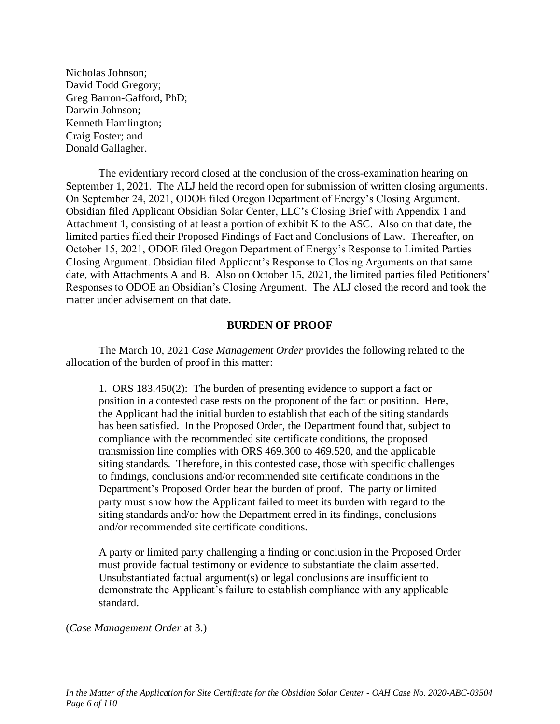Nicholas Johnson; David Todd Gregory; Greg Barron-Gafford, PhD; Darwin Johnson; Kenneth Hamlington; Craig Foster; and Donald Gallagher.

The evidentiary record closed at the conclusion of the cross-examination hearing on September 1, 2021. The ALJ held the record open for submission of written closing arguments. On September 24, 2021, ODOE filed Oregon Department of Energy's Closing Argument. Obsidian filed Applicant Obsidian Solar Center, LLC's Closing Brief with Appendix 1 and Attachment 1, consisting of at least a portion of exhibit K to the ASC. Also on that date, the limited parties filed their Proposed Findings of Fact and Conclusions of Law. Thereafter, on October 15, 2021, ODOE filed Oregon Department of Energy's Response to Limited Parties Closing Argument. Obsidian filed Applicant's Response to Closing Arguments on that same date, with Attachments A and B. Also on October 15, 2021, the limited parties filed Petitioners' Responses to ODOE an Obsidian's Closing Argument. The ALJ closed the record and took the matter under advisement on that date.

#### **BURDEN OF PROOF**

The March 10, 2021 *Case Management Order* provides the following related to the allocation of the burden of proof in this matter:

1. ORS 183.450(2): The burden of presenting evidence to support a fact or position in a contested case rests on the proponent of the fact or position. Here, the Applicant had the initial burden to establish that each of the siting standards has been satisfied. In the Proposed Order, the Department found that, subject to compliance with the recommended site certificate conditions, the proposed transmission line complies with ORS 469.300 to 469.520, and the applicable siting standards. Therefore, in this contested case, those with specific challenges to findings, conclusions and/or recommended site certificate conditions in the Department's Proposed Order bear the burden of proof. The party or limited party must show how the Applicant failed to meet its burden with regard to the siting standards and/or how the Department erred in its findings, conclusions and/or recommended site certificate conditions.

A party or limited party challenging a finding or conclusion in the Proposed Order must provide factual testimony or evidence to substantiate the claim asserted. Unsubstantiated factual argument(s) or legal conclusions are insufficient to demonstrate the Applicant's failure to establish compliance with any applicable standard.

(*Case Management Order* at 3.)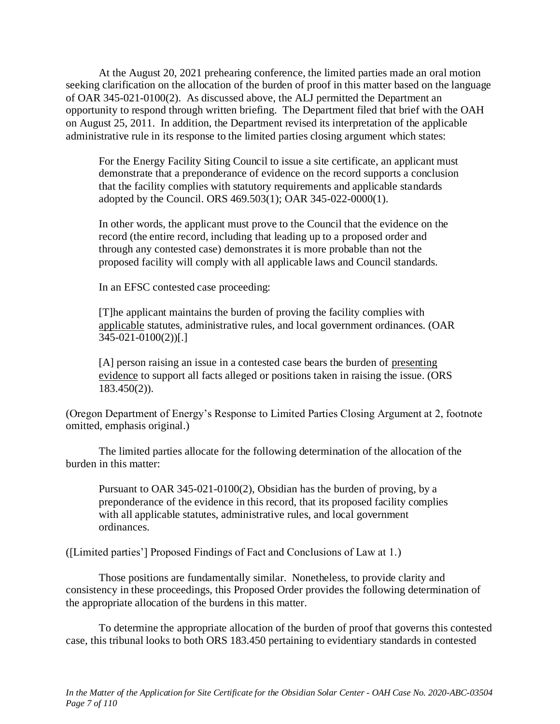At the August 20, 2021 prehearing conference, the limited parties made an oral motion seeking clarification on the allocation of the burden of proof in this matter based on the language of OAR 345-021-0100(2). As discussed above, the ALJ permitted the Department an opportunity to respond through written briefing. The Department filed that brief with the OAH on August 25, 2011. In addition, the Department revised its interpretation of the applicable administrative rule in its response to the limited parties closing argument which states:

For the Energy Facility Siting Council to issue a site certificate, an applicant must demonstrate that a preponderance of evidence on the record supports a conclusion that the facility complies with statutory requirements and applicable standards adopted by the Council. ORS 469.503(1); OAR 345-022-0000(1).

In other words, the applicant must prove to the Council that the evidence on the record (the entire record, including that leading up to a proposed order and through any contested case) demonstrates it is more probable than not the proposed facility will comply with all applicable laws and Council standards.

In an EFSC contested case proceeding:

[T]he applicant maintains the burden of proving the facility complies with applicable statutes, administrative rules, and local government ordinances. (OAR 345-021-0100(2))[.]

[A] person raising an issue in a contested case bears the burden of presenting evidence to support all facts alleged or positions taken in raising the issue. (ORS 183.450(2)).

(Oregon Department of Energy's Response to Limited Parties Closing Argument at 2, footnote omitted, emphasis original.)

The limited parties allocate for the following determination of the allocation of the burden in this matter:

Pursuant to OAR 345-021-0100(2), Obsidian has the burden of proving, by a preponderance of the evidence in this record, that its proposed facility complies with all applicable statutes, administrative rules, and local government ordinances.

([Limited parties'] Proposed Findings of Fact and Conclusions of Law at 1.)

Those positions are fundamentally similar. Nonetheless, to provide clarity and consistency in these proceedings, this Proposed Order provides the following determination of the appropriate allocation of the burdens in this matter.

To determine the appropriate allocation of the burden of proof that governs this contested case, this tribunal looks to both ORS 183.450 pertaining to evidentiary standards in contested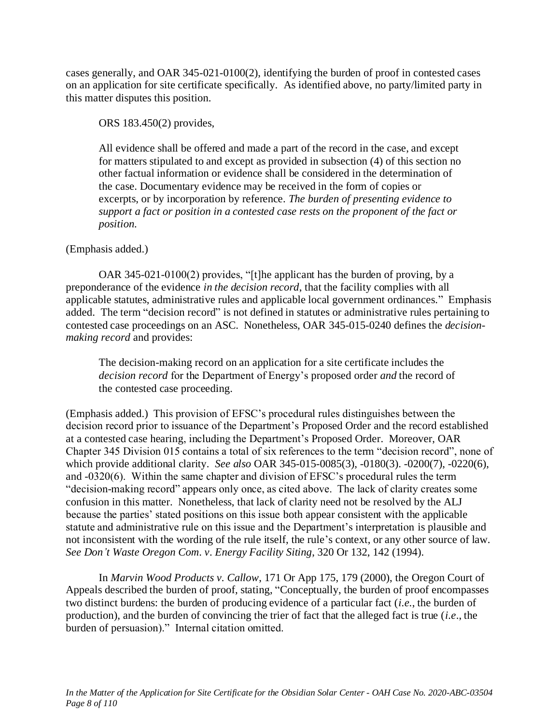cases generally, and OAR 345-021-0100(2), identifying the burden of proof in contested cases on an application for site certificate specifically. As identified above, no party/limited party in this matter disputes this position.

ORS 183.450(2) provides,

All evidence shall be offered and made a part of the record in the case, and except for matters stipulated to and except as provided in subsection (4) of this section no other factual information or evidence shall be considered in the determination of the case. Documentary evidence may be received in the form of copies or excerpts, or by incorporation by reference. *The burden of presenting evidence to support a fact or position in a contested case rests on the proponent of the fact or position.*

## (Emphasis added.)

OAR 345-021-0100(2) provides, "[t]he applicant has the burden of proving, by a preponderance of the evidence *in the decision record*, that the facility complies with all applicable statutes, administrative rules and applicable local government ordinances." Emphasis added. The term "decision record" is not defined in statutes or administrative rules pertaining to contested case proceedings on an ASC. Nonetheless, OAR 345-015-0240 defines the *decisionmaking record* and provides:

The decision-making record on an application for a site certificate includes the *decision record* for the Department of Energy's proposed order *and* the record of the contested case proceeding.

(Emphasis added.) This provision of EFSC's procedural rules distinguishes between the decision record prior to issuance of the Department's Proposed Order and the record established at a contested case hearing, including the Department's Proposed Order. Moreover, OAR Chapter 345 Division 015 contains a total of six references to the term "decision record", none of which provide additional clarity. *See also* OAR 345-015-0085(3), -0180(3). -0200(7), -0220(6), and -0320(6). Within the same chapter and division of EFSC's procedural rules the term "decision-making record" appears only once, as cited above. The lack of clarity creates some confusion in this matter. Nonetheless, that lack of clarity need not be resolved by the ALJ because the parties' stated positions on this issue both appear consistent with the applicable statute and administrative rule on this issue and the Department's interpretation is plausible and not inconsistent with the wording of the rule itself, the rule's context, or any other source of law. *See Don't Waste Oregon Com*. *v*. *Energy Facility Siting*, 320 Or 132, 142 (1994).

In *Marvin Wood Products v. Callow*, 171 Or App 175, 179 (2000), the Oregon Court of Appeals described the burden of proof, stating, "Conceptually, the burden of proof encompasses two distinct burdens: the burden of producing evidence of a particular fact (*i.e.*, the burden of production), and the burden of convincing the trier of fact that the alleged fact is true (*i.e*., the burden of persuasion)." Internal citation omitted.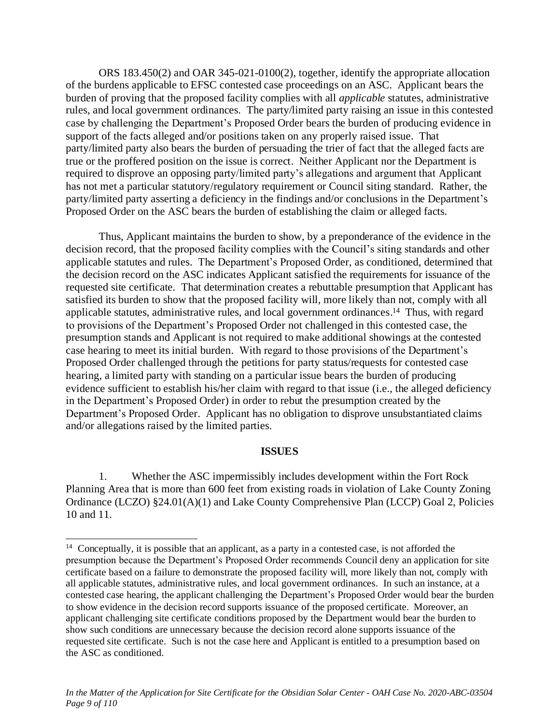ORS 183.450(2) and OAR 345-021-0100(2), together, identify the appropriate allocation of the burdens applicable to EFSC contested case proceedings on an ASC. Applicant bears the burden of proving that the proposed facility complies with all *applicable* statutes, administrative rules, and local government ordinances. The party/limited party raising an issue in this contested case by challenging the Department's Proposed Order bears the burden of producing evidence in support of the facts alleged and/or positions taken on any properly raised issue. That party/limited party also bears the burden of persuading the trier of fact that the alleged facts are true or the proffered position on the issue is correct. Neither Applicant nor the Department is required to disprove an opposing party/limited party's allegations and argument that Applicant has not met a particular statutory/regulatory requirement or Council siting standard. Rather, the party/limited party asserting a deficiency in the findings and/or conclusions in the Department's Proposed Order on the ASC bears the burden of establishing the claim or alleged facts.

Thus, Applicant maintains the burden to show, by a preponderance of the evidence in the decision record, that the proposed facility complies with the Council's siting standards and other applicable statutes and rules. The Department's Proposed Order, as conditioned, determined that the decision record on the ASC indicates Applicant satisfied the requirements for issuance of the requested site certificate. That determination creates a rebuttable presumption that Applicant has satisfied its burden to show that the proposed facility will, more likely than not, comply with all applicable statutes, administrative rules, and local government ordinances. <sup>14</sup> Thus, with regard to provisions of the Department's Proposed Order not challenged in this contested case, the presumption stands and Applicant is not required to make additional showings at the contested case hearing to meet its initial burden. With regard to those provisions of the Department's Proposed Order challenged through the petitions for party status/requests for contested case hearing, a limited party with standing on a particular issue bears the burden of producing evidence sufficient to establish his/her claim with regard to that issue (i.e., the alleged deficiency in the Department's Proposed Order) in order to rebut the presumption created by the Department's Proposed Order. Applicant has no obligation to disprove unsubstantiated claims and/or allegations raised by the limited parties.

#### **ISSUES**

1. Whether the ASC impermissibly includes development within the Fort Rock Planning Area that is more than 600 feet from existing roads in violation of Lake County Zoning Ordinance (LCZO) §24.01(A)(1) and Lake County Comprehensive Plan (LCCP) Goal 2, Policies 10 and 11.

<sup>&</sup>lt;sup>14</sup> Conceptually, it is possible that an applicant, as a party in a contested case, is not afforded the presumption because the Department's Proposed Order recommends Council deny an application for site certificate based on a failure to demonstrate the proposed facility will, more likely than not, comply with all applicable statutes, administrative rules, and local government ordinances. In such an instance, at a contested case hearing, the applicant challenging the Department's Proposed Order would bear the burden to show evidence in the decision record supports issuance of the proposed certificate. Moreover, an applicant challenging site certificate conditions proposed by the Department would bear the burden to show such conditions are unnecessary because the decision record alone supports issuance of the requested site certificate. Such is not the case here and Applicant is entitled to a presumption based on the ASC as conditioned.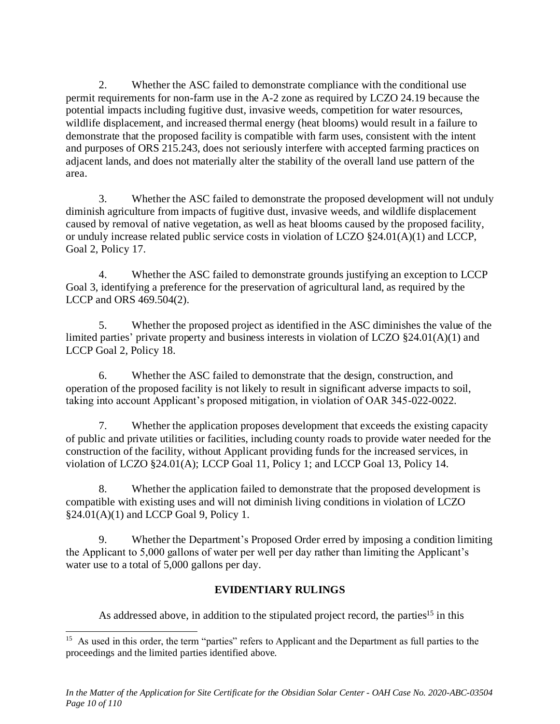2. Whether the ASC failed to demonstrate compliance with the conditional use permit requirements for non-farm use in the A-2 zone as required by LCZO 24.19 because the potential impacts including fugitive dust, invasive weeds, competition for water resources, wildlife displacement, and increased thermal energy (heat blooms) would result in a failure to demonstrate that the proposed facility is compatible with farm uses, consistent with the intent and purposes of ORS 215.243, does not seriously interfere with accepted farming practices on adjacent lands, and does not materially alter the stability of the overall land use pattern of the area.

3. Whether the ASC failed to demonstrate the proposed development will not unduly diminish agriculture from impacts of fugitive dust, invasive weeds, and wildlife displacement caused by removal of native vegetation, as well as heat blooms caused by the proposed facility, or unduly increase related public service costs in violation of LCZO §24.01(A)(1) and LCCP, Goal 2, Policy 17.

4. Whether the ASC failed to demonstrate grounds justifying an exception to LCCP Goal 3, identifying a preference for the preservation of agricultural land, as required by the LCCP and ORS 469.504(2).

5. Whether the proposed project as identified in the ASC diminishes the value of the limited parties' private property and business interests in violation of LCZO §24.01(A)(1) and LCCP Goal 2, Policy 18.

6. Whether the ASC failed to demonstrate that the design, construction, and operation of the proposed facility is not likely to result in significant adverse impacts to soil, taking into account Applicant's proposed mitigation, in violation of OAR 345-022-0022.

7. Whether the application proposes development that exceeds the existing capacity of public and private utilities or facilities, including county roads to provide water needed for the construction of the facility, without Applicant providing funds for the increased services, in violation of LCZO §24.01(A); LCCP Goal 11, Policy 1; and LCCP Goal 13, Policy 14.

8. Whether the application failed to demonstrate that the proposed development is compatible with existing uses and will not diminish living conditions in violation of LCZO  $§24.01(A)(1)$  and LCCP Goal 9, Policy 1.

9. Whether the Department's Proposed Order erred by imposing a condition limiting the Applicant to 5,000 gallons of water per well per day rather than limiting the Applicant's water use to a total of 5,000 gallons per day.

# **EVIDENTIARY RULINGS**

As addressed above, in addition to the stipulated project record, the parties<sup>15</sup> in this

<sup>&</sup>lt;sup>15</sup> As used in this order, the term "parties" refers to Applicant and the Department as full parties to the proceedings and the limited parties identified above.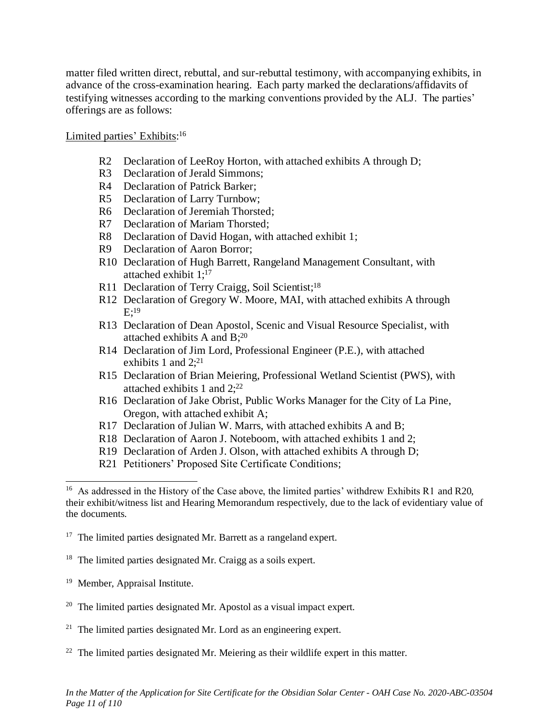matter filed written direct, rebuttal, and sur-rebuttal testimony, with accompanying exhibits, in advance of the cross-examination hearing. Each party marked the declarations/affidavits of testifying witnesses according to the marking conventions provided by the ALJ. The parties' offerings are as follows:

# Limited parties' Exhibits:<sup>16</sup>

- R2 Declaration of LeeRoy Horton, with attached exhibits A through D;
- R3 Declaration of Jerald Simmons;
- R4 Declaration of Patrick Barker;
- R5 Declaration of Larry Turnbow;
- R6 Declaration of Jeremiah Thorsted;
- R7 Declaration of Mariam Thorsted;
- R8 Declaration of David Hogan, with attached exhibit 1;
- R9 Declaration of Aaron Borror;
- R10 Declaration of Hugh Barrett, Rangeland Management Consultant, with attached exhibit 1; 17
- R11 Declaration of Terry Craigg, Soil Scientist;<sup>18</sup>
- R12 Declaration of Gregory W. Moore, MAI, with attached exhibits A through  $\mathrm{E};^{19}$
- R13 Declaration of Dean Apostol, Scenic and Visual Resource Specialist, with attached exhibits A and B; 20
- R14 Declaration of Jim Lord, Professional Engineer (P.E.), with attached exhibits 1 and  $2;^{21}$
- R15 Declaration of Brian Meiering, Professional Wetland Scientist (PWS), with attached exhibits 1 and 2; 22
- R16 Declaration of Jake Obrist, Public Works Manager for the City of La Pine, Oregon, with attached exhibit A;
- R17 Declaration of Julian W. Marrs, with attached exhibits A and B;
- R18 Declaration of Aaron J. Noteboom, with attached exhibits 1 and 2;
- R19 Declaration of Arden J. Olson, with attached exhibits A through D;
- R21 Petitioners' Proposed Site Certificate Conditions;

- <sup>18</sup> The limited parties designated Mr. Craigg as a soils expert.
- <sup>19</sup> Member, Appraisal Institute.
- $20$  The limited parties designated Mr. Apostol as a visual impact expert.
- $21$  The limited parties designated Mr. Lord as an engineering expert.
- $22$  The limited parties designated Mr. Meiering as their wildlife expert in this matter.

<sup>&</sup>lt;sup>16</sup> As addressed in the History of the Case above, the limited parties' withdrew Exhibits R1 and R20, their exhibit/witness list and Hearing Memorandum respectively, due to the lack of evidentiary value of the documents.

 $17$  The limited parties designated Mr. Barrett as a rangeland expert.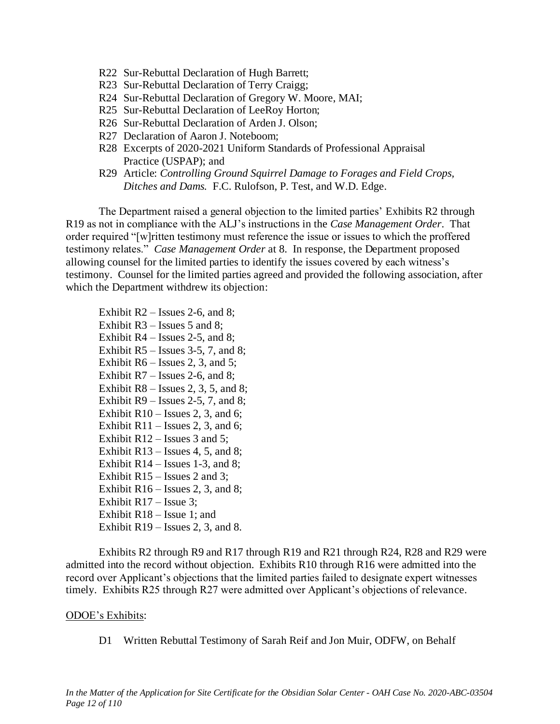- R22 Sur-Rebuttal Declaration of Hugh Barrett;
- R23 Sur-Rebuttal Declaration of Terry Craigg;
- R24 Sur-Rebuttal Declaration of Gregory W. Moore, MAI;
- R25 Sur-Rebuttal Declaration of LeeRoy Horton;
- R26 Sur-Rebuttal Declaration of Arden J. Olson;
- R27 Declaration of Aaron J. Noteboom;
- R28 Excerpts of 2020-2021 Uniform Standards of Professional Appraisal Practice (USPAP); and
- R29 Article: *Controlling Ground Squirrel Damage to Forages and Field Crops, Ditches and Dams.* F.C. Rulofson, P. Test, and W.D. Edge.

The Department raised a general objection to the limited parties' Exhibits R2 through R19 as not in compliance with the ALJ's instructions in the *Case Management Order*. That order required "[w]ritten testimony must reference the issue or issues to which the proffered testimony relates." *Case Management Order* at 8. In response, the Department proposed allowing counsel for the limited parties to identify the issues covered by each witness's testimony. Counsel for the limited parties agreed and provided the following association, after which the Department withdrew its objection:

Exhibit  $R2 -$  Issues 2-6, and 8; Exhibit R3 – Issues 5 and 8; Exhibit R4 – Issues 2-5, and 8; Exhibit  $R5$  – Issues 3-5, 7, and 8; Exhibit  $R6 -$  Issues 2, 3, and 5; Exhibit  $R7 -$  Issues 2-6, and 8; Exhibit  $R8 -$  Issues 2, 3, 5, and 8; Exhibit  $R9$  – Issues 2-5, 7, and 8; Exhibit  $R10 -$  Issues 2, 3, and 6; Exhibit  $R11 -$  Issues 2, 3, and 6; Exhibit R12 – Issues 3 and 5; Exhibit  $R13 -$  Issues 4, 5, and 8; Exhibit  $R14 -$  Issues 1-3, and 8; Exhibit R15 – Issues 2 and 3; Exhibit  $R16 -$  Issues 2, 3, and 8; Exhibit R17 – Issue 3; Exhibit R18 – Issue 1; and Exhibit  $R19$  – Issues 2, 3, and 8.

Exhibits R2 through R9 and R17 through R19 and R21 through R24, R28 and R29 were admitted into the record without objection. Exhibits R10 through R16 were admitted into the record over Applicant's objections that the limited parties failed to designate expert witnesses timely. Exhibits R25 through R27 were admitted over Applicant's objections of relevance.

#### ODOE's Exhibits:

D1 Written Rebuttal Testimony of Sarah Reif and Jon Muir, ODFW, on Behalf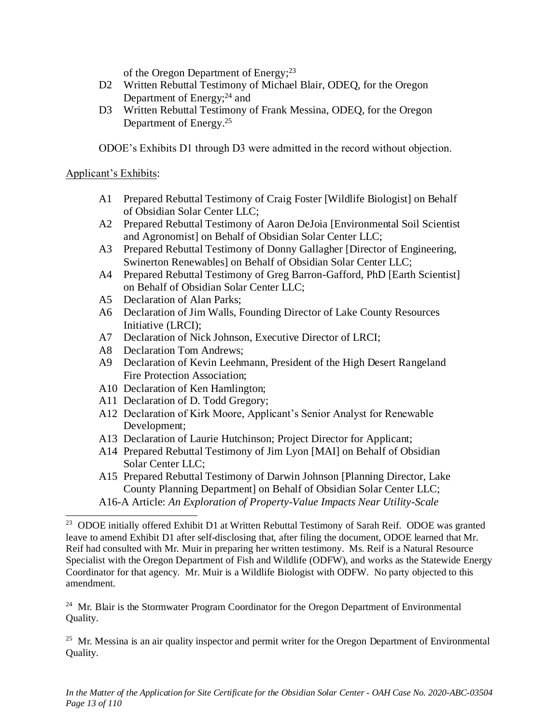of the Oregon Department of Energy;<sup>23</sup>

- D2 Written Rebuttal Testimony of Michael Blair, ODEQ, for the Oregon Department of Energy;<sup>24</sup> and
- D3 Written Rebuttal Testimony of Frank Messina, ODEQ, for the Oregon Department of Energy.<sup>25</sup>

ODOE's Exhibits D1 through D3 were admitted in the record without objection.

## Applicant's Exhibits:

- A1 Prepared Rebuttal Testimony of Craig Foster [Wildlife Biologist] on Behalf of Obsidian Solar Center LLC;
- A2 Prepared Rebuttal Testimony of Aaron DeJoia [Environmental Soil Scientist and Agronomist] on Behalf of Obsidian Solar Center LLC;
- A3 Prepared Rebuttal Testimony of Donny Gallagher [Director of Engineering, Swinerton Renewables] on Behalf of Obsidian Solar Center LLC;
- A4 Prepared Rebuttal Testimony of Greg Barron-Gafford, PhD [Earth Scientist] on Behalf of Obsidian Solar Center LLC;
- A5 Declaration of Alan Parks;
- A6 Declaration of Jim Walls, Founding Director of Lake County Resources Initiative (LRCI);
- A7 Declaration of Nick Johnson, Executive Director of LRCI;
- A8 Declaration Tom Andrews;
- A9 Declaration of Kevin Leehmann, President of the High Desert Rangeland Fire Protection Association;
- A10 Declaration of Ken Hamlington;
- A11 Declaration of D. Todd Gregory;
- A12 Declaration of Kirk Moore, Applicant's Senior Analyst for Renewable Development;
- A13 Declaration of Laurie Hutchinson; Project Director for Applicant;
- A14 Prepared Rebuttal Testimony of Jim Lyon [MAI] on Behalf of Obsidian Solar Center LLC;
- A15 Prepared Rebuttal Testimony of Darwin Johnson [Planning Director, Lake County Planning Department] on Behalf of Obsidian Solar Center LLC;
- A16-A Article: *An Exploration of Property-Value Impacts Near Utility-Scale*

 $24$  Mr. Blair is the Stormwater Program Coordinator for the Oregon Department of Environmental Quality.

 $25$  Mr. Messina is an air quality inspector and permit writer for the Oregon Department of Environmental Quality.

<sup>&</sup>lt;sup>23</sup> ODOE initially offered Exhibit D1 at Written Rebuttal Testimony of Sarah Reif. ODOE was granted leave to amend Exhibit D1 after self-disclosing that, after filing the document, ODOE learned that Mr. Reif had consulted with Mr. Muir in preparing her written testimony. Ms. Reif is a Natural Resource Specialist with the Oregon Department of Fish and Wildlife (ODFW), and works as the Statewide Energy Coordinator for that agency. Mr. Muir is a Wildlife Biologist with ODFW. No party objected to this amendment.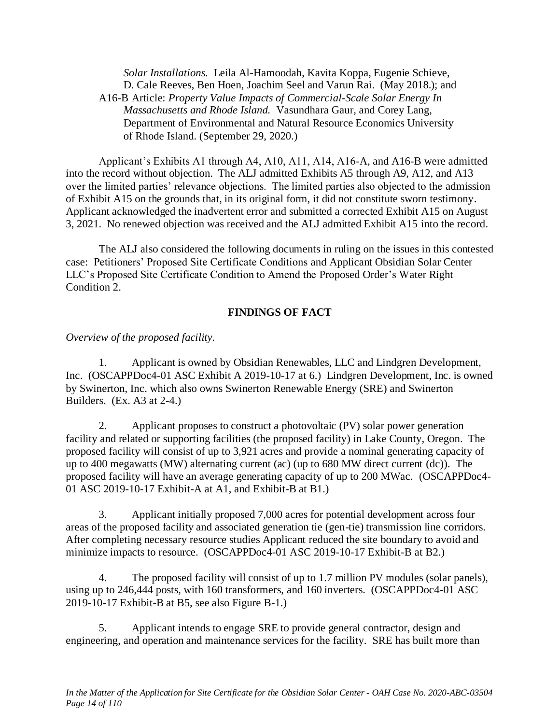*Solar Installations.* Leila Al-Hamoodah, Kavita Koppa, Eugenie Schieve, D. Cale Reeves, Ben Hoen, Joachim Seel and Varun Rai. (May 2018.); and A16-B Article: *Property Value Impacts of Commercial-Scale Solar Energy In Massachusetts and Rhode Island.* Vasundhara Gaur, and Corey Lang, Department of Environmental and Natural Resource Economics University of Rhode Island. (September 29, 2020.)

Applicant's Exhibits A1 through A4, A10, A11, A14, A16-A, and A16-B were admitted into the record without objection. The ALJ admitted Exhibits A5 through A9, A12, and A13 over the limited parties' relevance objections. The limited parties also objected to the admission of Exhibit A15 on the grounds that, in its original form, it did not constitute sworn testimony. Applicant acknowledged the inadvertent error and submitted a corrected Exhibit A15 on August 3, 2021. No renewed objection was received and the ALJ admitted Exhibit A15 into the record.

The ALJ also considered the following documents in ruling on the issues in this contested case: Petitioners' Proposed Site Certificate Conditions and Applicant Obsidian Solar Center LLC's Proposed Site Certificate Condition to Amend the Proposed Order's Water Right Condition 2.

#### **FINDINGS OF FACT**

*Overview of the proposed facility.*

1. Applicant is owned by Obsidian Renewables, LLC and Lindgren Development, Inc. (OSCAPPDoc4-01 ASC Exhibit A 2019-10-17 at 6.) Lindgren Development, Inc. is owned by Swinerton, Inc. which also owns Swinerton Renewable Energy (SRE) and Swinerton Builders. (Ex. A3 at 2-4.)

2. Applicant proposes to construct a photovoltaic (PV) solar power generation facility and related or supporting facilities (the proposed facility) in Lake County, Oregon. The proposed facility will consist of up to 3,921 acres and provide a nominal generating capacity of up to 400 megawatts (MW) alternating current (ac) (up to 680 MW direct current (dc)). The proposed facility will have an average generating capacity of up to 200 MWac. (OSCAPPDoc4- 01 ASC 2019-10-17 Exhibit-A at A1, and Exhibit-B at B1.)

3. Applicant initially proposed 7,000 acres for potential development across four areas of the proposed facility and associated generation tie (gen-tie) transmission line corridors. After completing necessary resource studies Applicant reduced the site boundary to avoid and minimize impacts to resource. (OSCAPPDoc4-01 ASC 2019-10-17 Exhibit-B at B2.)

4. The proposed facility will consist of up to 1.7 million PV modules (solar panels), using up to 246,444 posts, with 160 transformers, and 160 inverters. (OSCAPPDoc4-01 ASC 2019-10-17 Exhibit-B at B5, see also Figure B-1.)

5. Applicant intends to engage SRE to provide general contractor, design and engineering, and operation and maintenance services for the facility. SRE has built more than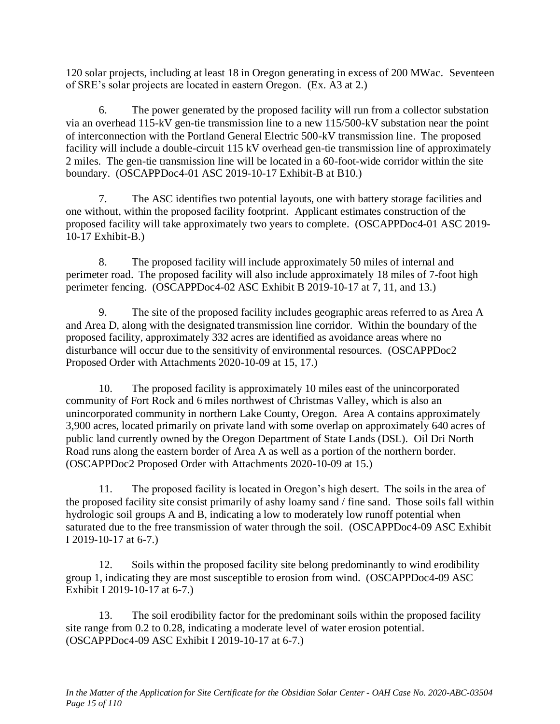120 solar projects, including at least 18 in Oregon generating in excess of 200 MWac. Seventeen of SRE's solar projects are located in eastern Oregon. (Ex. A3 at 2.)

6. The power generated by the proposed facility will run from a collector substation via an overhead 115-kV gen-tie transmission line to a new 115/500-kV substation near the point of interconnection with the Portland General Electric 500-kV transmission line. The proposed facility will include a double-circuit 115 kV overhead gen-tie transmission line of approximately 2 miles. The gen-tie transmission line will be located in a 60-foot-wide corridor within the site boundary. (OSCAPPDoc4-01 ASC 2019-10-17 Exhibit-B at B10.)

7. The ASC identifies two potential layouts, one with battery storage facilities and one without, within the proposed facility footprint. Applicant estimates construction of the proposed facility will take approximately two years to complete. (OSCAPPDoc4-01 ASC 2019- 10-17 Exhibit-B.)

8. The proposed facility will include approximately 50 miles of internal and perimeter road. The proposed facility will also include approximately 18 miles of 7-foot high perimeter fencing. (OSCAPPDoc4-02 ASC Exhibit B 2019-10-17 at 7, 11, and 13.)

9. The site of the proposed facility includes geographic areas referred to as Area A and Area D, along with the designated transmission line corridor. Within the boundary of the proposed facility, approximately 332 acres are identified as avoidance areas where no disturbance will occur due to the sensitivity of environmental resources. (OSCAPPDoc2 Proposed Order with Attachments 2020-10-09 at 15, 17.)

10. The proposed facility is approximately 10 miles east of the unincorporated community of Fort Rock and 6 miles northwest of Christmas Valley, which is also an unincorporated community in northern Lake County, Oregon. Area A contains approximately 3,900 acres, located primarily on private land with some overlap on approximately 640 acres of public land currently owned by the Oregon Department of State Lands (DSL). Oil Dri North Road runs along the eastern border of Area A as well as a portion of the northern border. (OSCAPPDoc2 Proposed Order with Attachments 2020-10-09 at 15.)

11. The proposed facility is located in Oregon's high desert. The soils in the area of the proposed facility site consist primarily of ashy loamy sand / fine sand. Those soils fall within hydrologic soil groups A and B, indicating a low to moderately low runoff potential when saturated due to the free transmission of water through the soil. (OSCAPPDoc4-09 ASC Exhibit I 2019-10-17 at 6-7.)

12. Soils within the proposed facility site belong predominantly to wind erodibility group 1, indicating they are most susceptible to erosion from wind. (OSCAPPDoc4-09 ASC Exhibit I 2019-10-17 at 6-7.)

13. The soil erodibility factor for the predominant soils within the proposed facility site range from 0.2 to 0.28, indicating a moderate level of water erosion potential. (OSCAPPDoc4-09 ASC Exhibit I 2019-10-17 at 6-7.)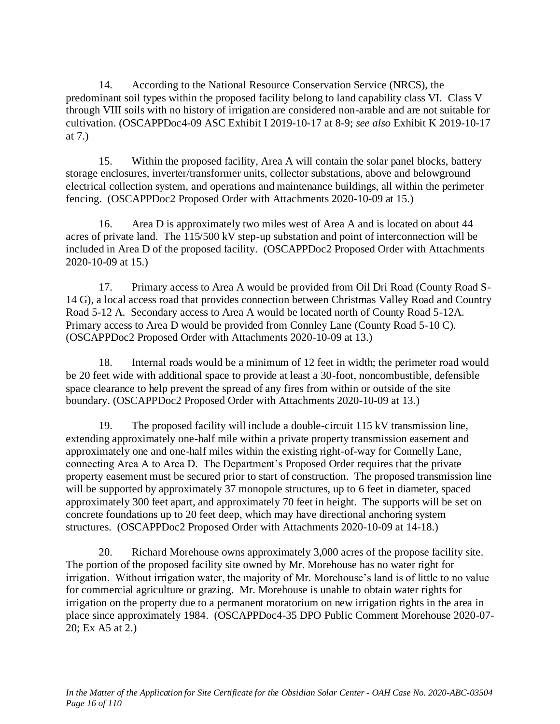14. According to the National Resource Conservation Service (NRCS), the predominant soil types within the proposed facility belong to land capability class VI. Class V through VIII soils with no history of irrigation are considered non-arable and are not suitable for cultivation. (OSCAPPDoc4-09 ASC Exhibit I 2019-10-17 at 8-9; *see also* Exhibit K 2019-10-17 at 7.)

15. Within the proposed facility, Area A will contain the solar panel blocks, battery storage enclosures, inverter/transformer units, collector substations, above and belowground electrical collection system, and operations and maintenance buildings, all within the perimeter fencing. (OSCAPPDoc2 Proposed Order with Attachments 2020-10-09 at 15.)

16. Area D is approximately two miles west of Area A and is located on about 44 acres of private land. The 115/500 kV step-up substation and point of interconnection will be included in Area D of the proposed facility. (OSCAPPDoc2 Proposed Order with Attachments 2020-10-09 at 15.)

17. Primary access to Area A would be provided from Oil Dri Road (County Road S-14 G), a local access road that provides connection between Christmas Valley Road and Country Road 5-12 A. Secondary access to Area A would be located north of County Road 5-12A. Primary access to Area D would be provided from Connley Lane (County Road 5-10 C). (OSCAPPDoc2 Proposed Order with Attachments 2020-10-09 at 13.)

18. Internal roads would be a minimum of 12 feet in width; the perimeter road would be 20 feet wide with additional space to provide at least a 30-foot, noncombustible, defensible space clearance to help prevent the spread of any fires from within or outside of the site boundary. (OSCAPPDoc2 Proposed Order with Attachments 2020-10-09 at 13.)

19. The proposed facility will include a double-circuit 115 kV transmission line, extending approximately one-half mile within a private property transmission easement and approximately one and one-half miles within the existing right-of-way for Connelly Lane, connecting Area A to Area D. The Department's Proposed Order requires that the private property easement must be secured prior to start of construction. The proposed transmission line will be supported by approximately 37 monopole structures, up to 6 feet in diameter, spaced approximately 300 feet apart, and approximately 70 feet in height. The supports will be set on concrete foundations up to 20 feet deep, which may have directional anchoring system structures. (OSCAPPDoc2 Proposed Order with Attachments 2020-10-09 at 14-18.)

20. Richard Morehouse owns approximately 3,000 acres of the propose facility site. The portion of the proposed facility site owned by Mr. Morehouse has no water right for irrigation. Without irrigation water, the majority of Mr. Morehouse's land is of little to no value for commercial agriculture or grazing. Mr. Morehouse is unable to obtain water rights for irrigation on the property due to a permanent moratorium on new irrigation rights in the area in place since approximately 1984. (OSCAPPDoc4-35 DPO Public Comment Morehouse 2020-07- 20; Ex A5 at 2.)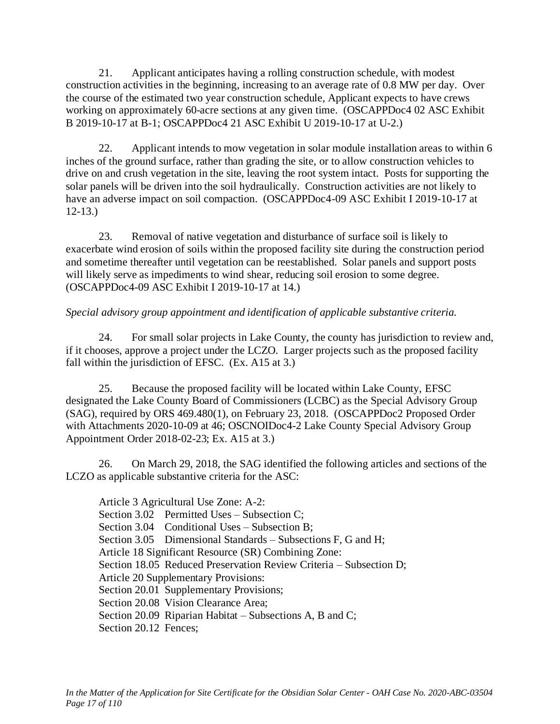21. Applicant anticipates having a rolling construction schedule, with modest construction activities in the beginning, increasing to an average rate of 0.8 MW per day. Over the course of the estimated two year construction schedule, Applicant expects to have crews working on approximately 60-acre sections at any given time. (OSCAPPDoc4 02 ASC Exhibit B 2019-10-17 at B-1; OSCAPPDoc4 21 ASC Exhibit U 2019-10-17 at U-2.)

22. Applicant intends to mow vegetation in solar module installation areas to within 6 inches of the ground surface, rather than grading the site, or to allow construction vehicles to drive on and crush vegetation in the site, leaving the root system intact. Posts for supporting the solar panels will be driven into the soil hydraulically. Construction activities are not likely to have an adverse impact on soil compaction. (OSCAPPDoc4-09 ASC Exhibit I 2019-10-17 at 12-13.)

23. Removal of native vegetation and disturbance of surface soil is likely to exacerbate wind erosion of soils within the proposed facility site during the construction period and sometime thereafter until vegetation can be reestablished. Solar panels and support posts will likely serve as impediments to wind shear, reducing soil erosion to some degree. (OSCAPPDoc4-09 ASC Exhibit I 2019-10-17 at 14.)

# *Special advisory group appointment and identification of applicable substantive criteria.*

24. For small solar projects in Lake County, the county has jurisdiction to review and, if it chooses, approve a project under the LCZO. Larger projects such as the proposed facility fall within the jurisdiction of EFSC. (Ex. A15 at 3.)

25. Because the proposed facility will be located within Lake County, EFSC designated the Lake County Board of Commissioners (LCBC) as the Special Advisory Group (SAG), required by ORS 469.480(1), on February 23, 2018. (OSCAPPDoc2 Proposed Order with Attachments 2020-10-09 at 46; OSCNOIDoc4-2 Lake County Special Advisory Group Appointment Order 2018-02-23; Ex. A15 at 3.)

26. On March 29, 2018, the SAG identified the following articles and sections of the LCZO as applicable substantive criteria for the ASC:

Article 3 Agricultural Use Zone: A-2: Section 3.02 Permitted Uses – Subsection C: Section 3.04 Conditional Uses – Subsection B; Section 3.05 Dimensional Standards – Subsections F, G and H; Article 18 Significant Resource (SR) Combining Zone: Section 18.05 Reduced Preservation Review Criteria – Subsection D; Article 20 Supplementary Provisions: Section 20.01 Supplementary Provisions; Section 20.08 Vision Clearance Area; Section 20.09 Riparian Habitat – Subsections A, B and C; Section 20.12 Fences: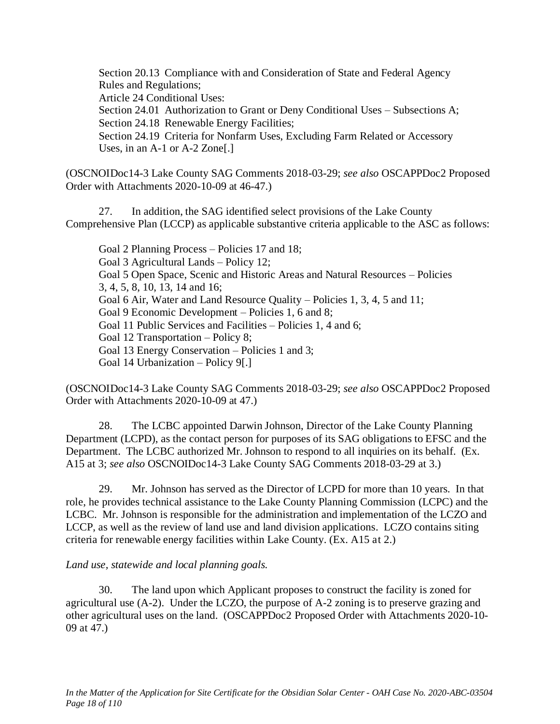Section 20.13 Compliance with and Consideration of State and Federal Agency Rules and Regulations;

Article 24 Conditional Uses:

Section 24.01 Authorization to Grant or Deny Conditional Uses – Subsections A; Section 24.18 Renewable Energy Facilities;

Section 24.19 Criteria for Nonfarm Uses, Excluding Farm Related or Accessory Uses, in an A-1 or A-2 Zone[.]

(OSCNOIDoc14-3 Lake County SAG Comments 2018-03-29; *see also* OSCAPPDoc2 Proposed Order with Attachments 2020-10-09 at 46-47.)

27. In addition, the SAG identified select provisions of the Lake County Comprehensive Plan (LCCP) as applicable substantive criteria applicable to the ASC as follows:

Goal 2 Planning Process – Policies 17 and 18; Goal 3 Agricultural Lands – Policy 12; Goal 5 Open Space, Scenic and Historic Areas and Natural Resources – Policies 3, 4, 5, 8, 10, 13, 14 and 16; Goal 6 Air, Water and Land Resource Quality – Policies 1, 3, 4, 5 and 11; Goal 9 Economic Development – Policies 1, 6 and 8; Goal 11 Public Services and Facilities – Policies 1, 4 and 6; Goal 12 Transportation – Policy 8; Goal 13 Energy Conservation – Policies 1 and 3; Goal 14 Urbanization – Policy 9[.]

(OSCNOIDoc14-3 Lake County SAG Comments 2018-03-29; *see also* OSCAPPDoc2 Proposed Order with Attachments 2020-10-09 at 47.)

28. The LCBC appointed Darwin Johnson, Director of the Lake County Planning Department (LCPD), as the contact person for purposes of its SAG obligations to EFSC and the Department. The LCBC authorized Mr. Johnson to respond to all inquiries on its behalf. (Ex. A15 at 3; *see also* OSCNOIDoc14-3 Lake County SAG Comments 2018-03-29 at 3.)

29. Mr. Johnson has served as the Director of LCPD for more than 10 years. In that role, he provides technical assistance to the Lake County Planning Commission (LCPC) and the LCBC. Mr. Johnson is responsible for the administration and implementation of the LCZO and LCCP, as well as the review of land use and land division applications. LCZO contains siting criteria for renewable energy facilities within Lake County. (Ex. A15 at 2.)

# *Land use, statewide and local planning goals.*

30. The land upon which Applicant proposes to construct the facility is zoned for agricultural use (A-2). Under the LCZO, the purpose of A-2 zoning is to preserve grazing and other agricultural uses on the land. (OSCAPPDoc2 Proposed Order with Attachments 2020-10- 09 at 47.)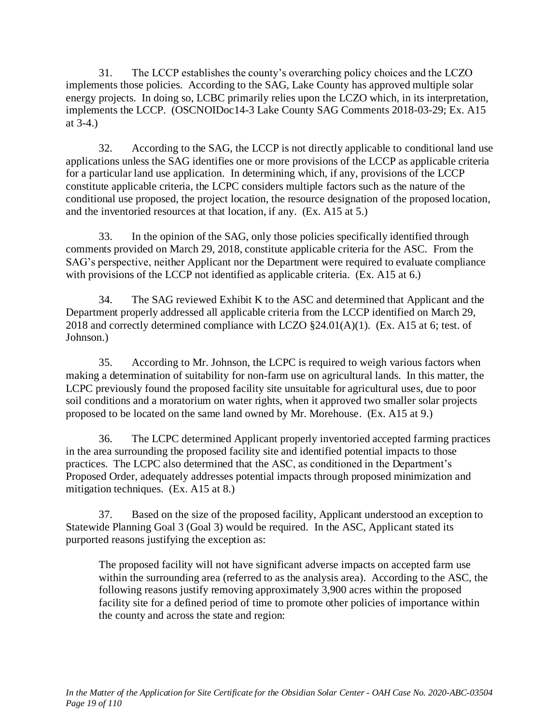31. The LCCP establishes the county's overarching policy choices and the LCZO implements those policies. According to the SAG, Lake County has approved multiple solar energy projects. In doing so, LCBC primarily relies upon the LCZO which, in its interpretation, implements the LCCP. (OSCNOIDoc14-3 Lake County SAG Comments 2018-03-29; Ex. A15 at 3-4.)

32. According to the SAG, the LCCP is not directly applicable to conditional land use applications unless the SAG identifies one or more provisions of the LCCP as applicable criteria for a particular land use application. In determining which, if any, provisions of the LCCP constitute applicable criteria, the LCPC considers multiple factors such as the nature of the conditional use proposed, the project location, the resource designation of the proposed location, and the inventoried resources at that location, if any. (Ex. A15 at 5.)

33. In the opinion of the SAG, only those policies specifically identified through comments provided on March 29, 2018, constitute applicable criteria for the ASC. From the SAG's perspective, neither Applicant nor the Department were required to evaluate compliance with provisions of the LCCP not identified as applicable criteria. (Ex. A15 at 6.)

34. The SAG reviewed Exhibit K to the ASC and determined that Applicant and the Department properly addressed all applicable criteria from the LCCP identified on March 29, 2018 and correctly determined compliance with LCZO  $\S$ 24.01(A)(1). (Ex. A15 at 6; test. of Johnson.)

35. According to Mr. Johnson, the LCPC is required to weigh various factors when making a determination of suitability for non-farm use on agricultural lands. In this matter, the LCPC previously found the proposed facility site unsuitable for agricultural uses, due to poor soil conditions and a moratorium on water rights, when it approved two smaller solar projects proposed to be located on the same land owned by Mr. Morehouse. (Ex. A15 at 9.)

36. The LCPC determined Applicant properly inventoried accepted farming practices in the area surrounding the proposed facility site and identified potential impacts to those practices. The LCPC also determined that the ASC, as conditioned in the Department's Proposed Order, adequately addresses potential impacts through proposed minimization and mitigation techniques. (Ex. A15 at 8.)

37. Based on the size of the proposed facility, Applicant understood an exception to Statewide Planning Goal 3 (Goal 3) would be required. In the ASC, Applicant stated its purported reasons justifying the exception as:

The proposed facility will not have significant adverse impacts on accepted farm use within the surrounding area (referred to as the analysis area). According to the ASC, the following reasons justify removing approximately 3,900 acres within the proposed facility site for a defined period of time to promote other policies of importance within the county and across the state and region: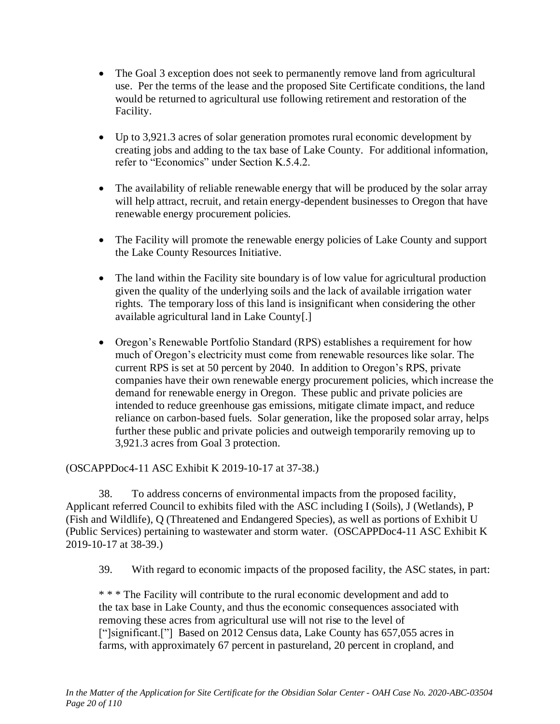- The Goal 3 exception does not seek to permanently remove land from agricultural use. Per the terms of the lease and the proposed Site Certificate conditions, the land would be returned to agricultural use following retirement and restoration of the Facility.
- Up to 3,921.3 acres of solar generation promotes rural economic development by creating jobs and adding to the tax base of Lake County. For additional information, refer to "Economics" under Section K.5.4.2.
- The availability of reliable renewable energy that will be produced by the solar array will help attract, recruit, and retain energy-dependent businesses to Oregon that have renewable energy procurement policies.
- The Facility will promote the renewable energy policies of Lake County and support the Lake County Resources Initiative.
- The land within the Facility site boundary is of low value for agricultural production given the quality of the underlying soils and the lack of available irrigation water rights. The temporary loss of this land is insignificant when considering the other available agricultural land in Lake County[.]
- Oregon's Renewable Portfolio Standard (RPS) establishes a requirement for how much of Oregon's electricity must come from renewable resources like solar. The current RPS is set at 50 percent by 2040. In addition to Oregon's RPS, private companies have their own renewable energy procurement policies, which increase the demand for renewable energy in Oregon. These public and private policies are intended to reduce greenhouse gas emissions, mitigate climate impact, and reduce reliance on carbon-based fuels. Solar generation, like the proposed solar array, helps further these public and private policies and outweigh temporarily removing up to 3,921.3 acres from Goal 3 protection.

(OSCAPPDoc4-11 ASC Exhibit K 2019-10-17 at 37-38.)

38. To address concerns of environmental impacts from the proposed facility, Applicant referred Council to exhibits filed with the ASC including I (Soils), J (Wetlands), P (Fish and Wildlife), Q (Threatened and Endangered Species), as well as portions of Exhibit U (Public Services) pertaining to wastewater and storm water. (OSCAPPDoc4-11 ASC Exhibit K 2019-10-17 at 38-39.)

39. With regard to economic impacts of the proposed facility, the ASC states, in part:

\* \* \* The Facility will contribute to the rural economic development and add to the tax base in Lake County, and thus the economic consequences associated with removing these acres from agricultural use will not rise to the level of ["]significant.<sup>["]</sup> Based on 2012 Census data, Lake County has 657,055 acres in farms, with approximately 67 percent in pastureland, 20 percent in cropland, and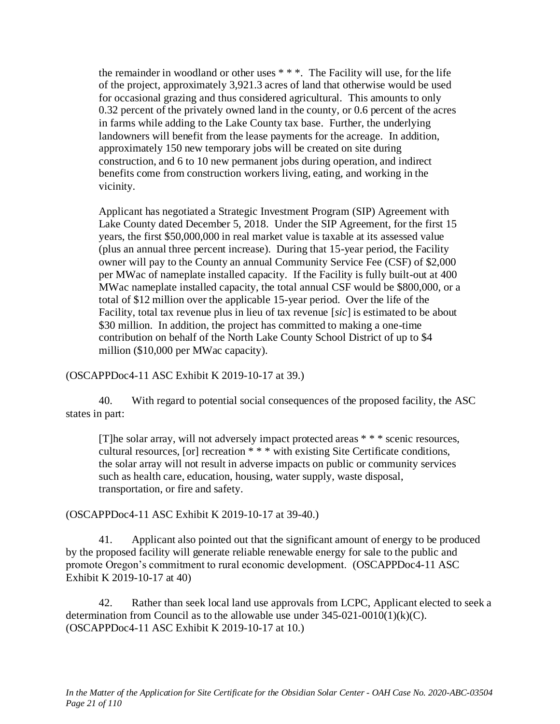the remainder in woodland or other uses  $**$ . The Facility will use, for the life of the project, approximately 3,921.3 acres of land that otherwise would be used for occasional grazing and thus considered agricultural. This amounts to only 0.32 percent of the privately owned land in the county, or 0.6 percent of the acres in farms while adding to the Lake County tax base. Further, the underlying landowners will benefit from the lease payments for the acreage. In addition, approximately 150 new temporary jobs will be created on site during construction, and 6 to 10 new permanent jobs during operation, and indirect benefits come from construction workers living, eating, and working in the vicinity.

Applicant has negotiated a Strategic Investment Program (SIP) Agreement with Lake County dated December 5, 2018. Under the SIP Agreement, for the first 15 years, the first \$50,000,000 in real market value is taxable at its assessed value (plus an annual three percent increase). During that 15-year period, the Facility owner will pay to the County an annual Community Service Fee (CSF) of \$2,000 per MWac of nameplate installed capacity. If the Facility is fully built-out at 400 MWac nameplate installed capacity, the total annual CSF would be \$800,000, or a total of \$12 million over the applicable 15-year period. Over the life of the Facility, total tax revenue plus in lieu of tax revenue [*sic*] is estimated to be about \$30 million. In addition, the project has committed to making a one-time contribution on behalf of the North Lake County School District of up to \$4 million (\$10,000 per MWac capacity).

(OSCAPPDoc4-11 ASC Exhibit K 2019-10-17 at 39.)

40. With regard to potential social consequences of the proposed facility, the ASC states in part:

[T]he solar array, will not adversely impact protected areas \* \* \* scenic resources, cultural resources, [or] recreation \* \* \* with existing Site Certificate conditions, the solar array will not result in adverse impacts on public or community services such as health care, education, housing, water supply, waste disposal, transportation, or fire and safety.

(OSCAPPDoc4-11 ASC Exhibit K 2019-10-17 at 39-40.)

41. Applicant also pointed out that the significant amount of energy to be produced by the proposed facility will generate reliable renewable energy for sale to the public and promote Oregon's commitment to rural economic development. (OSCAPPDoc4-11 ASC Exhibit K 2019-10-17 at 40)

42. Rather than seek local land use approvals from LCPC, Applicant elected to seek a determination from Council as to the allowable use under  $345-021-0010(1)(k)(C)$ . (OSCAPPDoc4-11 ASC Exhibit K 2019-10-17 at 10.)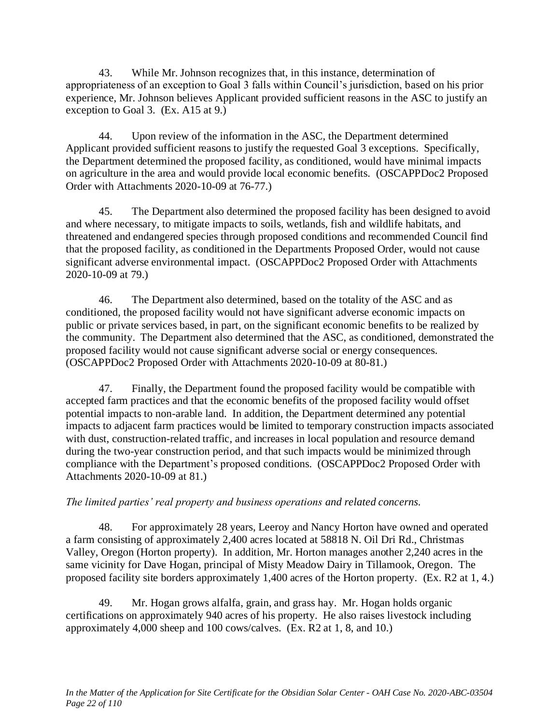43. While Mr. Johnson recognizes that, in this instance, determination of appropriateness of an exception to Goal 3 falls within Council's jurisdiction, based on his prior experience, Mr. Johnson believes Applicant provided sufficient reasons in the ASC to justify an exception to Goal 3. (Ex. A15 at 9.)

44. Upon review of the information in the ASC, the Department determined Applicant provided sufficient reasons to justify the requested Goal 3 exceptions. Specifically, the Department determined the proposed facility, as conditioned, would have minimal impacts on agriculture in the area and would provide local economic benefits. (OSCAPPDoc2 Proposed Order with Attachments 2020-10-09 at 76-77.)

45. The Department also determined the proposed facility has been designed to avoid and where necessary, to mitigate impacts to soils, wetlands, fish and wildlife habitats, and threatened and endangered species through proposed conditions and recommended Council find that the proposed facility, as conditioned in the Departments Proposed Order, would not cause significant adverse environmental impact. (OSCAPPDoc2 Proposed Order with Attachments 2020-10-09 at 79.)

46. The Department also determined, based on the totality of the ASC and as conditioned, the proposed facility would not have significant adverse economic impacts on public or private services based, in part, on the significant economic benefits to be realized by the community. The Department also determined that the ASC, as conditioned, demonstrated the proposed facility would not cause significant adverse social or energy consequences. (OSCAPPDoc2 Proposed Order with Attachments 2020-10-09 at 80-81.)

47. Finally, the Department found the proposed facility would be compatible with accepted farm practices and that the economic benefits of the proposed facility would offset potential impacts to non-arable land. In addition, the Department determined any potential impacts to adjacent farm practices would be limited to temporary construction impacts associated with dust, construction-related traffic, and increases in local population and resource demand during the two-year construction period, and that such impacts would be minimized through compliance with the Department's proposed conditions. (OSCAPPDoc2 Proposed Order with Attachments 2020-10-09 at 81.)

# *The limited parties' real property and business operations and related concerns.*

48. For approximately 28 years, Leeroy and Nancy Horton have owned and operated a farm consisting of approximately 2,400 acres located at 58818 N. Oil Dri Rd., Christmas Valley, Oregon (Horton property). In addition, Mr. Horton manages another 2,240 acres in the same vicinity for Dave Hogan, principal of Misty Meadow Dairy in Tillamook, Oregon. The proposed facility site borders approximately 1,400 acres of the Horton property. (Ex. R2 at 1, 4.)

49. Mr. Hogan grows alfalfa, grain, and grass hay. Mr. Hogan holds organic certifications on approximately 940 acres of his property. He also raises livestock including approximately 4,000 sheep and 100 cows/calves. (Ex. R2 at 1, 8, and 10.)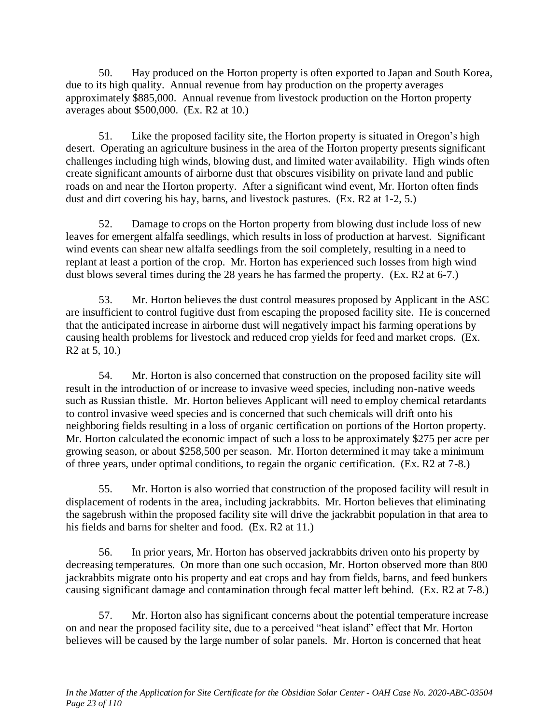50. Hay produced on the Horton property is often exported to Japan and South Korea, due to its high quality. Annual revenue from hay production on the property averages approximately \$885,000. Annual revenue from livestock production on the Horton property averages about \$500,000. (Ex. R2 at 10.)

51. Like the proposed facility site, the Horton property is situated in Oregon's high desert. Operating an agriculture business in the area of the Horton property presents significant challenges including high winds, blowing dust, and limited water availability. High winds often create significant amounts of airborne dust that obscures visibility on private land and public roads on and near the Horton property. After a significant wind event, Mr. Horton often finds dust and dirt covering his hay, barns, and livestock pastures. (Ex. R2 at 1-2, 5.)

52. Damage to crops on the Horton property from blowing dust include loss of new leaves for emergent alfalfa seedlings, which results in loss of production at harvest. Significant wind events can shear new alfalfa seedlings from the soil completely, resulting in a need to replant at least a portion of the crop. Mr. Horton has experienced such losses from high wind dust blows several times during the 28 years he has farmed the property. (Ex. R2 at 6-7.)

53. Mr. Horton believes the dust control measures proposed by Applicant in the ASC are insufficient to control fugitive dust from escaping the proposed facility site. He is concerned that the anticipated increase in airborne dust will negatively impact his farming operations by causing health problems for livestock and reduced crop yields for feed and market crops. (Ex. R2 at 5, 10.)

54. Mr. Horton is also concerned that construction on the proposed facility site will result in the introduction of or increase to invasive weed species, including non-native weeds such as Russian thistle. Mr. Horton believes Applicant will need to employ chemical retardants to control invasive weed species and is concerned that such chemicals will drift onto his neighboring fields resulting in a loss of organic certification on portions of the Horton property. Mr. Horton calculated the economic impact of such a loss to be approximately \$275 per acre per growing season, or about \$258,500 per season. Mr. Horton determined it may take a minimum of three years, under optimal conditions, to regain the organic certification. (Ex. R2 at 7-8.)

55. Mr. Horton is also worried that construction of the proposed facility will result in displacement of rodents in the area, including jackrabbits. Mr. Horton believes that eliminating the sagebrush within the proposed facility site will drive the jackrabbit population in that area to his fields and barns for shelter and food. (Ex. R2 at 11.)

56. In prior years, Mr. Horton has observed jackrabbits driven onto his property by decreasing temperatures. On more than one such occasion, Mr. Horton observed more than 800 jackrabbits migrate onto his property and eat crops and hay from fields, barns, and feed bunkers causing significant damage and contamination through fecal matter left behind. (Ex. R2 at 7-8.)

57. Mr. Horton also has significant concerns about the potential temperature increase on and near the proposed facility site, due to a perceived "heat island" effect that Mr. Horton believes will be caused by the large number of solar panels. Mr. Horton is concerned that heat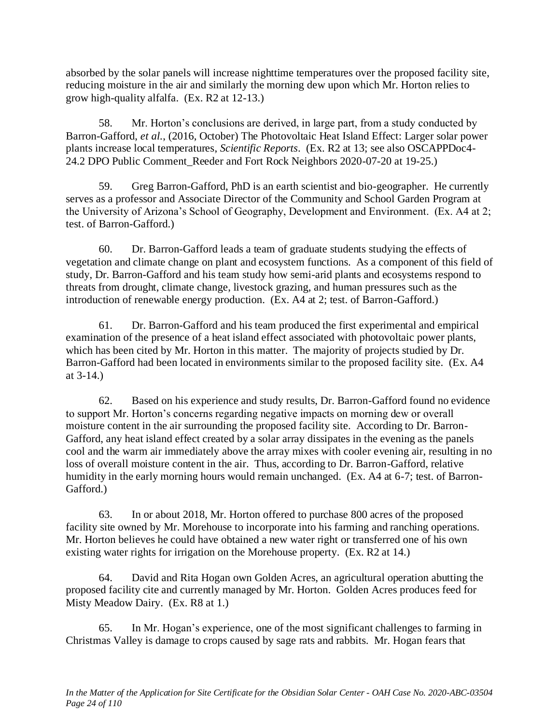absorbed by the solar panels will increase nighttime temperatures over the proposed facility site, reducing moisture in the air and similarly the morning dew upon which Mr. Horton relies to grow high-quality alfalfa. (Ex. R2 at 12-13.)

58. Mr. Horton's conclusions are derived, in large part, from a study conducted by Barron-Gafford, *et al.*, (2016, October) The Photovoltaic Heat Island Effect: Larger solar power plants increase local temperatures, *Scientific Reports*. (Ex. R2 at 13; see also OSCAPPDoc4- 24.2 DPO Public Comment\_Reeder and Fort Rock Neighbors 2020-07-20 at 19-25.)

59. Greg Barron-Gafford, PhD is an earth scientist and bio-geographer. He currently serves as a professor and Associate Director of the Community and School Garden Program at the University of Arizona's School of Geography, Development and Environment. (Ex. A4 at 2; test. of Barron-Gafford.)

60. Dr. Barron-Gafford leads a team of graduate students studying the effects of vegetation and climate change on plant and ecosystem functions. As a component of this field of study, Dr. Barron-Gafford and his team study how semi-arid plants and ecosystems respond to threats from drought, climate change, livestock grazing, and human pressures such as the introduction of renewable energy production. (Ex. A4 at 2; test. of Barron-Gafford.)

61. Dr. Barron-Gafford and his team produced the first experimental and empirical examination of the presence of a heat island effect associated with photovoltaic power plants, which has been cited by Mr. Horton in this matter. The majority of projects studied by Dr. Barron-Gafford had been located in environments similar to the proposed facility site. (Ex. A4 at 3-14.)

62. Based on his experience and study results, Dr. Barron-Gafford found no evidence to support Mr. Horton's concerns regarding negative impacts on morning dew or overall moisture content in the air surrounding the proposed facility site. According to Dr. Barron-Gafford, any heat island effect created by a solar array dissipates in the evening as the panels cool and the warm air immediately above the array mixes with cooler evening air, resulting in no loss of overall moisture content in the air. Thus, according to Dr. Barron-Gafford, relative humidity in the early morning hours would remain unchanged. (Ex. A4 at 6-7; test. of Barron-Gafford.)

63. In or about 2018, Mr. Horton offered to purchase 800 acres of the proposed facility site owned by Mr. Morehouse to incorporate into his farming and ranching operations. Mr. Horton believes he could have obtained a new water right or transferred one of his own existing water rights for irrigation on the Morehouse property. (Ex. R2 at 14.)

64. David and Rita Hogan own Golden Acres, an agricultural operation abutting the proposed facility cite and currently managed by Mr. Horton. Golden Acres produces feed for Misty Meadow Dairy. (Ex. R8 at 1.)

65. In Mr. Hogan's experience, one of the most significant challenges to farming in Christmas Valley is damage to crops caused by sage rats and rabbits. Mr. Hogan fears that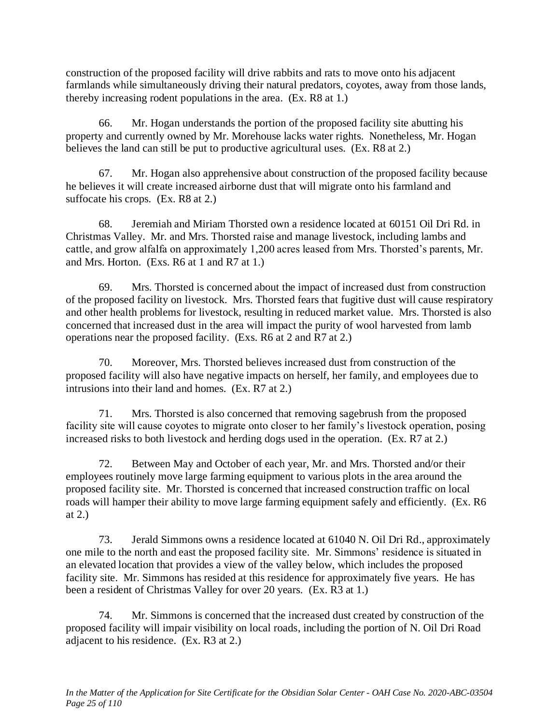construction of the proposed facility will drive rabbits and rats to move onto his adjacent farmlands while simultaneously driving their natural predators, coyotes, away from those lands, thereby increasing rodent populations in the area. (Ex. R8 at 1.)

66. Mr. Hogan understands the portion of the proposed facility site abutting his property and currently owned by Mr. Morehouse lacks water rights. Nonetheless, Mr. Hogan believes the land can still be put to productive agricultural uses. (Ex. R8 at 2.)

67. Mr. Hogan also apprehensive about construction of the proposed facility because he believes it will create increased airborne dust that will migrate onto his farmland and suffocate his crops. (Ex. R8 at 2.)

68. Jeremiah and Miriam Thorsted own a residence located at 60151 Oil Dri Rd. in Christmas Valley. Mr. and Mrs. Thorsted raise and manage livestock, including lambs and cattle, and grow alfalfa on approximately 1,200 acres leased from Mrs. Thorsted's parents, Mr. and Mrs. Horton. (Exs. R6 at 1 and R7 at 1.)

69. Mrs. Thorsted is concerned about the impact of increased dust from construction of the proposed facility on livestock. Mrs. Thorsted fears that fugitive dust will cause respiratory and other health problems for livestock, resulting in reduced market value. Mrs. Thorsted is also concerned that increased dust in the area will impact the purity of wool harvested from lamb operations near the proposed facility. (Exs. R6 at 2 and R7 at 2.)

70. Moreover, Mrs. Thorsted believes increased dust from construction of the proposed facility will also have negative impacts on herself, her family, and employees due to intrusions into their land and homes. (Ex. R7 at 2.)

71. Mrs. Thorsted is also concerned that removing sagebrush from the proposed facility site will cause coyotes to migrate onto closer to her family's livestock operation, posing increased risks to both livestock and herding dogs used in the operation. (Ex. R7 at 2.)

72. Between May and October of each year, Mr. and Mrs. Thorsted and/or their employees routinely move large farming equipment to various plots in the area around the proposed facility site. Mr. Thorsted is concerned that increased construction traffic on local roads will hamper their ability to move large farming equipment safely and efficiently. (Ex. R6 at 2.)

73. Jerald Simmons owns a residence located at 61040 N. Oil Dri Rd., approximately one mile to the north and east the proposed facility site. Mr. Simmons' residence is situated in an elevated location that provides a view of the valley below, which includes the proposed facility site. Mr. Simmons has resided at this residence for approximately five years. He has been a resident of Christmas Valley for over 20 years. (Ex. R3 at 1.)

74. Mr. Simmons is concerned that the increased dust created by construction of the proposed facility will impair visibility on local roads, including the portion of N. Oil Dri Road adjacent to his residence. (Ex. R3 at 2.)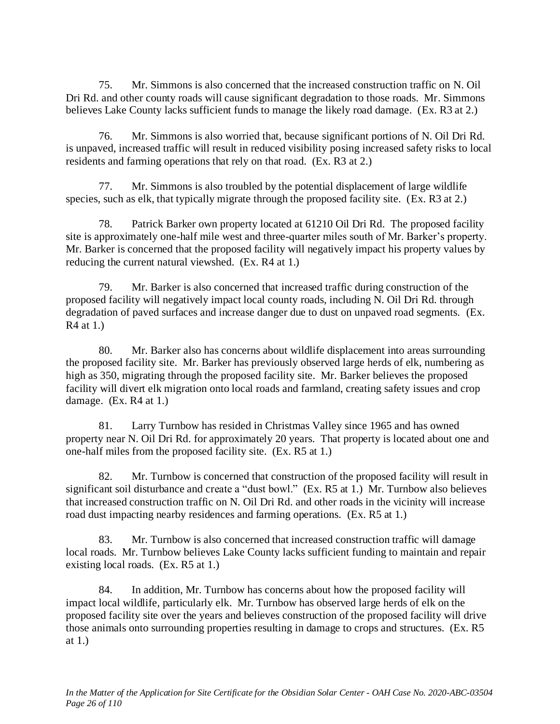75. Mr. Simmons is also concerned that the increased construction traffic on N. Oil Dri Rd. and other county roads will cause significant degradation to those roads. Mr. Simmons believes Lake County lacks sufficient funds to manage the likely road damage. (Ex. R3 at 2.)

76. Mr. Simmons is also worried that, because significant portions of N. Oil Dri Rd. is unpaved, increased traffic will result in reduced visibility posing increased safety risks to local residents and farming operations that rely on that road. (Ex. R3 at 2.)

77. Mr. Simmons is also troubled by the potential displacement of large wildlife species, such as elk, that typically migrate through the proposed facility site. (Ex. R3 at 2.)

78. Patrick Barker own property located at 61210 Oil Dri Rd. The proposed facility site is approximately one-half mile west and three-quarter miles south of Mr. Barker's property. Mr. Barker is concerned that the proposed facility will negatively impact his property values by reducing the current natural viewshed. (Ex. R4 at 1.)

79. Mr. Barker is also concerned that increased traffic during construction of the proposed facility will negatively impact local county roads, including N. Oil Dri Rd. through degradation of paved surfaces and increase danger due to dust on unpaved road segments. (Ex. R4 at 1.)

80. Mr. Barker also has concerns about wildlife displacement into areas surrounding the proposed facility site. Mr. Barker has previously observed large herds of elk, numbering as high as 350, migrating through the proposed facility site. Mr. Barker believes the proposed facility will divert elk migration onto local roads and farmland, creating safety issues and crop damage. (Ex. R4 at 1.)

81. Larry Turnbow has resided in Christmas Valley since 1965 and has owned property near N. Oil Dri Rd. for approximately 20 years. That property is located about one and one-half miles from the proposed facility site. (Ex. R5 at 1.)

82. Mr. Turnbow is concerned that construction of the proposed facility will result in significant soil disturbance and create a "dust bowl." (Ex. R5 at 1.) Mr. Turnbow also believes that increased construction traffic on N. Oil Dri Rd. and other roads in the vicinity will increase road dust impacting nearby residences and farming operations. (Ex. R5 at 1.)

83. Mr. Turnbow is also concerned that increased construction traffic will damage local roads. Mr. Turnbow believes Lake County lacks sufficient funding to maintain and repair existing local roads. (Ex. R5 at 1.)

84. In addition, Mr. Turnbow has concerns about how the proposed facility will impact local wildlife, particularly elk. Mr. Turnbow has observed large herds of elk on the proposed facility site over the years and believes construction of the proposed facility will drive those animals onto surrounding properties resulting in damage to crops and structures. (Ex. R5 at 1.)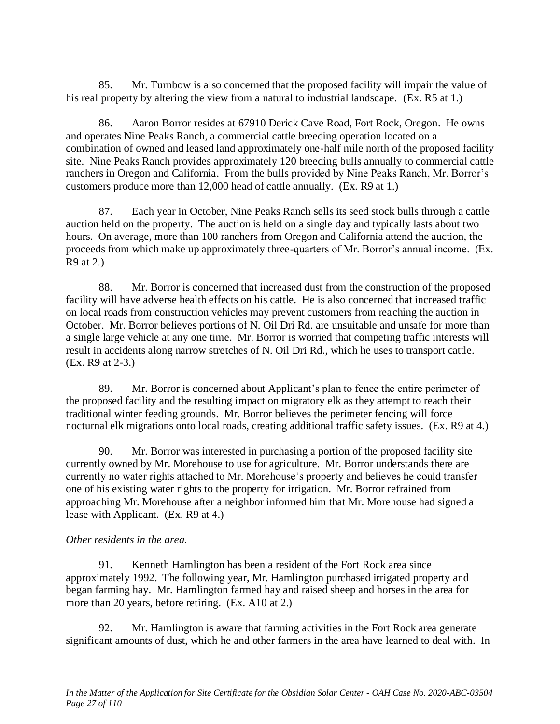85. Mr. Turnbow is also concerned that the proposed facility will impair the value of his real property by altering the view from a natural to industrial landscape. (Ex. R5 at 1.)

86. Aaron Borror resides at 67910 Derick Cave Road, Fort Rock, Oregon. He owns and operates Nine Peaks Ranch, a commercial cattle breeding operation located on a combination of owned and leased land approximately one-half mile north of the proposed facility site. Nine Peaks Ranch provides approximately 120 breeding bulls annually to commercial cattle ranchers in Oregon and California. From the bulls provided by Nine Peaks Ranch, Mr. Borror's customers produce more than 12,000 head of cattle annually. (Ex. R9 at 1.)

87. Each year in October, Nine Peaks Ranch sells its seed stock bulls through a cattle auction held on the property. The auction is held on a single day and typically lasts about two hours. On average, more than 100 ranchers from Oregon and California attend the auction, the proceeds from which make up approximately three-quarters of Mr. Borror's annual income. (Ex. R9 at 2.)

88. Mr. Borror is concerned that increased dust from the construction of the proposed facility will have adverse health effects on his cattle. He is also concerned that increased traffic on local roads from construction vehicles may prevent customers from reaching the auction in October. Mr. Borror believes portions of N. Oil Dri Rd. are unsuitable and unsafe for more than a single large vehicle at any one time. Mr. Borror is worried that competing traffic interests will result in accidents along narrow stretches of N. Oil Dri Rd., which he uses to transport cattle. (Ex. R9 at 2-3.)

89. Mr. Borror is concerned about Applicant's plan to fence the entire perimeter of the proposed facility and the resulting impact on migratory elk as they attempt to reach their traditional winter feeding grounds. Mr. Borror believes the perimeter fencing will force nocturnal elk migrations onto local roads, creating additional traffic safety issues. (Ex. R9 at 4.)

90. Mr. Borror was interested in purchasing a portion of the proposed facility site currently owned by Mr. Morehouse to use for agriculture. Mr. Borror understands there are currently no water rights attached to Mr. Morehouse's property and believes he could transfer one of his existing water rights to the property for irrigation. Mr. Borror refrained from approaching Mr. Morehouse after a neighbor informed him that Mr. Morehouse had signed a lease with Applicant. (Ex. R9 at 4.)

# *Other residents in the area.*

91. Kenneth Hamlington has been a resident of the Fort Rock area since approximately 1992. The following year, Mr. Hamlington purchased irrigated property and began farming hay. Mr. Hamlington farmed hay and raised sheep and horses in the area for more than 20 years, before retiring. (Ex. A10 at 2.)

92. Mr. Hamlington is aware that farming activities in the Fort Rock area generate significant amounts of dust, which he and other farmers in the area have learned to deal with. In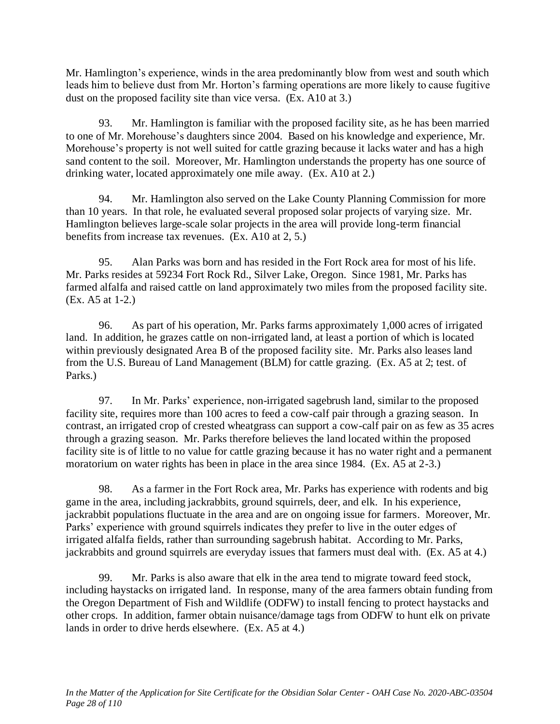Mr. Hamlington's experience, winds in the area predominantly blow from west and south which leads him to believe dust from Mr. Horton's farming operations are more likely to cause fugitive dust on the proposed facility site than vice versa. (Ex. A10 at 3.)

93. Mr. Hamlington is familiar with the proposed facility site, as he has been married to one of Mr. Morehouse's daughters since 2004. Based on his knowledge and experience, Mr. Morehouse's property is not well suited for cattle grazing because it lacks water and has a high sand content to the soil. Moreover, Mr. Hamlington understands the property has one source of drinking water, located approximately one mile away. (Ex. A10 at 2.)

94. Mr. Hamlington also served on the Lake County Planning Commission for more than 10 years. In that role, he evaluated several proposed solar projects of varying size. Mr. Hamlington believes large-scale solar projects in the area will provide long-term financial benefits from increase tax revenues. (Ex. A10 at 2, 5.)

95. Alan Parks was born and has resided in the Fort Rock area for most of his life. Mr. Parks resides at 59234 Fort Rock Rd., Silver Lake, Oregon. Since 1981, Mr. Parks has farmed alfalfa and raised cattle on land approximately two miles from the proposed facility site. (Ex. A5 at 1-2.)

96. As part of his operation, Mr. Parks farms approximately 1,000 acres of irrigated land. In addition, he grazes cattle on non-irrigated land, at least a portion of which is located within previously designated Area B of the proposed facility site. Mr. Parks also leases land from the U.S. Bureau of Land Management (BLM) for cattle grazing. (Ex. A5 at 2; test. of Parks.)

97. In Mr. Parks' experience, non-irrigated sagebrush land, similar to the proposed facility site, requires more than 100 acres to feed a cow-calf pair through a grazing season. In contrast, an irrigated crop of crested wheatgrass can support a cow-calf pair on as few as 35 acres through a grazing season. Mr. Parks therefore believes the land located within the proposed facility site is of little to no value for cattle grazing because it has no water right and a permanent moratorium on water rights has been in place in the area since 1984. (Ex. A5 at 2-3.)

98. As a farmer in the Fort Rock area, Mr. Parks has experience with rodents and big game in the area, including jackrabbits, ground squirrels, deer, and elk. In his experience, jackrabbit populations fluctuate in the area and are on ongoing issue for farmers. Moreover, Mr. Parks' experience with ground squirrels indicates they prefer to live in the outer edges of irrigated alfalfa fields, rather than surrounding sagebrush habitat. According to Mr. Parks, jackrabbits and ground squirrels are everyday issues that farmers must deal with. (Ex. A5 at 4.)

99. Mr. Parks is also aware that elk in the area tend to migrate toward feed stock, including haystacks on irrigated land. In response, many of the area farmers obtain funding from the Oregon Department of Fish and Wildlife (ODFW) to install fencing to protect haystacks and other crops. In addition, farmer obtain nuisance/damage tags from ODFW to hunt elk on private lands in order to drive herds elsewhere. (Ex. A5 at 4.)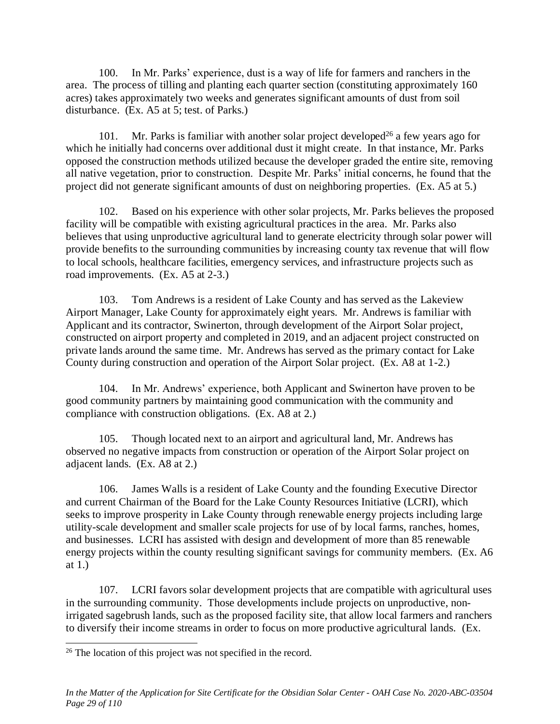100. In Mr. Parks' experience, dust is a way of life for farmers and ranchers in the area. The process of tilling and planting each quarter section (constituting approximately 160 acres) takes approximately two weeks and generates significant amounts of dust from soil disturbance. (Ex. A5 at 5; test. of Parks.)

101. Mr. Parks is familiar with another solar project developed<sup>26</sup> a few years ago for which he initially had concerns over additional dust it might create. In that instance, Mr. Parks opposed the construction methods utilized because the developer graded the entire site, removing all native vegetation, prior to construction. Despite Mr. Parks' initial concerns, he found that the project did not generate significant amounts of dust on neighboring properties. (Ex. A5 at 5.)

102. Based on his experience with other solar projects, Mr. Parks believes the proposed facility will be compatible with existing agricultural practices in the area. Mr. Parks also believes that using unproductive agricultural land to generate electricity through solar power will provide benefits to the surrounding communities by increasing county tax revenue that will flow to local schools, healthcare facilities, emergency services, and infrastructure projects such as road improvements. (Ex. A5 at 2-3.)

103. Tom Andrews is a resident of Lake County and has served as the Lakeview Airport Manager, Lake County for approximately eight years. Mr. Andrews is familiar with Applicant and its contractor, Swinerton, through development of the Airport Solar project, constructed on airport property and completed in 2019, and an adjacent project constructed on private lands around the same time. Mr. Andrews has served as the primary contact for Lake County during construction and operation of the Airport Solar project. (Ex. A8 at 1-2.)

104. In Mr. Andrews' experience, both Applicant and Swinerton have proven to be good community partners by maintaining good communication with the community and compliance with construction obligations. (Ex. A8 at 2.)

105. Though located next to an airport and agricultural land, Mr. Andrews has observed no negative impacts from construction or operation of the Airport Solar project on adjacent lands. (Ex. A8 at 2.)

106. James Walls is a resident of Lake County and the founding Executive Director and current Chairman of the Board for the Lake County Resources Initiative (LCRI), which seeks to improve prosperity in Lake County through renewable energy projects including large utility-scale development and smaller scale projects for use of by local farms, ranches, homes, and businesses. LCRI has assisted with design and development of more than 85 renewable energy projects within the county resulting significant savings for community members. (Ex. A6 at 1.)

107. LCRI favors solar development projects that are compatible with agricultural uses in the surrounding community. Those developments include projects on unproductive, nonirrigated sagebrush lands, such as the proposed facility site, that allow local farmers and ranchers to diversify their income streams in order to focus on more productive agricultural lands. (Ex.

<sup>&</sup>lt;sup>26</sup> The location of this project was not specified in the record.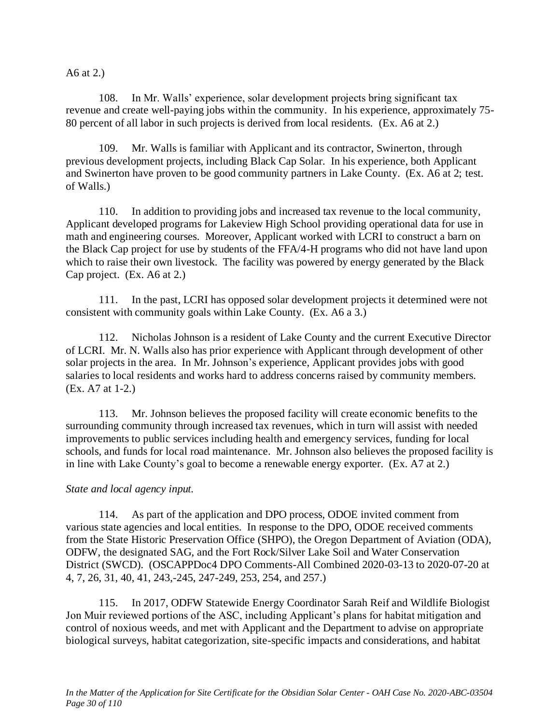A6 at 2.)

108. In Mr. Walls' experience, solar development projects bring significant tax revenue and create well-paying jobs within the community. In his experience, approximately 75- 80 percent of all labor in such projects is derived from local residents. (Ex. A6 at 2.)

109. Mr. Walls is familiar with Applicant and its contractor, Swinerton, through previous development projects, including Black Cap Solar. In his experience, both Applicant and Swinerton have proven to be good community partners in Lake County. (Ex. A6 at 2; test. of Walls.)

110. In addition to providing jobs and increased tax revenue to the local community, Applicant developed programs for Lakeview High School providing operational data for use in math and engineering courses. Moreover, Applicant worked with LCRI to construct a barn on the Black Cap project for use by students of the FFA/4-H programs who did not have land upon which to raise their own livestock. The facility was powered by energy generated by the Black Cap project. (Ex. A6 at 2.)

111. In the past, LCRI has opposed solar development projects it determined were not consistent with community goals within Lake County. (Ex. A6 a 3.)

112. Nicholas Johnson is a resident of Lake County and the current Executive Director of LCRI. Mr. N. Walls also has prior experience with Applicant through development of other solar projects in the area. In Mr. Johnson's experience, Applicant provides jobs with good salaries to local residents and works hard to address concerns raised by community members. (Ex. A7 at 1-2.)

113. Mr. Johnson believes the proposed facility will create economic benefits to the surrounding community through increased tax revenues, which in turn will assist with needed improvements to public services including health and emergency services, funding for local schools, and funds for local road maintenance. Mr. Johnson also believes the proposed facility is in line with Lake County's goal to become a renewable energy exporter. (Ex. A7 at 2.)

# *State and local agency input.*

114. As part of the application and DPO process, ODOE invited comment from various state agencies and local entities. In response to the DPO, ODOE received comments from the State Historic Preservation Office (SHPO), the Oregon Department of Aviation (ODA), ODFW, the designated SAG, and the Fort Rock/Silver Lake Soil and Water Conservation District (SWCD). (OSCAPPDoc4 DPO Comments-All Combined 2020-03-13 to 2020-07-20 at 4, 7, 26, 31, 40, 41, 243,-245, 247-249, 253, 254, and 257.)

115. In 2017, ODFW Statewide Energy Coordinator Sarah Reif and Wildlife Biologist Jon Muir reviewed portions of the ASC, including Applicant's plans for habitat mitigation and control of noxious weeds, and met with Applicant and the Department to advise on appropriate biological surveys, habitat categorization, site-specific impacts and considerations, and habitat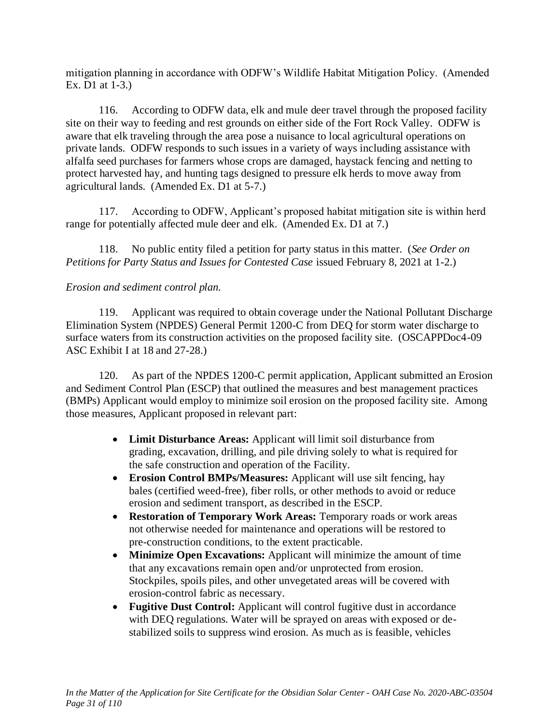mitigation planning in accordance with ODFW's Wildlife Habitat Mitigation Policy. (Amended Ex. D1 at 1-3.)

116. According to ODFW data, elk and mule deer travel through the proposed facility site on their way to feeding and rest grounds on either side of the Fort Rock Valley. ODFW is aware that elk traveling through the area pose a nuisance to local agricultural operations on private lands. ODFW responds to such issues in a variety of ways including assistance with alfalfa seed purchases for farmers whose crops are damaged, haystack fencing and netting to protect harvested hay, and hunting tags designed to pressure elk herds to move away from agricultural lands. (Amended Ex. D1 at 5-7.)

117. According to ODFW, Applicant's proposed habitat mitigation site is within herd range for potentially affected mule deer and elk. (Amended Ex. D1 at 7.)

118. No public entity filed a petition for party status in this matter. (*See Order on Petitions for Party Status and Issues for Contested Case* issued February 8, 2021 at 1-2.)

# *Erosion and sediment control plan.*

119. Applicant was required to obtain coverage under the National Pollutant Discharge Elimination System (NPDES) General Permit 1200-C from DEQ for storm water discharge to surface waters from its construction activities on the proposed facility site. (OSCAPPDoc4-09 ASC Exhibit I at 18 and 27-28.)

120. As part of the NPDES 1200-C permit application, Applicant submitted an Erosion and Sediment Control Plan (ESCP) that outlined the measures and best management practices (BMPs) Applicant would employ to minimize soil erosion on the proposed facility site. Among those measures, Applicant proposed in relevant part:

- **Limit Disturbance Areas:** Applicant will limit soil disturbance from grading, excavation, drilling, and pile driving solely to what is required for the safe construction and operation of the Facility.
- **Erosion Control BMPs/Measures:** Applicant will use silt fencing, hay bales (certified weed-free), fiber rolls, or other methods to avoid or reduce erosion and sediment transport, as described in the ESCP.
- **Restoration of Temporary Work Areas:** Temporary roads or work areas not otherwise needed for maintenance and operations will be restored to pre-construction conditions, to the extent practicable.
- **Minimize Open Excavations:** Applicant will minimize the amount of time that any excavations remain open and/or unprotected from erosion. Stockpiles, spoils piles, and other unvegetated areas will be covered with erosion-control fabric as necessary.
- **Fugitive Dust Control:** Applicant will control fugitive dust in accordance with DEQ regulations. Water will be sprayed on areas with exposed or destabilized soils to suppress wind erosion. As much as is feasible, vehicles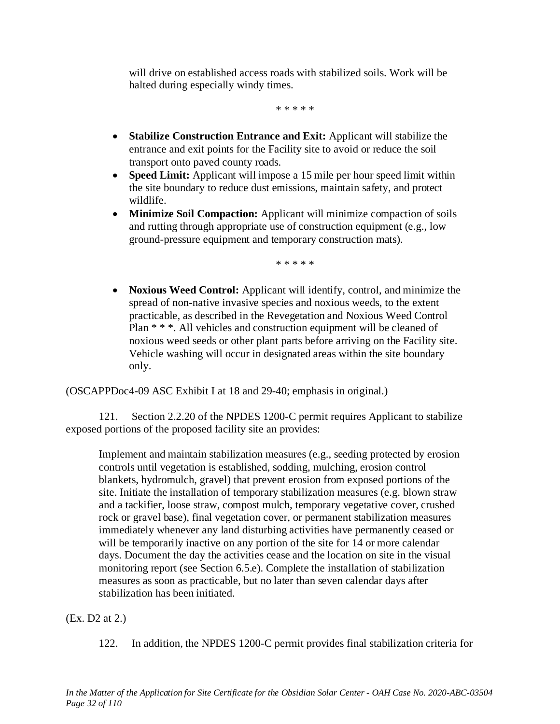will drive on established access roads with stabilized soils. Work will be halted during especially windy times.

\* \* \* \* \*

- **Stabilize Construction Entrance and Exit:** Applicant will stabilize the entrance and exit points for the Facility site to avoid or reduce the soil transport onto paved county roads.
- **Speed Limit:** Applicant will impose a 15 mile per hour speed limit within the site boundary to reduce dust emissions, maintain safety, and protect wildlife.
- **Minimize Soil Compaction:** Applicant will minimize compaction of soils and rutting through appropriate use of construction equipment (e.g., low ground-pressure equipment and temporary construction mats).

\* \* \* \* \*

• **Noxious Weed Control:** Applicant will identify, control, and minimize the spread of non-native invasive species and noxious weeds, to the extent practicable, as described in the Revegetation and Noxious Weed Control Plan \* \* \*. All vehicles and construction equipment will be cleaned of noxious weed seeds or other plant parts before arriving on the Facility site. Vehicle washing will occur in designated areas within the site boundary only.

(OSCAPPDoc4-09 ASC Exhibit I at 18 and 29-40; emphasis in original.)

121. Section 2.2.20 of the NPDES 1200-C permit requires Applicant to stabilize exposed portions of the proposed facility site an provides:

Implement and maintain stabilization measures (e.g., seeding protected by erosion controls until vegetation is established, sodding, mulching, erosion control blankets, hydromulch, gravel) that prevent erosion from exposed portions of the site. Initiate the installation of temporary stabilization measures (e.g. blown straw and a tackifier, loose straw, compost mulch, temporary vegetative cover, crushed rock or gravel base), final vegetation cover, or permanent stabilization measures immediately whenever any land disturbing activities have permanently ceased or will be temporarily inactive on any portion of the site for 14 or more calendar days. Document the day the activities cease and the location on site in the visual monitoring report (see Section 6.5.e). Complete the installation of stabilization measures as soon as practicable, but no later than seven calendar days after stabilization has been initiated.

(Ex. D2 at 2.)

122. In addition, the NPDES 1200-C permit provides final stabilization criteria for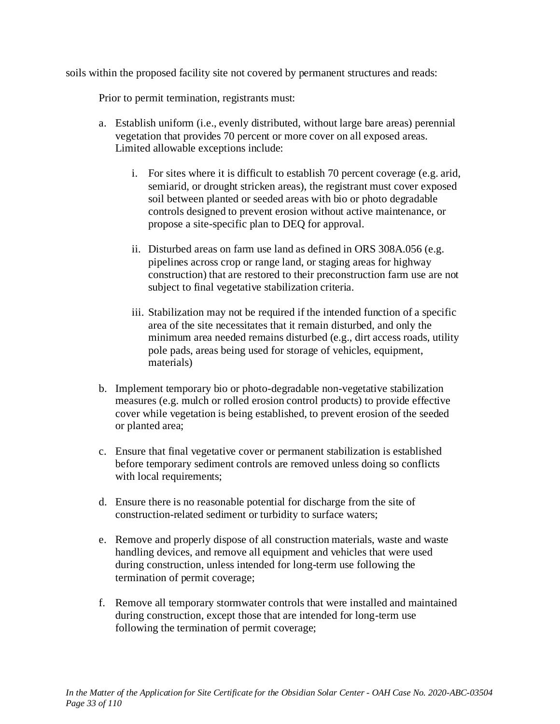soils within the proposed facility site not covered by permanent structures and reads:

Prior to permit termination, registrants must:

- a. Establish uniform (i.e., evenly distributed, without large bare areas) perennial vegetation that provides 70 percent or more cover on all exposed areas. Limited allowable exceptions include:
	- i. For sites where it is difficult to establish 70 percent coverage (e.g. arid, semiarid, or drought stricken areas), the registrant must cover exposed soil between planted or seeded areas with bio or photo degradable controls designed to prevent erosion without active maintenance, or propose a site-specific plan to DEQ for approval.
	- ii. Disturbed areas on farm use land as defined in ORS 308A.056 (e.g. pipelines across crop or range land, or staging areas for highway construction) that are restored to their preconstruction farm use are not subject to final vegetative stabilization criteria.
	- iii. Stabilization may not be required if the intended function of a specific area of the site necessitates that it remain disturbed, and only the minimum area needed remains disturbed (e.g., dirt access roads, utility pole pads, areas being used for storage of vehicles, equipment, materials)
- b. Implement temporary bio or photo-degradable non-vegetative stabilization measures (e.g. mulch or rolled erosion control products) to provide effective cover while vegetation is being established, to prevent erosion of the seeded or planted area;
- c. Ensure that final vegetative cover or permanent stabilization is established before temporary sediment controls are removed unless doing so conflicts with local requirements;
- d. Ensure there is no reasonable potential for discharge from the site of construction-related sediment or turbidity to surface waters;
- e. Remove and properly dispose of all construction materials, waste and waste handling devices, and remove all equipment and vehicles that were used during construction, unless intended for long-term use following the termination of permit coverage;
- f. Remove all temporary stormwater controls that were installed and maintained during construction, except those that are intended for long-term use following the termination of permit coverage;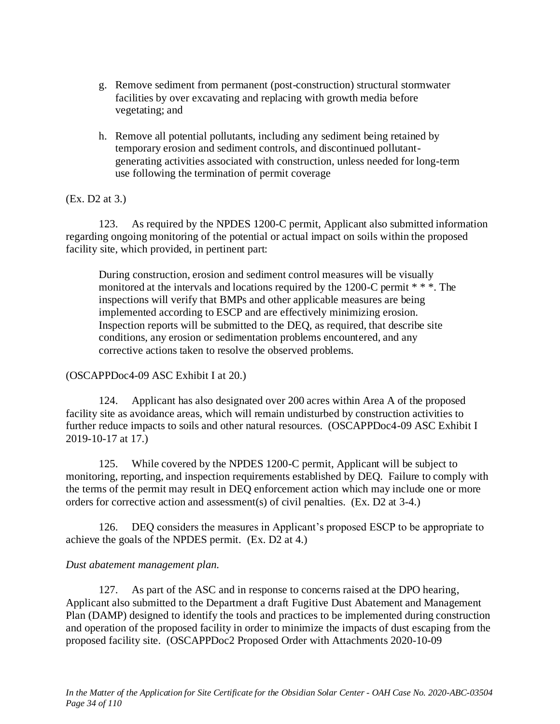- g. Remove sediment from permanent (post-construction) structural stormwater facilities by over excavating and replacing with growth media before vegetating; and
- h. Remove all potential pollutants, including any sediment being retained by temporary erosion and sediment controls, and discontinued pollutantgenerating activities associated with construction, unless needed for long-term use following the termination of permit coverage

### (Ex. D2 at 3.)

123. As required by the NPDES 1200-C permit, Applicant also submitted information regarding ongoing monitoring of the potential or actual impact on soils within the proposed facility site, which provided, in pertinent part:

During construction, erosion and sediment control measures will be visually monitored at the intervals and locations required by the 1200-C permit \* \* \*. The inspections will verify that BMPs and other applicable measures are being implemented according to ESCP and are effectively minimizing erosion. Inspection reports will be submitted to the DEQ, as required, that describe site conditions, any erosion or sedimentation problems encountered, and any corrective actions taken to resolve the observed problems.

# (OSCAPPDoc4-09 ASC Exhibit I at 20.)

124. Applicant has also designated over 200 acres within Area A of the proposed facility site as avoidance areas, which will remain undisturbed by construction activities to further reduce impacts to soils and other natural resources. (OSCAPPDoc4-09 ASC Exhibit I 2019-10-17 at 17.)

125. While covered by the NPDES 1200-C permit, Applicant will be subject to monitoring, reporting, and inspection requirements established by DEQ. Failure to comply with the terms of the permit may result in DEQ enforcement action which may include one or more orders for corrective action and assessment(s) of civil penalties. (Ex. D2 at 3-4.)

126. DEQ considers the measures in Applicant's proposed ESCP to be appropriate to achieve the goals of the NPDES permit. (Ex. D2 at 4.)

### *Dust abatement management plan.*

127. As part of the ASC and in response to concerns raised at the DPO hearing, Applicant also submitted to the Department a draft Fugitive Dust Abatement and Management Plan (DAMP) designed to identify the tools and practices to be implemented during construction and operation of the proposed facility in order to minimize the impacts of dust escaping from the proposed facility site. (OSCAPPDoc2 Proposed Order with Attachments 2020-10-09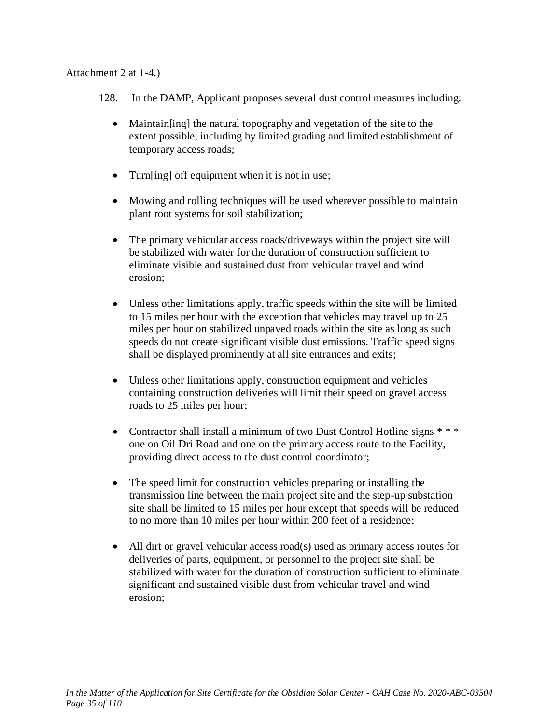## Attachment 2 at 1-4.)

128. In the DAMP, Applicant proposes several dust control measures including:

- Maintain [ing] the natural topography and vegetation of the site to the extent possible, including by limited grading and limited establishment of temporary access roads;
- Turn[ing] off equipment when it is not in use;
- Mowing and rolling techniques will be used wherever possible to maintain plant root systems for soil stabilization;
- The primary vehicular access roads/driveways within the project site will be stabilized with water for the duration of construction sufficient to eliminate visible and sustained dust from vehicular travel and wind erosion;
- Unless other limitations apply, traffic speeds within the site will be limited to 15 miles per hour with the exception that vehicles may travel up to 25 miles per hour on stabilized unpaved roads within the site as long as such speeds do not create significant visible dust emissions. Traffic speed signs shall be displayed prominently at all site entrances and exits;
- Unless other limitations apply, construction equipment and vehicles containing construction deliveries will limit their speed on gravel access roads to 25 miles per hour;
- Contractor shall install a minimum of two Dust Control Hotline signs \* \* \* one on Oil Dri Road and one on the primary access route to the Facility, providing direct access to the dust control coordinator;
- The speed limit for construction vehicles preparing or installing the transmission line between the main project site and the step-up substation site shall be limited to 15 miles per hour except that speeds will be reduced to no more than 10 miles per hour within 200 feet of a residence;
- All dirt or gravel vehicular access road(s) used as primary access routes for deliveries of parts, equipment, or personnel to the project site shall be stabilized with water for the duration of construction sufficient to eliminate significant and sustained visible dust from vehicular travel and wind erosion;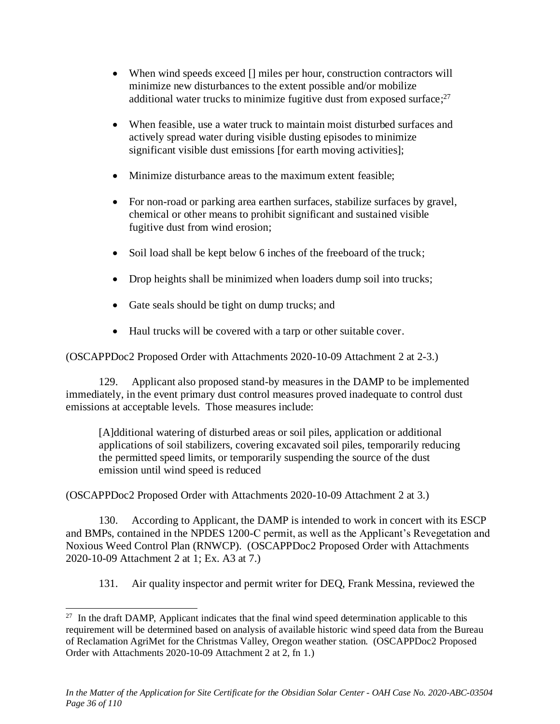- When wind speeds exceed [] miles per hour, construction contractors will minimize new disturbances to the extent possible and/or mobilize additional water trucks to minimize fugitive dust from exposed surface;<sup>27</sup>
- When feasible, use a water truck to maintain moist disturbed surfaces and actively spread water during visible dusting episodes to minimize significant visible dust emissions [for earth moving activities];
- Minimize disturbance areas to the maximum extent feasible;
- For non-road or parking area earthen surfaces, stabilize surfaces by gravel, chemical or other means to prohibit significant and sustained visible fugitive dust from wind erosion;
- Soil load shall be kept below 6 inches of the freeboard of the truck;
- Drop heights shall be minimized when loaders dump soil into trucks;
- Gate seals should be tight on dump trucks; and
- Haul trucks will be covered with a tarp or other suitable cover.

(OSCAPPDoc2 Proposed Order with Attachments 2020-10-09 Attachment 2 at 2-3.)

129. Applicant also proposed stand-by measures in the DAMP to be implemented immediately, in the event primary dust control measures proved inadequate to control dust emissions at acceptable levels. Those measures include:

[A]dditional watering of disturbed areas or soil piles, application or additional applications of soil stabilizers, covering excavated soil piles, temporarily reducing the permitted speed limits, or temporarily suspending the source of the dust emission until wind speed is reduced

(OSCAPPDoc2 Proposed Order with Attachments 2020-10-09 Attachment 2 at 3.)

130. According to Applicant, the DAMP is intended to work in concert with its ESCP and BMPs, contained in the NPDES 1200-C permit, as well as the Applicant's Revegetation and Noxious Weed Control Plan (RNWCP). (OSCAPPDoc2 Proposed Order with Attachments 2020-10-09 Attachment 2 at 1; Ex. A3 at 7.)

131. Air quality inspector and permit writer for DEQ, Frank Messina, reviewed the

<sup>&</sup>lt;sup>27</sup> In the draft DAMP, Applicant indicates that the final wind speed determination applicable to this requirement will be determined based on analysis of available historic wind speed data from the Bureau of Reclamation AgriMet for the Christmas Valley, Oregon weather station. (OSCAPPDoc2 Proposed Order with Attachments 2020-10-09 Attachment 2 at 2, fn 1.)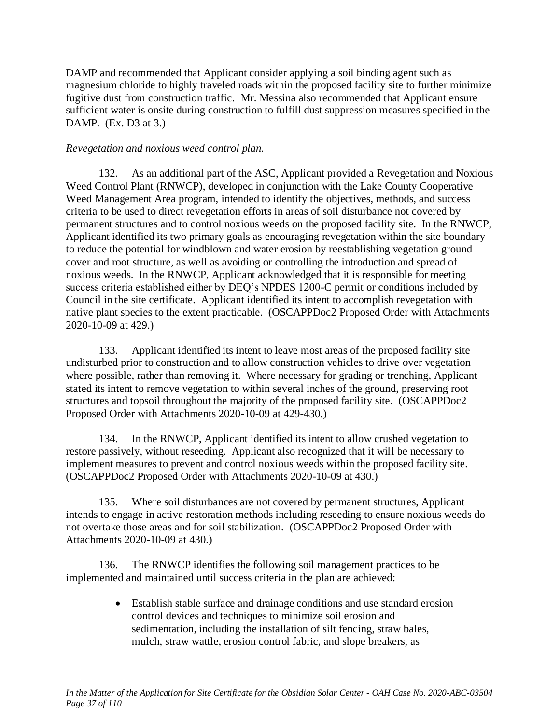DAMP and recommended that Applicant consider applying a soil binding agent such as magnesium chloride to highly traveled roads within the proposed facility site to further minimize fugitive dust from construction traffic. Mr. Messina also recommended that Applicant ensure sufficient water is onsite during construction to fulfill dust suppression measures specified in the DAMP. (Ex. D3 at 3.)

### *Revegetation and noxious weed control plan.*

132. As an additional part of the ASC, Applicant provided a Revegetation and Noxious Weed Control Plant (RNWCP), developed in conjunction with the Lake County Cooperative Weed Management Area program, intended to identify the objectives, methods, and success criteria to be used to direct revegetation efforts in areas of soil disturbance not covered by permanent structures and to control noxious weeds on the proposed facility site. In the RNWCP, Applicant identified its two primary goals as encouraging revegetation within the site boundary to reduce the potential for windblown and water erosion by reestablishing vegetation ground cover and root structure, as well as avoiding or controlling the introduction and spread of noxious weeds. In the RNWCP, Applicant acknowledged that it is responsible for meeting success criteria established either by DEQ's NPDES 1200-C permit or conditions included by Council in the site certificate. Applicant identified its intent to accomplish revegetation with native plant species to the extent practicable. (OSCAPPDoc2 Proposed Order with Attachments 2020-10-09 at 429.)

133. Applicant identified its intent to leave most areas of the proposed facility site undisturbed prior to construction and to allow construction vehicles to drive over vegetation where possible, rather than removing it. Where necessary for grading or trenching, Applicant stated its intent to remove vegetation to within several inches of the ground, preserving root structures and topsoil throughout the majority of the proposed facility site. (OSCAPPDoc2 Proposed Order with Attachments 2020-10-09 at 429-430.)

134. In the RNWCP, Applicant identified its intent to allow crushed vegetation to restore passively, without reseeding. Applicant also recognized that it will be necessary to implement measures to prevent and control noxious weeds within the proposed facility site. (OSCAPPDoc2 Proposed Order with Attachments 2020-10-09 at 430.)

135. Where soil disturbances are not covered by permanent structures, Applicant intends to engage in active restoration methods including reseeding to ensure noxious weeds do not overtake those areas and for soil stabilization. (OSCAPPDoc2 Proposed Order with Attachments 2020-10-09 at 430.)

136. The RNWCP identifies the following soil management practices to be implemented and maintained until success criteria in the plan are achieved:

> • Establish stable surface and drainage conditions and use standard erosion control devices and techniques to minimize soil erosion and sedimentation, including the installation of silt fencing, straw bales, mulch, straw wattle, erosion control fabric, and slope breakers, as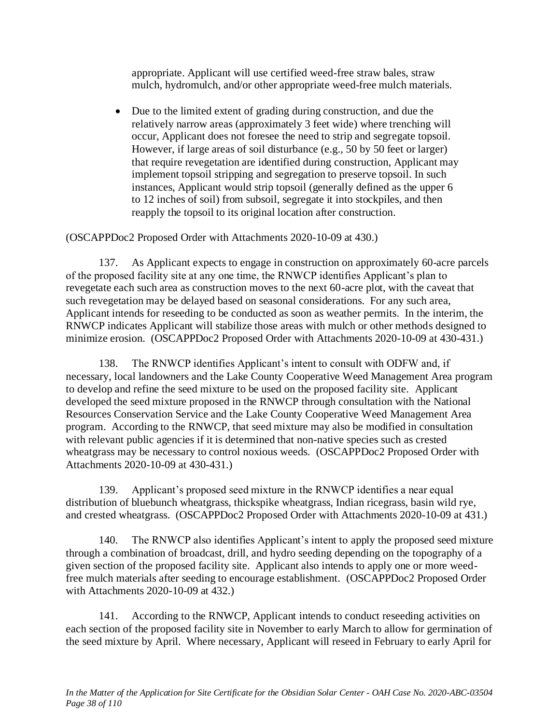appropriate. Applicant will use certified weed-free straw bales, straw mulch, hydromulch, and/or other appropriate weed-free mulch materials.

• Due to the limited extent of grading during construction, and due the relatively narrow areas (approximately 3 feet wide) where trenching will occur, Applicant does not foresee the need to strip and segregate topsoil. However, if large areas of soil disturbance (e.g., 50 by 50 feet or larger) that require revegetation are identified during construction, Applicant may implement topsoil stripping and segregation to preserve topsoil. In such instances, Applicant would strip topsoil (generally defined as the upper 6 to 12 inches of soil) from subsoil, segregate it into stockpiles, and then reapply the topsoil to its original location after construction.

(OSCAPPDoc2 Proposed Order with Attachments 2020-10-09 at 430.)

137. As Applicant expects to engage in construction on approximately 60-acre parcels of the proposed facility site at any one time, the RNWCP identifies Applicant's plan to revegetate each such area as construction moves to the next 60-acre plot, with the caveat that such revegetation may be delayed based on seasonal considerations. For any such area, Applicant intends for reseeding to be conducted as soon as weather permits. In the interim, the RNWCP indicates Applicant will stabilize those areas with mulch or other methods designed to minimize erosion. (OSCAPPDoc2 Proposed Order with Attachments 2020-10-09 at 430-431.)

138. The RNWCP identifies Applicant's intent to consult with ODFW and, if necessary, local landowners and the Lake County Cooperative Weed Management Area program to develop and refine the seed mixture to be used on the proposed facility site. Applicant developed the seed mixture proposed in the RNWCP through consultation with the National Resources Conservation Service and the Lake County Cooperative Weed Management Area program. According to the RNWCP, that seed mixture may also be modified in consultation with relevant public agencies if it is determined that non-native species such as crested wheatgrass may be necessary to control noxious weeds. (OSCAPPDoc2 Proposed Order with Attachments 2020-10-09 at 430-431.)

139. Applicant's proposed seed mixture in the RNWCP identifies a near equal distribution of bluebunch wheatgrass, thickspike wheatgrass, Indian ricegrass, basin wild rye, and crested wheatgrass. (OSCAPPDoc2 Proposed Order with Attachments 2020-10-09 at 431.)

140. The RNWCP also identifies Applicant's intent to apply the proposed seed mixture through a combination of broadcast, drill, and hydro seeding depending on the topography of a given section of the proposed facility site. Applicant also intends to apply one or more weedfree mulch materials after seeding to encourage establishment. (OSCAPPDoc2 Proposed Order with Attachments 2020-10-09 at 432.)

141. According to the RNWCP, Applicant intends to conduct reseeding activities on each section of the proposed facility site in November to early March to allow for germination of the seed mixture by April. Where necessary, Applicant will reseed in February to early April for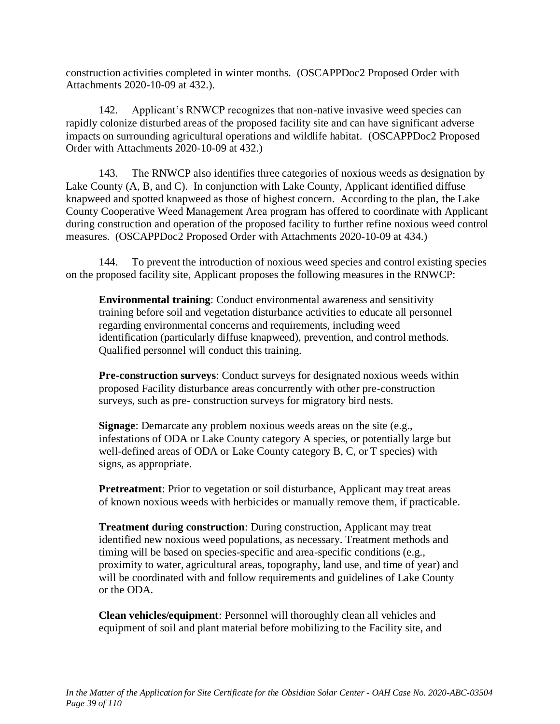construction activities completed in winter months. (OSCAPPDoc2 Proposed Order with Attachments 2020-10-09 at 432.).

142. Applicant's RNWCP recognizes that non-native invasive weed species can rapidly colonize disturbed areas of the proposed facility site and can have significant adverse impacts on surrounding agricultural operations and wildlife habitat. (OSCAPPDoc2 Proposed Order with Attachments 2020-10-09 at 432.)

143. The RNWCP also identifies three categories of noxious weeds as designation by Lake County (A, B, and C). In conjunction with Lake County, Applicant identified diffuse knapweed and spotted knapweed as those of highest concern. According to the plan, the Lake County Cooperative Weed Management Area program has offered to coordinate with Applicant during construction and operation of the proposed facility to further refine noxious weed control measures. (OSCAPPDoc2 Proposed Order with Attachments 2020-10-09 at 434.)

144. To prevent the introduction of noxious weed species and control existing species on the proposed facility site, Applicant proposes the following measures in the RNWCP:

**Environmental training**: Conduct environmental awareness and sensitivity training before soil and vegetation disturbance activities to educate all personnel regarding environmental concerns and requirements, including weed identification (particularly diffuse knapweed), prevention, and control methods. Qualified personnel will conduct this training.

**Pre-construction surveys**: Conduct surveys for designated noxious weeds within proposed Facility disturbance areas concurrently with other pre-construction surveys, such as pre- construction surveys for migratory bird nests.

**Signage**: Demarcate any problem noxious weeds areas on the site (e.g., infestations of ODA or Lake County category A species, or potentially large but well-defined areas of ODA or Lake County category B, C, or T species) with signs, as appropriate.

**Pretreatment**: Prior to vegetation or soil disturbance, Applicant may treat areas of known noxious weeds with herbicides or manually remove them, if practicable.

**Treatment during construction**: During construction, Applicant may treat identified new noxious weed populations, as necessary. Treatment methods and timing will be based on species-specific and area-specific conditions (e.g., proximity to water, agricultural areas, topography, land use, and time of year) and will be coordinated with and follow requirements and guidelines of Lake County or the ODA.

**Clean vehicles/equipment**: Personnel will thoroughly clean all vehicles and equipment of soil and plant material before mobilizing to the Facility site, and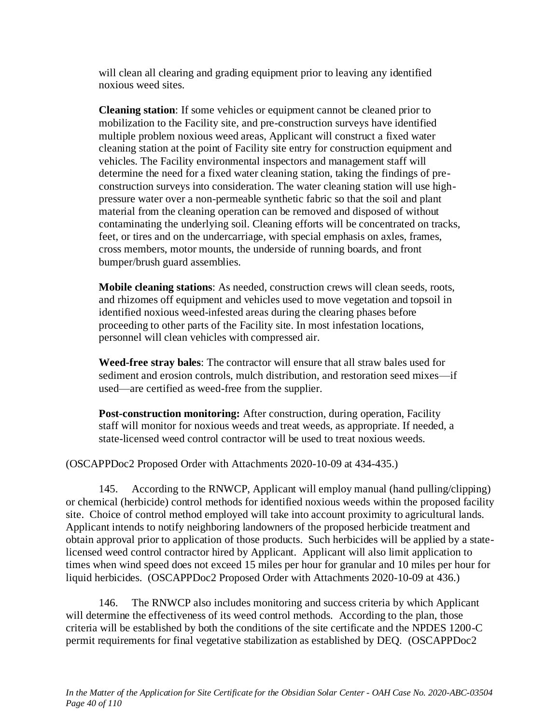will clean all clearing and grading equipment prior to leaving any identified noxious weed sites.

**Cleaning station**: If some vehicles or equipment cannot be cleaned prior to mobilization to the Facility site, and pre-construction surveys have identified multiple problem noxious weed areas, Applicant will construct a fixed water cleaning station at the point of Facility site entry for construction equipment and vehicles. The Facility environmental inspectors and management staff will determine the need for a fixed water cleaning station, taking the findings of preconstruction surveys into consideration. The water cleaning station will use highpressure water over a non-permeable synthetic fabric so that the soil and plant material from the cleaning operation can be removed and disposed of without contaminating the underlying soil. Cleaning efforts will be concentrated on tracks, feet, or tires and on the undercarriage, with special emphasis on axles, frames, cross members, motor mounts, the underside of running boards, and front bumper/brush guard assemblies.

**Mobile cleaning stations**: As needed, construction crews will clean seeds, roots, and rhizomes off equipment and vehicles used to move vegetation and topsoil in identified noxious weed-infested areas during the clearing phases before proceeding to other parts of the Facility site. In most infestation locations, personnel will clean vehicles with compressed air.

**Weed-free stray bales**: The contractor will ensure that all straw bales used for sediment and erosion controls, mulch distribution, and restoration seed mixes—if used—are certified as weed-free from the supplier.

**Post-construction monitoring:** After construction, during operation, Facility staff will monitor for noxious weeds and treat weeds, as appropriate. If needed, a state-licensed weed control contractor will be used to treat noxious weeds.

(OSCAPPDoc2 Proposed Order with Attachments 2020-10-09 at 434-435.)

145. According to the RNWCP, Applicant will employ manual (hand pulling/clipping) or chemical (herbicide) control methods for identified noxious weeds within the proposed facility site. Choice of control method employed will take into account proximity to agricultural lands. Applicant intends to notify neighboring landowners of the proposed herbicide treatment and obtain approval prior to application of those products. Such herbicides will be applied by a statelicensed weed control contractor hired by Applicant. Applicant will also limit application to times when wind speed does not exceed 15 miles per hour for granular and 10 miles per hour for liquid herbicides. (OSCAPPDoc2 Proposed Order with Attachments 2020-10-09 at 436.)

146. The RNWCP also includes monitoring and success criteria by which Applicant will determine the effectiveness of its weed control methods. According to the plan, those criteria will be established by both the conditions of the site certificate and the NPDES 1200-C permit requirements for final vegetative stabilization as established by DEQ. (OSCAPPDoc2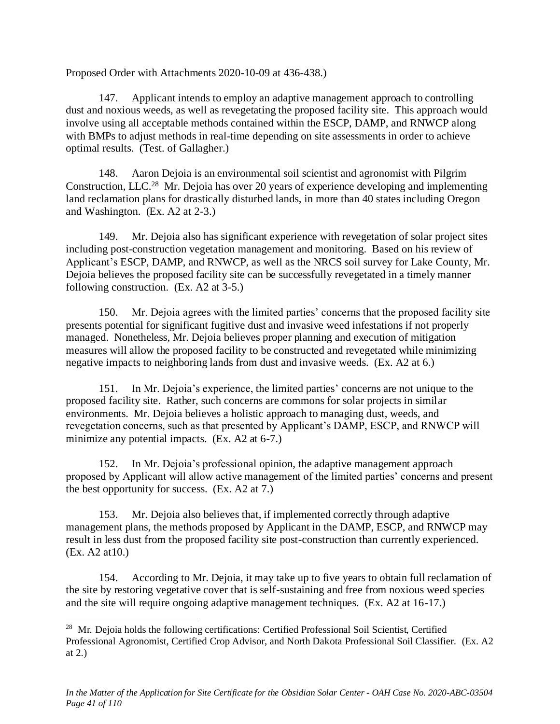Proposed Order with Attachments 2020-10-09 at 436-438.)

147. Applicant intends to employ an adaptive management approach to controlling dust and noxious weeds, as well as revegetating the proposed facility site. This approach would involve using all acceptable methods contained within the ESCP, DAMP, and RNWCP along with BMPs to adjust methods in real-time depending on site assessments in order to achieve optimal results. (Test. of Gallagher.)

148. Aaron Dejoia is an environmental soil scientist and agronomist with Pilgrim Construction, LLC.<sup>28</sup> Mr. Dejoia has over 20 years of experience developing and implementing land reclamation plans for drastically disturbed lands, in more than 40 states including Oregon and Washington. (Ex. A2 at 2-3.)

149. Mr. Dejoia also has significant experience with revegetation of solar project sites including post-construction vegetation management and monitoring. Based on his review of Applicant's ESCP, DAMP, and RNWCP, as well as the NRCS soil survey for Lake County, Mr. Dejoia believes the proposed facility site can be successfully revegetated in a timely manner following construction. (Ex. A2 at 3-5.)

150. Mr. Dejoia agrees with the limited parties' concerns that the proposed facility site presents potential for significant fugitive dust and invasive weed infestations if not properly managed. Nonetheless, Mr. Dejoia believes proper planning and execution of mitigation measures will allow the proposed facility to be constructed and revegetated while minimizing negative impacts to neighboring lands from dust and invasive weeds. (Ex. A2 at 6.)

151. In Mr. Dejoia's experience, the limited parties' concerns are not unique to the proposed facility site. Rather, such concerns are commons for solar projects in similar environments. Mr. Dejoia believes a holistic approach to managing dust, weeds, and revegetation concerns, such as that presented by Applicant's DAMP, ESCP, and RNWCP will minimize any potential impacts. (Ex. A2 at 6-7.)

152. In Mr. Dejoia's professional opinion, the adaptive management approach proposed by Applicant will allow active management of the limited parties' concerns and present the best opportunity for success. (Ex. A2 at 7.)

153. Mr. Dejoia also believes that, if implemented correctly through adaptive management plans, the methods proposed by Applicant in the DAMP, ESCP, and RNWCP may result in less dust from the proposed facility site post-construction than currently experienced. (Ex. A2 at10.)

154. According to Mr. Dejoia, it may take up to five years to obtain full reclamation of the site by restoring vegetative cover that is self-sustaining and free from noxious weed species and the site will require ongoing adaptive management techniques. (Ex. A2 at 16-17.)

<sup>&</sup>lt;sup>28</sup> Mr. Dejoia holds the following certifications: Certified Professional Soil Scientist, Certified Professional Agronomist, Certified Crop Advisor, and North Dakota Professional Soil Classifier. (Ex. A2 at 2.)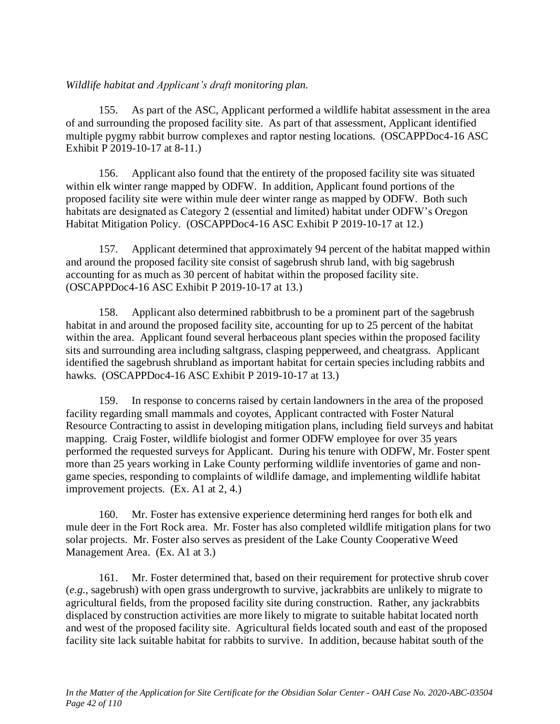### *Wildlife habitat and Applicant's draft monitoring plan.*

155. As part of the ASC, Applicant performed a wildlife habitat assessment in the area of and surrounding the proposed facility site. As part of that assessment, Applicant identified multiple pygmy rabbit burrow complexes and raptor nesting locations. (OSCAPPDoc4-16 ASC Exhibit P 2019-10-17 at 8-11.)

156. Applicant also found that the entirety of the proposed facility site was situated within elk winter range mapped by ODFW. In addition, Applicant found portions of the proposed facility site were within mule deer winter range as mapped by ODFW. Both such habitats are designated as Category 2 (essential and limited) habitat under ODFW's Oregon Habitat Mitigation Policy. (OSCAPPDoc4-16 ASC Exhibit P 2019-10-17 at 12.)

157. Applicant determined that approximately 94 percent of the habitat mapped within and around the proposed facility site consist of sagebrush shrub land, with big sagebrush accounting for as much as 30 percent of habitat within the proposed facility site. (OSCAPPDoc4-16 ASC Exhibit P 2019-10-17 at 13.)

158. Applicant also determined rabbitbrush to be a prominent part of the sagebrush habitat in and around the proposed facility site, accounting for up to 25 percent of the habitat within the area. Applicant found several herbaceous plant species within the proposed facility sits and surrounding area including saltgrass, clasping pepperweed, and cheatgrass. Applicant identified the sagebrush shrubland as important habitat for certain species including rabbits and hawks. (OSCAPPDoc4-16 ASC Exhibit P 2019-10-17 at 13.)

159. In response to concerns raised by certain landowners in the area of the proposed facility regarding small mammals and coyotes, Applicant contracted with Foster Natural Resource Contracting to assist in developing mitigation plans, including field surveys and habitat mapping. Craig Foster, wildlife biologist and former ODFW employee for over 35 years performed the requested surveys for Applicant. During his tenure with ODFW, Mr. Foster spent more than 25 years working in Lake County performing wildlife inventories of game and nongame species, responding to complaints of wildlife damage, and implementing wildlife habitat improvement projects. (Ex. A1 at 2, 4.)

160. Mr. Foster has extensive experience determining herd ranges for both elk and mule deer in the Fort Rock area. Mr. Foster has also completed wildlife mitigation plans for two solar projects. Mr. Foster also serves as president of the Lake County Cooperative Weed Management Area. (Ex. A1 at 3.)

161. Mr. Foster determined that, based on their requirement for protective shrub cover (*e.g.*, sagebrush) with open grass undergrowth to survive, jackrabbits are unlikely to migrate to agricultural fields, from the proposed facility site during construction. Rather, any jackrabbits displaced by construction activities are more likely to migrate to suitable habitat located north and west of the proposed facility site. Agricultural fields located south and east of the proposed facility site lack suitable habitat for rabbits to survive. In addition, because habitat south of the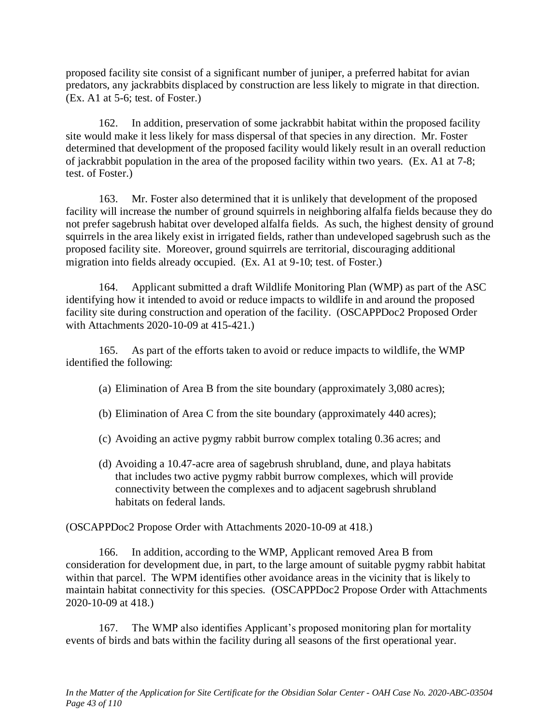proposed facility site consist of a significant number of juniper, a preferred habitat for avian predators, any jackrabbits displaced by construction are less likely to migrate in that direction. (Ex. A1 at 5-6; test. of Foster.)

162. In addition, preservation of some jackrabbit habitat within the proposed facility site would make it less likely for mass dispersal of that species in any direction. Mr. Foster determined that development of the proposed facility would likely result in an overall reduction of jackrabbit population in the area of the proposed facility within two years. (Ex. A1 at 7-8; test. of Foster.)

163. Mr. Foster also determined that it is unlikely that development of the proposed facility will increase the number of ground squirrels in neighboring alfalfa fields because they do not prefer sagebrush habitat over developed alfalfa fields. As such, the highest density of ground squirrels in the area likely exist in irrigated fields, rather than undeveloped sagebrush such as the proposed facility site. Moreover, ground squirrels are territorial, discouraging additional migration into fields already occupied. (Ex. A1 at 9-10; test. of Foster.)

164. Applicant submitted a draft Wildlife Monitoring Plan (WMP) as part of the ASC identifying how it intended to avoid or reduce impacts to wildlife in and around the proposed facility site during construction and operation of the facility. (OSCAPPDoc2 Proposed Order with Attachments 2020-10-09 at 415-421.)

165. As part of the efforts taken to avoid or reduce impacts to wildlife, the WMP identified the following:

- (a) Elimination of Area B from the site boundary (approximately 3,080 acres);
- (b) Elimination of Area C from the site boundary (approximately 440 acres);
- (c) Avoiding an active pygmy rabbit burrow complex totaling 0.36 acres; and
- (d) Avoiding a 10.47-acre area of sagebrush shrubland, dune, and playa habitats that includes two active pygmy rabbit burrow complexes, which will provide connectivity between the complexes and to adjacent sagebrush shrubland habitats on federal lands.

(OSCAPPDoc2 Propose Order with Attachments 2020-10-09 at 418.)

166. In addition, according to the WMP, Applicant removed Area B from consideration for development due, in part, to the large amount of suitable pygmy rabbit habitat within that parcel. The WPM identifies other avoidance areas in the vicinity that is likely to maintain habitat connectivity for this species. (OSCAPPDoc2 Propose Order with Attachments 2020-10-09 at 418.)

167. The WMP also identifies Applicant's proposed monitoring plan for mortality events of birds and bats within the facility during all seasons of the first operational year.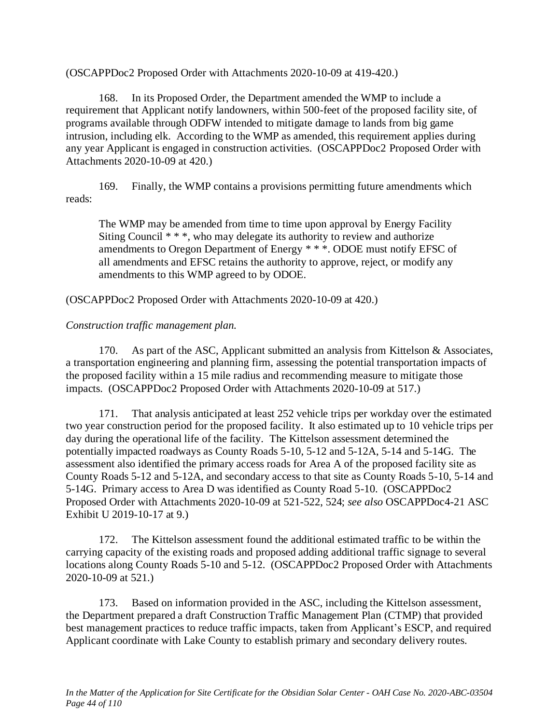(OSCAPPDoc2 Proposed Order with Attachments 2020-10-09 at 419-420.)

168. In its Proposed Order, the Department amended the WMP to include a requirement that Applicant notify landowners, within 500-feet of the proposed facility site, of programs available through ODFW intended to mitigate damage to lands from big game intrusion, including elk. According to the WMP as amended, this requirement applies during any year Applicant is engaged in construction activities. (OSCAPPDoc2 Proposed Order with Attachments 2020-10-09 at 420.)

169. Finally, the WMP contains a provisions permitting future amendments which reads:

The WMP may be amended from time to time upon approval by Energy Facility Siting Council  $**$ , who may delegate its authority to review and authorize amendments to Oregon Department of Energy \* \* \*. ODOE must notify EFSC of all amendments and EFSC retains the authority to approve, reject, or modify any amendments to this WMP agreed to by ODOE.

(OSCAPPDoc2 Proposed Order with Attachments 2020-10-09 at 420.)

### *Construction traffic management plan.*

170. As part of the ASC, Applicant submitted an analysis from Kittelson & Associates, a transportation engineering and planning firm, assessing the potential transportation impacts of the proposed facility within a 15 mile radius and recommending measure to mitigate those impacts. (OSCAPPDoc2 Proposed Order with Attachments 2020-10-09 at 517.)

171. That analysis anticipated at least 252 vehicle trips per workday over the estimated two year construction period for the proposed facility. It also estimated up to 10 vehicle trips per day during the operational life of the facility. The Kittelson assessment determined the potentially impacted roadways as County Roads 5-10, 5-12 and 5-12A, 5-14 and 5-14G. The assessment also identified the primary access roads for Area A of the proposed facility site as County Roads 5-12 and 5-12A, and secondary access to that site as County Roads 5-10, 5-14 and 5-14G. Primary access to Area D was identified as County Road 5-10. (OSCAPPDoc2 Proposed Order with Attachments 2020-10-09 at 521-522, 524; *see also* OSCAPPDoc4-21 ASC Exhibit U 2019-10-17 at 9.)

172. The Kittelson assessment found the additional estimated traffic to be within the carrying capacity of the existing roads and proposed adding additional traffic signage to several locations along County Roads 5-10 and 5-12. (OSCAPPDoc2 Proposed Order with Attachments 2020-10-09 at 521.)

173. Based on information provided in the ASC, including the Kittelson assessment, the Department prepared a draft Construction Traffic Management Plan (CTMP) that provided best management practices to reduce traffic impacts, taken from Applicant's ESCP, and required Applicant coordinate with Lake County to establish primary and secondary delivery routes.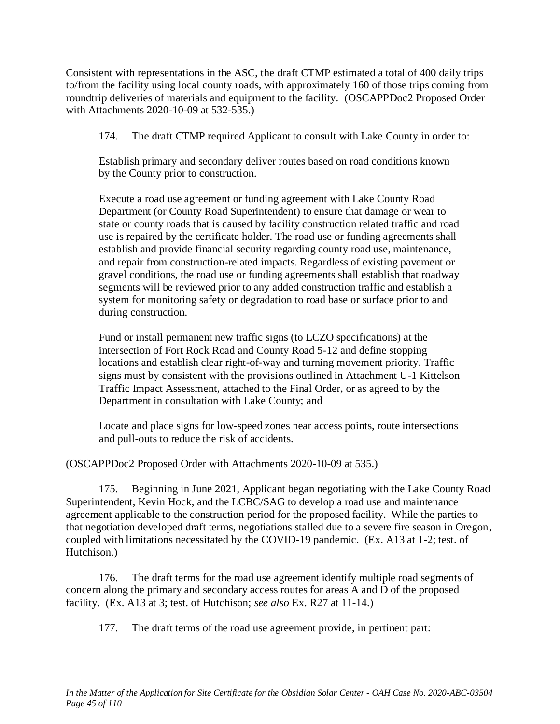Consistent with representations in the ASC, the draft CTMP estimated a total of 400 daily trips to/from the facility using local county roads, with approximately 160 of those trips coming from roundtrip deliveries of materials and equipment to the facility. (OSCAPPDoc2 Proposed Order with Attachments 2020-10-09 at 532-535.)

174. The draft CTMP required Applicant to consult with Lake County in order to:

Establish primary and secondary deliver routes based on road conditions known by the County prior to construction.

Execute a road use agreement or funding agreement with Lake County Road Department (or County Road Superintendent) to ensure that damage or wear to state or county roads that is caused by facility construction related traffic and road use is repaired by the certificate holder. The road use or funding agreements shall establish and provide financial security regarding county road use, maintenance, and repair from construction-related impacts. Regardless of existing pavement or gravel conditions, the road use or funding agreements shall establish that roadway segments will be reviewed prior to any added construction traffic and establish a system for monitoring safety or degradation to road base or surface prior to and during construction.

Fund or install permanent new traffic signs (to LCZO specifications) at the intersection of Fort Rock Road and County Road 5-12 and define stopping locations and establish clear right-of-way and turning movement priority. Traffic signs must by consistent with the provisions outlined in Attachment U-1 Kittelson Traffic Impact Assessment, attached to the Final Order, or as agreed to by the Department in consultation with Lake County; and

Locate and place signs for low-speed zones near access points, route intersections and pull-outs to reduce the risk of accidents.

(OSCAPPDoc2 Proposed Order with Attachments 2020-10-09 at 535.)

175. Beginning in June 2021, Applicant began negotiating with the Lake County Road Superintendent, Kevin Hock, and the LCBC/SAG to develop a road use and maintenance agreement applicable to the construction period for the proposed facility. While the parties to that negotiation developed draft terms, negotiations stalled due to a severe fire season in Oregon, coupled with limitations necessitated by the COVID-19 pandemic. (Ex. A13 at 1-2; test. of Hutchison.)

176. The draft terms for the road use agreement identify multiple road segments of concern along the primary and secondary access routes for areas A and D of the proposed facility. (Ex. A13 at 3; test. of Hutchison; *see also* Ex. R27 at 11-14.)

177. The draft terms of the road use agreement provide, in pertinent part: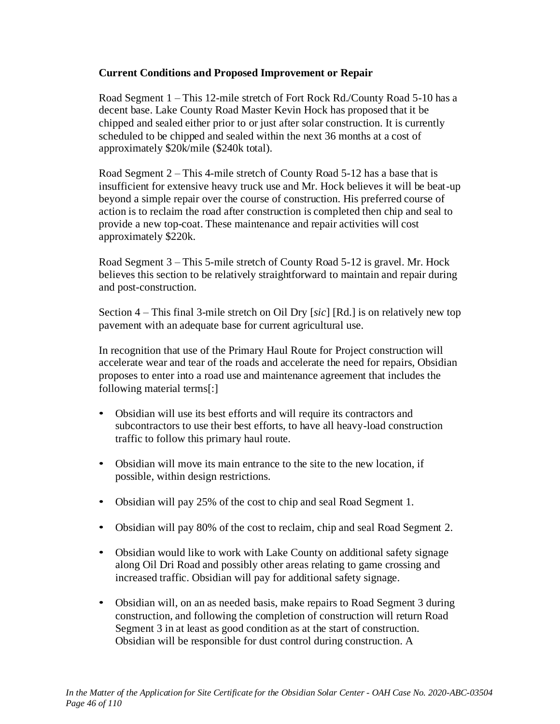### **Current Conditions and Proposed Improvement or Repair**

Road Segment 1 – This 12-mile stretch of Fort Rock Rd./County Road 5-10 has a decent base. Lake County Road Master Kevin Hock has proposed that it be chipped and sealed either prior to or just after solar construction. It is currently scheduled to be chipped and sealed within the next 36 months at a cost of approximately \$20k/mile (\$240k total).

Road Segment 2 – This 4-mile stretch of County Road 5-12 has a base that is insufficient for extensive heavy truck use and Mr. Hock believes it will be beat-up beyond a simple repair over the course of construction. His preferred course of action is to reclaim the road after construction is completed then chip and seal to provide a new top-coat. These maintenance and repair activities will cost approximately \$220k.

Road Segment 3 – This 5-mile stretch of County Road 5-12 is gravel. Mr. Hock believes this section to be relatively straightforward to maintain and repair during and post-construction.

Section 4 – This final 3-mile stretch on Oil Dry [*sic*] [Rd.] is on relatively new top pavement with an adequate base for current agricultural use.

In recognition that use of the Primary Haul Route for Project construction will accelerate wear and tear of the roads and accelerate the need for repairs, Obsidian proposes to enter into a road use and maintenance agreement that includes the following material terms[:]

- Obsidian will use its best efforts and will require its contractors and subcontractors to use their best efforts, to have all heavy-load construction traffic to follow this primary haul route.
- Obsidian will move its main entrance to the site to the new location, if possible, within design restrictions.
- Obsidian will pay 25% of the cost to chip and seal Road Segment 1.
- Obsidian will pay 80% of the cost to reclaim, chip and seal Road Segment 2.
- Obsidian would like to work with Lake County on additional safety signage along Oil Dri Road and possibly other areas relating to game crossing and increased traffic. Obsidian will pay for additional safety signage.
- Obsidian will, on an as needed basis, make repairs to Road Segment 3 during construction, and following the completion of construction will return Road Segment 3 in at least as good condition as at the start of construction. Obsidian will be responsible for dust control during construction. A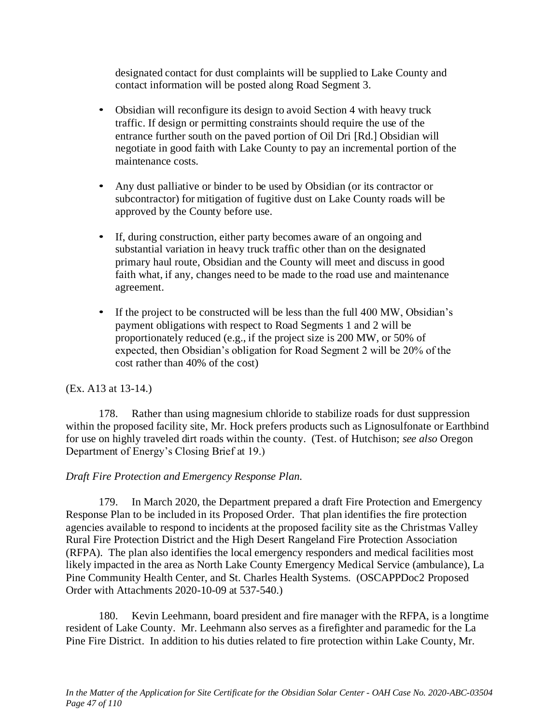designated contact for dust complaints will be supplied to Lake County and contact information will be posted along Road Segment 3.

- Obsidian will reconfigure its design to avoid Section 4 with heavy truck traffic. If design or permitting constraints should require the use of the entrance further south on the paved portion of Oil Dri [Rd.] Obsidian will negotiate in good faith with Lake County to pay an incremental portion of the maintenance costs.
- Any dust palliative or binder to be used by Obsidian (or its contractor or subcontractor) for mitigation of fugitive dust on Lake County roads will be approved by the County before use.
- If, during construction, either party becomes aware of an ongoing and substantial variation in heavy truck traffic other than on the designated primary haul route, Obsidian and the County will meet and discuss in good faith what, if any, changes need to be made to the road use and maintenance agreement.
- If the project to be constructed will be less than the full 400 MW, Obsidian's payment obligations with respect to Road Segments 1 and 2 will be proportionately reduced (e.g., if the project size is 200 MW, or 50% of expected, then Obsidian's obligation for Road Segment 2 will be 20% of the cost rather than 40% of the cost)

## (Ex. A13 at 13-14.)

178. Rather than using magnesium chloride to stabilize roads for dust suppression within the proposed facility site, Mr. Hock prefers products such as Lignosulfonate or Earthbind for use on highly traveled dirt roads within the county. (Test. of Hutchison; *see also* Oregon Department of Energy's Closing Brief at 19.)

## *Draft Fire Protection and Emergency Response Plan.*

179. In March 2020, the Department prepared a draft Fire Protection and Emergency Response Plan to be included in its Proposed Order. That plan identifies the fire protection agencies available to respond to incidents at the proposed facility site as the Christmas Valley Rural Fire Protection District and the High Desert Rangeland Fire Protection Association (RFPA). The plan also identifies the local emergency responders and medical facilities most likely impacted in the area as North Lake County Emergency Medical Service (ambulance), La Pine Community Health Center, and St. Charles Health Systems. (OSCAPPDoc2 Proposed Order with Attachments 2020-10-09 at 537-540.)

180. Kevin Leehmann, board president and fire manager with the RFPA, is a longtime resident of Lake County. Mr. Leehmann also serves as a firefighter and paramedic for the La Pine Fire District. In addition to his duties related to fire protection within Lake County, Mr.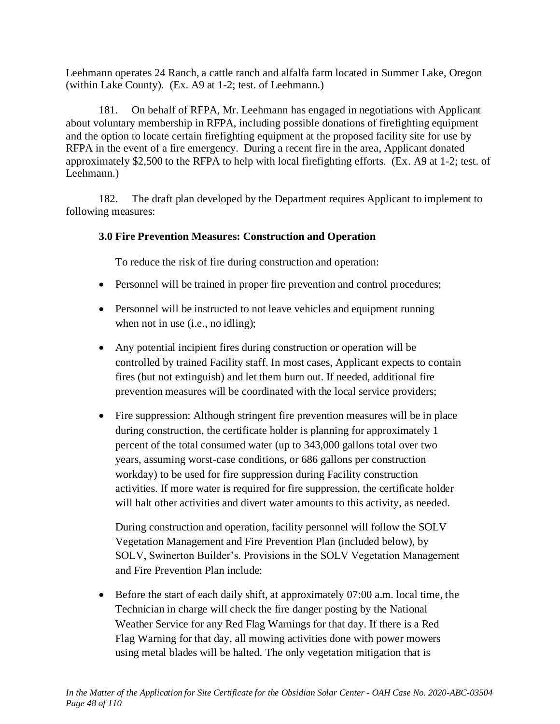Leehmann operates 24 Ranch, a cattle ranch and alfalfa farm located in Summer Lake, Oregon (within Lake County). (Ex. A9 at 1-2; test. of Leehmann.)

181. On behalf of RFPA, Mr. Leehmann has engaged in negotiations with Applicant about voluntary membership in RFPA, including possible donations of firefighting equipment and the option to locate certain firefighting equipment at the proposed facility site for use by RFPA in the event of a fire emergency. During a recent fire in the area, Applicant donated approximately \$2,500 to the RFPA to help with local firefighting efforts. (Ex. A9 at 1-2; test. of Leehmann.)

182. The draft plan developed by the Department requires Applicant to implement to following measures:

## **3.0 Fire Prevention Measures: Construction and Operation**

To reduce the risk of fire during construction and operation:

- Personnel will be trained in proper fire prevention and control procedures;
- Personnel will be instructed to not leave vehicles and equipment running when not in use (i.e., no idling);
- Any potential incipient fires during construction or operation will be controlled by trained Facility staff. In most cases, Applicant expects to contain fires (but not extinguish) and let them burn out. If needed, additional fire prevention measures will be coordinated with the local service providers;
- Fire suppression: Although stringent fire prevention measures will be in place during construction, the certificate holder is planning for approximately 1 percent of the total consumed water (up to 343,000 gallons total over two years, assuming worst-case conditions, or 686 gallons per construction workday) to be used for fire suppression during Facility construction activities. If more water is required for fire suppression, the certificate holder will halt other activities and divert water amounts to this activity, as needed.

During construction and operation, facility personnel will follow the SOLV Vegetation Management and Fire Prevention Plan (included below), by SOLV, Swinerton Builder's. Provisions in the SOLV Vegetation Management and Fire Prevention Plan include:

• Before the start of each daily shift, at approximately 07:00 a.m. local time, the Technician in charge will check the fire danger posting by the National Weather Service for any Red Flag Warnings for that day. If there is a Red Flag Warning for that day, all mowing activities done with power mowers using metal blades will be halted. The only vegetation mitigation that is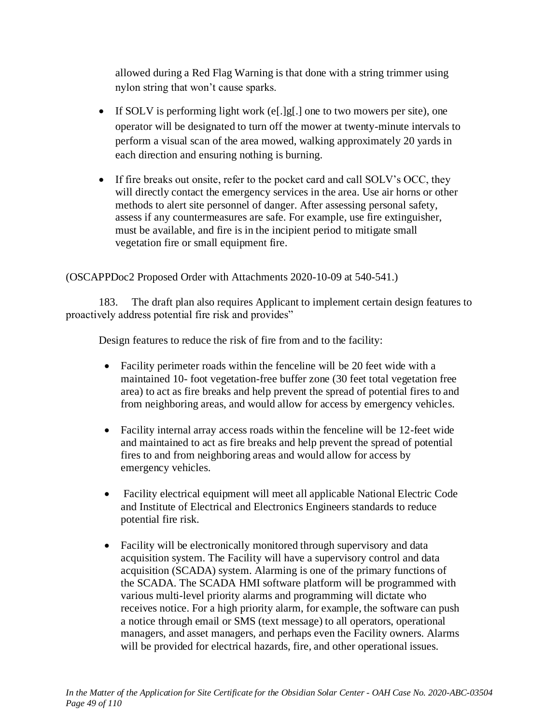allowed during a Red Flag Warning is that done with a string trimmer using nylon string that won't cause sparks.

- If SOLV is performing light work (e[.]g[.] one to two mowers per site), one operator will be designated to turn off the mower at twenty-minute intervals to perform a visual scan of the area mowed, walking approximately 20 yards in each direction and ensuring nothing is burning.
- If fire breaks out onsite, refer to the pocket card and call SOLV's OCC, they will directly contact the emergency services in the area. Use air horns or other methods to alert site personnel of danger. After assessing personal safety, assess if any countermeasures are safe. For example, use fire extinguisher, must be available, and fire is in the incipient period to mitigate small vegetation fire or small equipment fire.

## (OSCAPPDoc2 Proposed Order with Attachments 2020-10-09 at 540-541.)

183. The draft plan also requires Applicant to implement certain design features to proactively address potential fire risk and provides"

Design features to reduce the risk of fire from and to the facility:

- Facility perimeter roads within the fenceline will be 20 feet wide with a maintained 10- foot vegetation-free buffer zone (30 feet total vegetation free area) to act as fire breaks and help prevent the spread of potential fires to and from neighboring areas, and would allow for access by emergency vehicles.
- Facility internal array access roads within the fenceline will be 12-feet wide and maintained to act as fire breaks and help prevent the spread of potential fires to and from neighboring areas and would allow for access by emergency vehicles.
- Facility electrical equipment will meet all applicable National Electric Code and Institute of Electrical and Electronics Engineers standards to reduce potential fire risk.
- Facility will be electronically monitored through supervisory and data acquisition system. The Facility will have a supervisory control and data acquisition (SCADA) system. Alarming is one of the primary functions of the SCADA. The SCADA HMI software platform will be programmed with various multi-level priority alarms and programming will dictate who receives notice. For a high priority alarm, for example, the software can push a notice through email or SMS (text message) to all operators, operational managers, and asset managers, and perhaps even the Facility owners. Alarms will be provided for electrical hazards, fire, and other operational issues.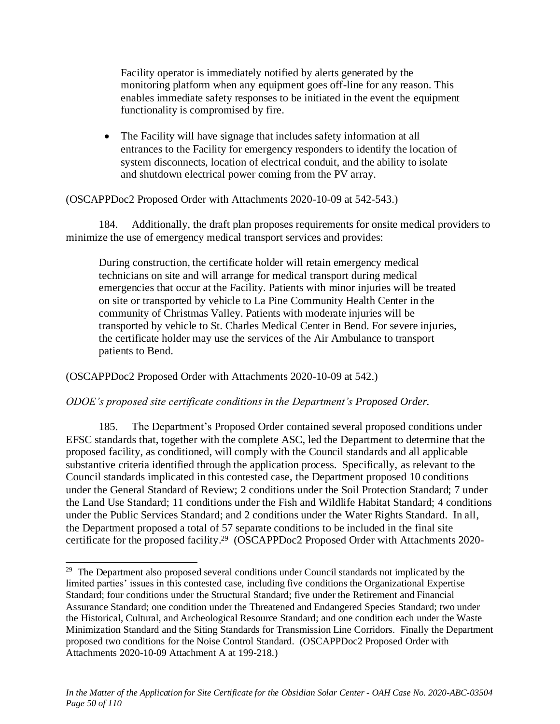Facility operator is immediately notified by alerts generated by the monitoring platform when any equipment goes off-line for any reason. This enables immediate safety responses to be initiated in the event the equipment functionality is compromised by fire.

• The Facility will have signage that includes safety information at all entrances to the Facility for emergency responders to identify the location of system disconnects, location of electrical conduit, and the ability to isolate and shutdown electrical power coming from the PV array.

### (OSCAPPDoc2 Proposed Order with Attachments 2020-10-09 at 542-543.)

184. Additionally, the draft plan proposes requirements for onsite medical providers to minimize the use of emergency medical transport services and provides:

During construction, the certificate holder will retain emergency medical technicians on site and will arrange for medical transport during medical emergencies that occur at the Facility. Patients with minor injuries will be treated on site or transported by vehicle to La Pine Community Health Center in the community of Christmas Valley. Patients with moderate injuries will be transported by vehicle to St. Charles Medical Center in Bend. For severe injuries, the certificate holder may use the services of the Air Ambulance to transport patients to Bend.

(OSCAPPDoc2 Proposed Order with Attachments 2020-10-09 at 542.)

### *ODOE's proposed site certificate conditions in the Department's Proposed Order.*

185. The Department's Proposed Order contained several proposed conditions under EFSC standards that, together with the complete ASC, led the Department to determine that the proposed facility, as conditioned, will comply with the Council standards and all applicable substantive criteria identified through the application process. Specifically, as relevant to the Council standards implicated in this contested case, the Department proposed 10 conditions under the General Standard of Review; 2 conditions under the Soil Protection Standard; 7 under the Land Use Standard; 11 conditions under the Fish and Wildlife Habitat Standard; 4 conditions under the Public Services Standard; and 2 conditions under the Water Rights Standard. In all, the Department proposed a total of 57 separate conditions to be included in the final site certificate for the proposed facility.<sup>29</sup> (OSCAPPDoc2 Proposed Order with Attachments 2020-

<sup>&</sup>lt;sup>29</sup> The Department also proposed several conditions under Council standards not implicated by the limited parties' issues in this contested case, including five conditions the Organizational Expertise Standard; four conditions under the Structural Standard; five under the Retirement and Financial Assurance Standard; one condition under the Threatened and Endangered Species Standard; two under the Historical, Cultural, and Archeological Resource Standard; and one condition each under the Waste Minimization Standard and the Siting Standards for Transmission Line Corridors. Finally the Department proposed two conditions for the Noise Control Standard. (OSCAPPDoc2 Proposed Order with Attachments 2020-10-09 Attachment A at 199-218.)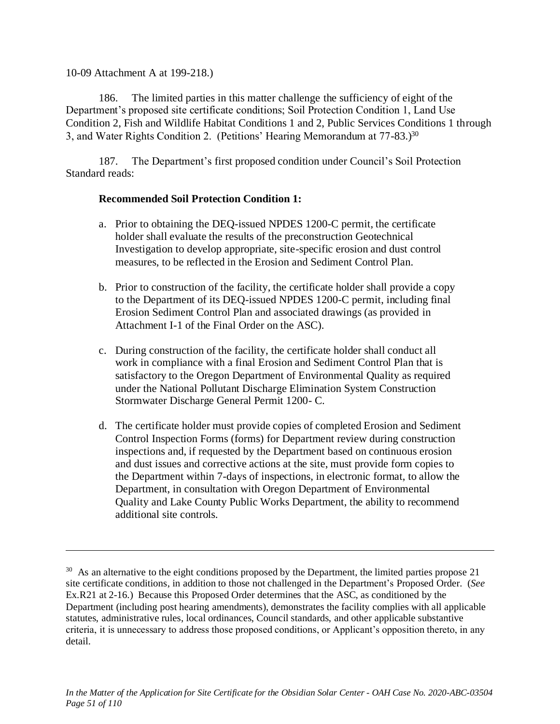### 10-09 Attachment A at 199-218.)

186. The limited parties in this matter challenge the sufficiency of eight of the Department's proposed site certificate conditions; Soil Protection Condition 1, Land Use Condition 2, Fish and Wildlife Habitat Conditions 1 and 2, Public Services Conditions 1 through 3, and Water Rights Condition 2. (Petitions' Hearing Memorandum at 77-83.)<sup>30</sup>

187. The Department's first proposed condition under Council's Soil Protection Standard reads:

### **Recommended Soil Protection Condition 1:**

- a. Prior to obtaining the DEQ-issued NPDES 1200-C permit, the certificate holder shall evaluate the results of the preconstruction Geotechnical Investigation to develop appropriate, site-specific erosion and dust control measures, to be reflected in the Erosion and Sediment Control Plan.
- b. Prior to construction of the facility, the certificate holder shall provide a copy to the Department of its DEQ-issued NPDES 1200-C permit, including final Erosion Sediment Control Plan and associated drawings (as provided in Attachment I-1 of the Final Order on the ASC).
- c. During construction of the facility, the certificate holder shall conduct all work in compliance with a final Erosion and Sediment Control Plan that is satisfactory to the Oregon Department of Environmental Quality as required under the National Pollutant Discharge Elimination System Construction Stormwater Discharge General Permit 1200- C.
- d. The certificate holder must provide copies of completed Erosion and Sediment Control Inspection Forms (forms) for Department review during construction inspections and, if requested by the Department based on continuous erosion and dust issues and corrective actions at the site, must provide form copies to the Department within 7-days of inspections, in electronic format, to allow the Department, in consultation with Oregon Department of Environmental Quality and Lake County Public Works Department, the ability to recommend additional site controls.

<sup>&</sup>lt;sup>30</sup> As an alternative to the eight conditions proposed by the Department, the limited parties propose 21 site certificate conditions, in addition to those not challenged in the Department's Proposed Order. (*See* Ex.R21 at 2-16.) Because this Proposed Order determines that the ASC, as conditioned by the Department (including post hearing amendments), demonstrates the facility complies with all applicable statutes, administrative rules, local ordinances, Council standards, and other applicable substantive criteria, it is unnecessary to address those proposed conditions, or Applicant's opposition thereto, in any detail.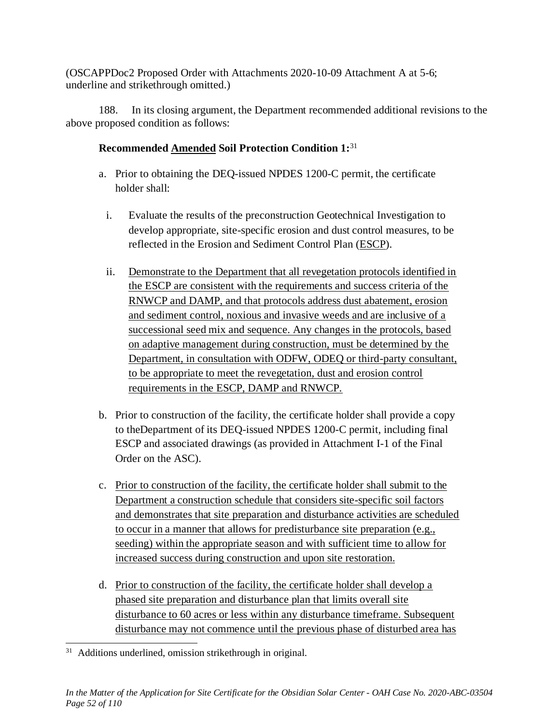(OSCAPPDoc2 Proposed Order with Attachments 2020-10-09 Attachment A at 5-6; underline and strikethrough omitted.)

188. In its closing argument, the Department recommended additional revisions to the above proposed condition as follows:

# **Recommended Amended Soil Protection Condition 1:**<sup>31</sup>

- a. Prior to obtaining the DEQ-issued NPDES 1200-C permit, the certificate holder shall:
	- i. Evaluate the results of the preconstruction Geotechnical Investigation to develop appropriate, site-specific erosion and dust control measures, to be reflected in the Erosion and Sediment Control Plan (ESCP).
	- ii. Demonstrate to the Department that all revegetation protocols identified in the ESCP are consistent with the requirements and success criteria of the RNWCP and DAMP, and that protocols address dust abatement, erosion and sediment control, noxious and invasive weeds and are inclusive of a successional seed mix and sequence. Any changes in the protocols, based on adaptive management during construction, must be determined by the Department, in consultation with ODFW, ODEQ or third-party consultant, to be appropriate to meet the revegetation, dust and erosion control requirements in the ESCP, DAMP and RNWCP.
- b. Prior to construction of the facility, the certificate holder shall provide a copy to theDepartment of its DEQ-issued NPDES 1200-C permit, including final ESCP and associated drawings (as provided in Attachment I-1 of the Final Order on the ASC).
- c. Prior to construction of the facility, the certificate holder shall submit to the Department a construction schedule that considers site-specific soil factors and demonstrates that site preparation and disturbance activities are scheduled to occur in a manner that allows for predisturbance site preparation (e.g., seeding) within the appropriate season and with sufficient time to allow for increased success during construction and upon site restoration.
- d. Prior to construction of the facility, the certificate holder shall develop a phased site preparation and disturbance plan that limits overall site disturbance to 60 acres or less within any disturbance timeframe. Subsequent disturbance may not commence until the previous phase of disturbed area has

<sup>&</sup>lt;sup>31</sup> Additions underlined, omission strikethrough in original.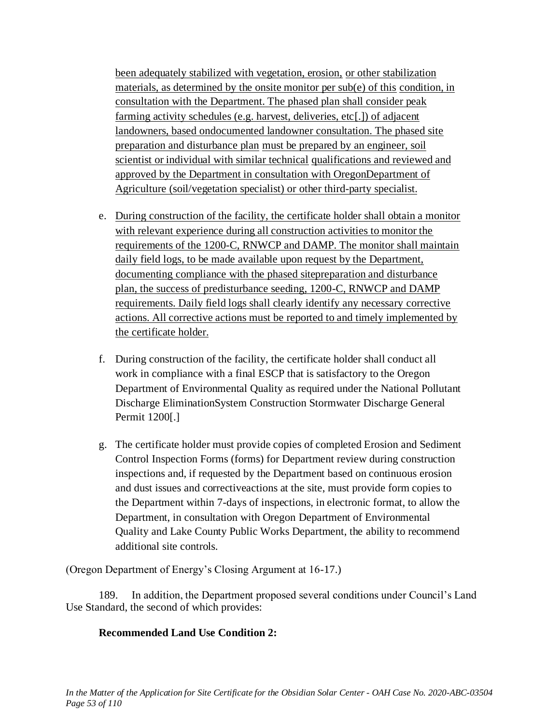been adequately stabilized with vegetation, erosion, or other stabilization materials, as determined by the onsite monitor per sub(e) of this condition, in consultation with the Department. The phased plan shall consider peak farming activity schedules (e.g. harvest, deliveries, etc[.]) of adjacent landowners, based ondocumented landowner consultation. The phased site preparation and disturbance plan must be prepared by an engineer, soil scientist or individual with similar technical qualifications and reviewed and approved by the Department in consultation with OregonDepartment of Agriculture (soil/vegetation specialist) or other third-party specialist.

- e. During construction of the facility, the certificate holder shall obtain a monitor with relevant experience during all construction activities to monitor the requirements of the 1200-C, RNWCP and DAMP. The monitor shall maintain daily field logs, to be made available upon request by the Department, documenting compliance with the phased sitepreparation and disturbance plan, the success of predisturbance seeding, 1200-C, RNWCP and DAMP requirements. Daily field logs shall clearly identify any necessary corrective actions. All corrective actions must be reported to and timely implemented by the certificate holder.
- f. During construction of the facility, the certificate holder shall conduct all work in compliance with a final ESCP that is satisfactory to the Oregon Department of Environmental Quality as required under the National Pollutant Discharge EliminationSystem Construction Stormwater Discharge General Permit 1200[.]
- g. The certificate holder must provide copies of completed Erosion and Sediment Control Inspection Forms (forms) for Department review during construction inspections and, if requested by the Department based on continuous erosion and dust issues and correctiveactions at the site, must provide form copies to the Department within 7-days of inspections, in electronic format, to allow the Department, in consultation with Oregon Department of Environmental Quality and Lake County Public Works Department, the ability to recommend additional site controls.

(Oregon Department of Energy's Closing Argument at 16-17.)

189. In addition, the Department proposed several conditions under Council's Land Use Standard, the second of which provides:

### **Recommended Land Use Condition 2:**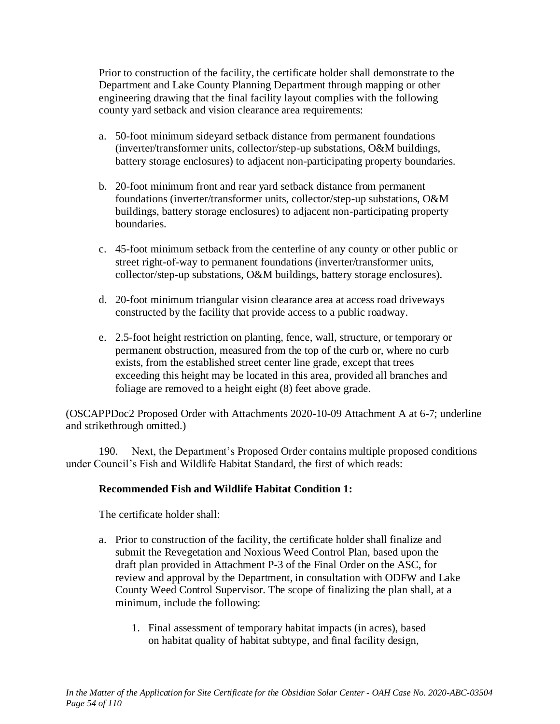Prior to construction of the facility, the certificate holder shall demonstrate to the Department and Lake County Planning Department through mapping or other engineering drawing that the final facility layout complies with the following county yard setback and vision clearance area requirements:

- a. 50-foot minimum sideyard setback distance from permanent foundations (inverter/transformer units, collector/step-up substations, O&M buildings, battery storage enclosures) to adjacent non-participating property boundaries.
- b. 20-foot minimum front and rear yard setback distance from permanent foundations (inverter/transformer units, collector/step-up substations, O&M buildings, battery storage enclosures) to adjacent non-participating property boundaries.
- c. 45-foot minimum setback from the centerline of any county or other public or street right-of-way to permanent foundations (inverter/transformer units, collector/step-up substations, O&M buildings, battery storage enclosures).
- d. 20-foot minimum triangular vision clearance area at access road driveways constructed by the facility that provide access to a public roadway.
- e. 2.5-foot height restriction on planting, fence, wall, structure, or temporary or permanent obstruction, measured from the top of the curb or, where no curb exists, from the established street center line grade, except that trees exceeding this height may be located in this area, provided all branches and foliage are removed to a height eight (8) feet above grade.

(OSCAPPDoc2 Proposed Order with Attachments 2020-10-09 Attachment A at 6-7; underline and strikethrough omitted.)

190. Next, the Department's Proposed Order contains multiple proposed conditions under Council's Fish and Wildlife Habitat Standard, the first of which reads:

## **Recommended Fish and Wildlife Habitat Condition 1:**

The certificate holder shall:

- a. Prior to construction of the facility, the certificate holder shall finalize and submit the Revegetation and Noxious Weed Control Plan, based upon the draft plan provided in Attachment P-3 of the Final Order on the ASC, for review and approval by the Department, in consultation with ODFW and Lake County Weed Control Supervisor. The scope of finalizing the plan shall, at a minimum, include the following:
	- 1. Final assessment of temporary habitat impacts (in acres), based on habitat quality of habitat subtype, and final facility design,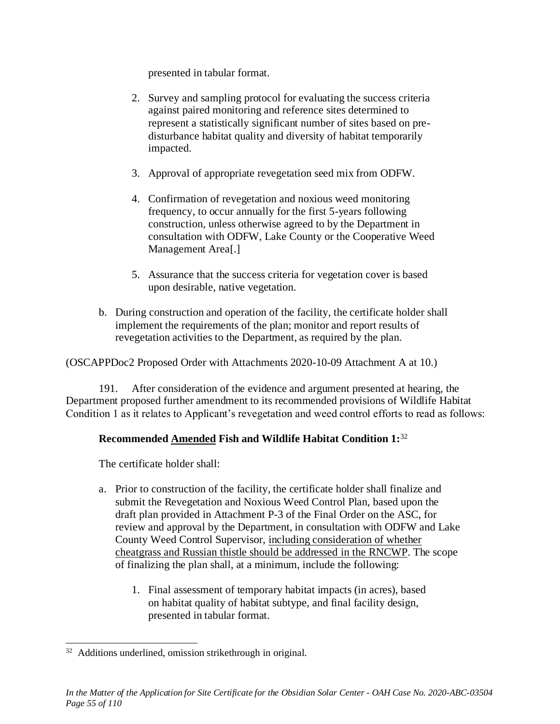presented in tabular format.

- 2. Survey and sampling protocol for evaluating the success criteria against paired monitoring and reference sites determined to represent a statistically significant number of sites based on predisturbance habitat quality and diversity of habitat temporarily impacted.
- 3. Approval of appropriate revegetation seed mix from ODFW.
- 4. Confirmation of revegetation and noxious weed monitoring frequency, to occur annually for the first 5-years following construction, unless otherwise agreed to by the Department in consultation with ODFW, Lake County or the Cooperative Weed Management Area[.]
- 5. Assurance that the success criteria for vegetation cover is based upon desirable, native vegetation.
- b. During construction and operation of the facility, the certificate holder shall implement the requirements of the plan; monitor and report results of revegetation activities to the Department, as required by the plan.

(OSCAPPDoc2 Proposed Order with Attachments 2020-10-09 Attachment A at 10.)

191. After consideration of the evidence and argument presented at hearing, the Department proposed further amendment to its recommended provisions of Wildlife Habitat Condition 1 as it relates to Applicant's revegetation and weed control efforts to read as follows:

# **Recommended Amended Fish and Wildlife Habitat Condition 1:**<sup>32</sup>

The certificate holder shall:

- a. Prior to construction of the facility, the certificate holder shall finalize and submit the Revegetation and Noxious Weed Control Plan, based upon the draft plan provided in Attachment P-3 of the Final Order on the ASC, for review and approval by the Department, in consultation with ODFW and Lake County Weed Control Supervisor, including consideration of whether cheatgrass and Russian thistle should be addressed in the RNCWP. The scope of finalizing the plan shall, at a minimum, include the following:
	- 1. Final assessment of temporary habitat impacts (in acres), based on habitat quality of habitat subtype, and final facility design, presented in tabular format.

<sup>&</sup>lt;sup>32</sup> Additions underlined, omission strikethrough in original.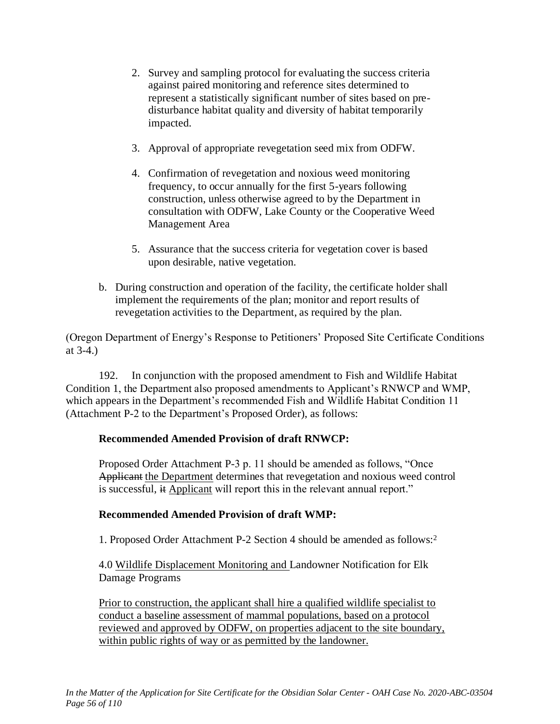- 2. Survey and sampling protocol for evaluating the success criteria against paired monitoring and reference sites determined to represent a statistically significant number of sites based on predisturbance habitat quality and diversity of habitat temporarily impacted.
- 3. Approval of appropriate revegetation seed mix from ODFW.
- 4. Confirmation of revegetation and noxious weed monitoring frequency, to occur annually for the first 5-years following construction, unless otherwise agreed to by the Department in consultation with ODFW, Lake County or the Cooperative Weed Management Area
- 5. Assurance that the success criteria for vegetation cover is based upon desirable, native vegetation.
- b. During construction and operation of the facility, the certificate holder shall implement the requirements of the plan; monitor and report results of revegetation activities to the Department, as required by the plan.

(Oregon Department of Energy's Response to Petitioners' Proposed Site Certificate Conditions at 3-4.)

192. In conjunction with the proposed amendment to Fish and Wildlife Habitat Condition 1, the Department also proposed amendments to Applicant's RNWCP and WMP, which appears in the Department's recommended Fish and Wildlife Habitat Condition 11 (Attachment P-2 to the Department's Proposed Order), as follows:

## **Recommended Amended Provision of draft RNWCP:**

Proposed Order Attachment P-3 p. 11 should be amended as follows, "Once Applicant the Department determines that revegetation and noxious weed control is successful, it Applicant will report this in the relevant annual report."

## **Recommended Amended Provision of draft WMP:**

1. Proposed Order Attachment P-2 Section 4 should be amended as follows:<sup>2</sup>

4.0 Wildlife Displacement Monitoring and Landowner Notification for Elk Damage Programs

Prior to construction, the applicant shall hire a qualified wildlife specialist to conduct a baseline assessment of mammal populations, based on a protocol reviewed and approved by ODFW, on properties adjacent to the site boundary, within public rights of way or as permitted by the landowner.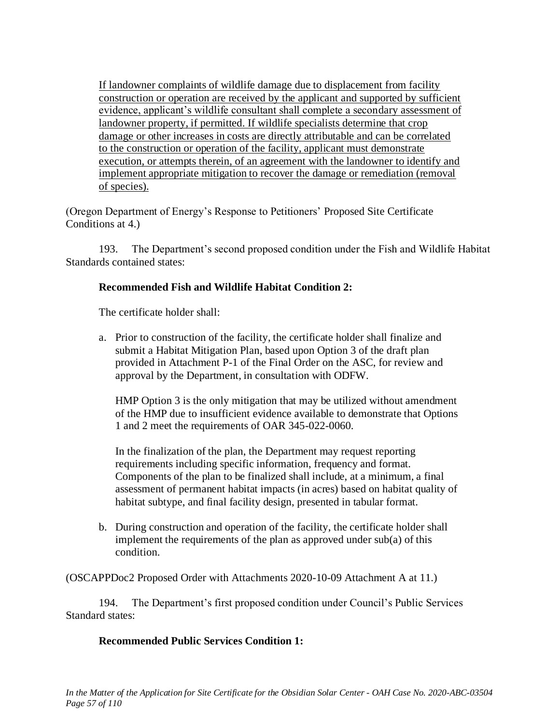If landowner complaints of wildlife damage due to displacement from facility construction or operation are received by the applicant and supported by sufficient evidence, applicant's wildlife consultant shall complete a secondary assessment of landowner property, if permitted. If wildlife specialists determine that crop damage or other increases in costs are directly attributable and can be correlated to the construction or operation of the facility, applicant must demonstrate execution, or attempts therein, of an agreement with the landowner to identify and implement appropriate mitigation to recover the damage or remediation (removal of species).

(Oregon Department of Energy's Response to Petitioners' Proposed Site Certificate Conditions at 4.)

193. The Department's second proposed condition under the Fish and Wildlife Habitat Standards contained states:

## **Recommended Fish and Wildlife Habitat Condition 2:**

The certificate holder shall:

a. Prior to construction of the facility, the certificate holder shall finalize and submit a Habitat Mitigation Plan, based upon Option 3 of the draft plan provided in Attachment P-1 of the Final Order on the ASC, for review and approval by the Department, in consultation with ODFW.

HMP Option 3 is the only mitigation that may be utilized without amendment of the HMP due to insufficient evidence available to demonstrate that Options 1 and 2 meet the requirements of OAR 345-022-0060.

In the finalization of the plan, the Department may request reporting requirements including specific information, frequency and format. Components of the plan to be finalized shall include, at a minimum, a final assessment of permanent habitat impacts (in acres) based on habitat quality of habitat subtype, and final facility design, presented in tabular format.

b. During construction and operation of the facility, the certificate holder shall implement the requirements of the plan as approved under sub(a) of this condition.

(OSCAPPDoc2 Proposed Order with Attachments 2020-10-09 Attachment A at 11.)

194. The Department's first proposed condition under Council's Public Services Standard states:

## **Recommended Public Services Condition 1:**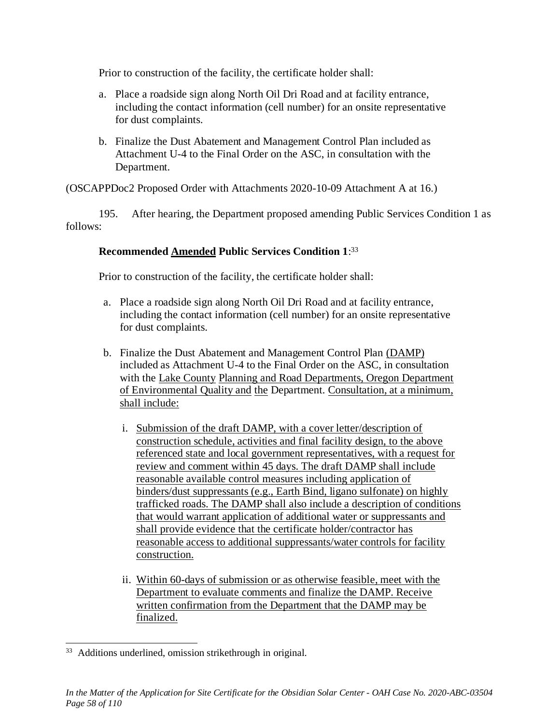Prior to construction of the facility, the certificate holder shall:

- a. Place a roadside sign along North Oil Dri Road and at facility entrance, including the contact information (cell number) for an onsite representative for dust complaints.
- b. Finalize the Dust Abatement and Management Control Plan included as Attachment U-4 to the Final Order on the ASC, in consultation with the Department.

(OSCAPPDoc2 Proposed Order with Attachments 2020-10-09 Attachment A at 16.)

195. After hearing, the Department proposed amending Public Services Condition 1 as follows:

### **Recommended Amended Public Services Condition 1**: 33

Prior to construction of the facility, the certificate holder shall:

- a. Place a roadside sign along North Oil Dri Road and at facility entrance, including the contact information (cell number) for an onsite representative for dust complaints.
- b. Finalize the Dust Abatement and Management Control Plan (DAMP) included as Attachment U-4 to the Final Order on the ASC, in consultation with the Lake County Planning and Road Departments, Oregon Department of Environmental Quality and the Department. Consultation, at a minimum, shall include:
	- i. Submission of the draft DAMP, with a cover letter/description of construction schedule, activities and final facility design, to the above referenced state and local government representatives, with a request for review and comment within 45 days. The draft DAMP shall include reasonable available control measures including application of binders/dust suppressants (e.g., Earth Bind, ligano sulfonate) on highly trafficked roads. The DAMP shall also include a description of conditions that would warrant application of additional water or suppressants and shall provide evidence that the certificate holder/contractor has reasonable access to additional suppressants/water controls for facility construction.
	- ii. Within 60-days of submission or as otherwise feasible, meet with the Department to evaluate comments and finalize the DAMP. Receive written confirmation from the Department that the DAMP may be finalized.

<sup>&</sup>lt;sup>33</sup> Additions underlined, omission strikethrough in original.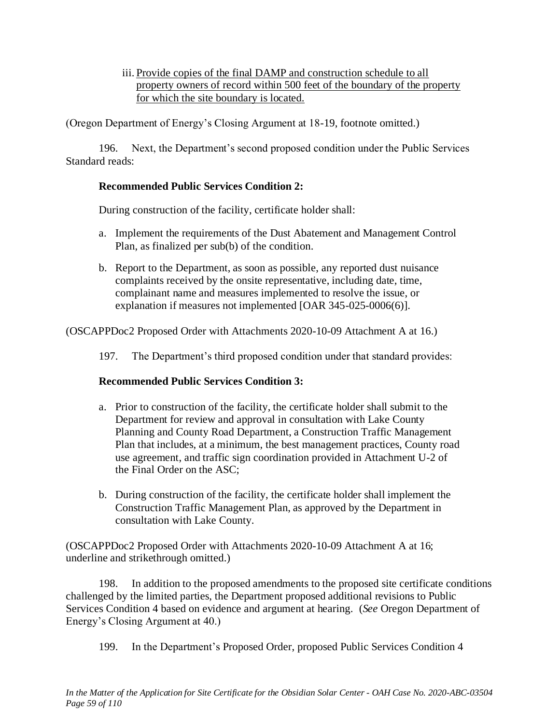iii. Provide copies of the final DAMP and construction schedule to all property owners of record within 500 feet of the boundary of the property for which the site boundary is located.

(Oregon Department of Energy's Closing Argument at 18-19, footnote omitted.)

196. Next, the Department's second proposed condition under the Public Services Standard reads:

## **Recommended Public Services Condition 2:**

During construction of the facility, certificate holder shall:

- a. Implement the requirements of the Dust Abatement and Management Control Plan, as finalized per sub(b) of the condition.
- b. Report to the Department, as soon as possible, any reported dust nuisance complaints received by the onsite representative, including date, time, complainant name and measures implemented to resolve the issue, or explanation if measures not implemented [OAR 345-025-0006(6)].

(OSCAPPDoc2 Proposed Order with Attachments 2020-10-09 Attachment A at 16.)

197. The Department's third proposed condition under that standard provides:

## **Recommended Public Services Condition 3:**

- a. Prior to construction of the facility, the certificate holder shall submit to the Department for review and approval in consultation with Lake County Planning and County Road Department, a Construction Traffic Management Plan that includes, at a minimum, the best management practices, County road use agreement, and traffic sign coordination provided in Attachment U-2 of the Final Order on the ASC;
- b. During construction of the facility, the certificate holder shall implement the Construction Traffic Management Plan, as approved by the Department in consultation with Lake County.

(OSCAPPDoc2 Proposed Order with Attachments 2020-10-09 Attachment A at 16; underline and strikethrough omitted.)

198. In addition to the proposed amendments to the proposed site certificate conditions challenged by the limited parties, the Department proposed additional revisions to Public Services Condition 4 based on evidence and argument at hearing. (*See* Oregon Department of Energy's Closing Argument at 40.)

199. In the Department's Proposed Order, proposed Public Services Condition 4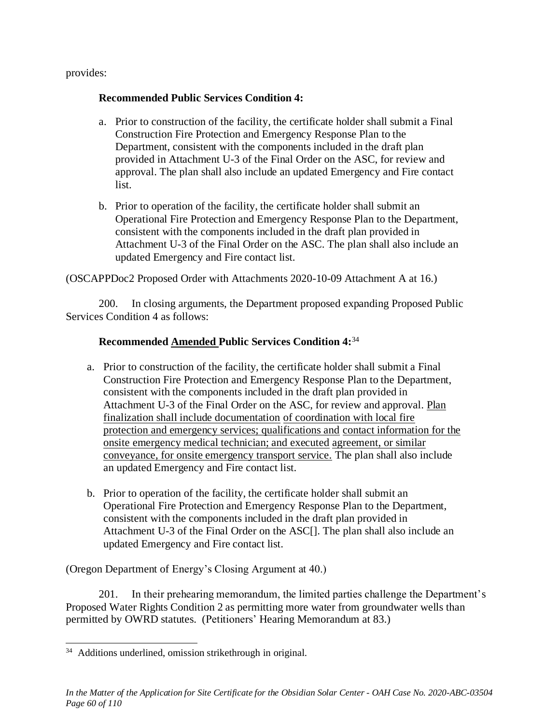provides:

### **Recommended Public Services Condition 4:**

- a. Prior to construction of the facility, the certificate holder shall submit a Final Construction Fire Protection and Emergency Response Plan to the Department, consistent with the components included in the draft plan provided in Attachment U-3 of the Final Order on the ASC, for review and approval. The plan shall also include an updated Emergency and Fire contact list.
- b. Prior to operation of the facility, the certificate holder shall submit an Operational Fire Protection and Emergency Response Plan to the Department, consistent with the components included in the draft plan provided in Attachment U-3 of the Final Order on the ASC. The plan shall also include an updated Emergency and Fire contact list.

(OSCAPPDoc2 Proposed Order with Attachments 2020-10-09 Attachment A at 16.)

200. In closing arguments, the Department proposed expanding Proposed Public Services Condition 4 as follows:

## **Recommended Amended Public Services Condition 4:**<sup>34</sup>

- a. Prior to construction of the facility, the certificate holder shall submit a Final Construction Fire Protection and Emergency Response Plan to the Department, consistent with the components included in the draft plan provided in Attachment U-3 of the Final Order on the ASC, for review and approval. Plan finalization shall include documentation of coordination with local fire protection and emergency services; qualifications and contact information for the onsite emergency medical technician; and executed agreement, or similar conveyance, for onsite emergency transport service. The plan shall also include an updated Emergency and Fire contact list.
- b. Prior to operation of the facility, the certificate holder shall submit an Operational Fire Protection and Emergency Response Plan to the Department, consistent with the components included in the draft plan provided in Attachment U-3 of the Final Order on the ASC[]. The plan shall also include an updated Emergency and Fire contact list.

(Oregon Department of Energy's Closing Argument at 40.)

201. In their prehearing memorandum, the limited parties challenge the Department's Proposed Water Rights Condition 2 as permitting more water from groundwater wells than permitted by OWRD statutes. (Petitioners' Hearing Memorandum at 83.)

<sup>&</sup>lt;sup>34</sup> Additions underlined, omission strikethrough in original.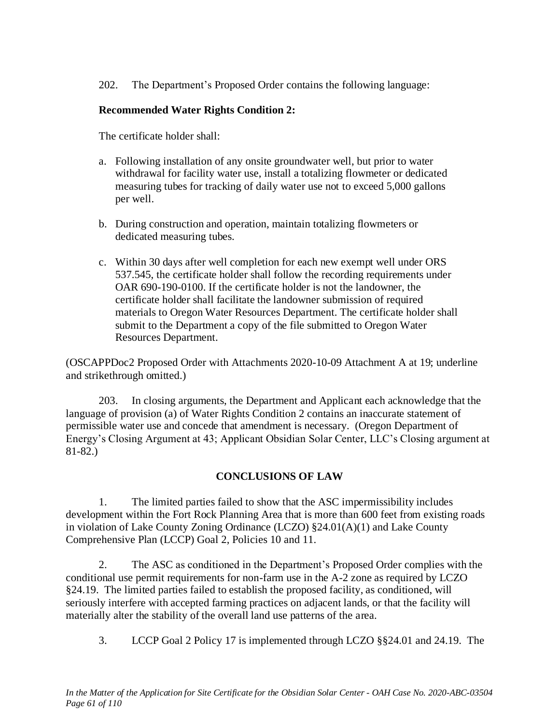202. The Department's Proposed Order contains the following language:

# **Recommended Water Rights Condition 2:**

The certificate holder shall:

- a. Following installation of any onsite groundwater well, but prior to water withdrawal for facility water use, install a totalizing flowmeter or dedicated measuring tubes for tracking of daily water use not to exceed 5,000 gallons per well.
- b. During construction and operation, maintain totalizing flowmeters or dedicated measuring tubes.
- c. Within 30 days after well completion for each new exempt well under ORS 537.545, the certificate holder shall follow the recording requirements under OAR 690-190-0100. If the certificate holder is not the landowner, the certificate holder shall facilitate the landowner submission of required materials to Oregon Water Resources Department. The certificate holder shall submit to the Department a copy of the file submitted to Oregon Water Resources Department.

(OSCAPPDoc2 Proposed Order with Attachments 2020-10-09 Attachment A at 19; underline and strikethrough omitted.)

203. In closing arguments, the Department and Applicant each acknowledge that the language of provision (a) of Water Rights Condition 2 contains an inaccurate statement of permissible water use and concede that amendment is necessary. (Oregon Department of Energy's Closing Argument at 43; Applicant Obsidian Solar Center, LLC's Closing argument at 81-82.)

# **CONCLUSIONS OF LAW**

1. The limited parties failed to show that the ASC impermissibility includes development within the Fort Rock Planning Area that is more than 600 feet from existing roads in violation of Lake County Zoning Ordinance (LCZO) §24.01(A)(1) and Lake County Comprehensive Plan (LCCP) Goal 2, Policies 10 and 11.

2. The ASC as conditioned in the Department's Proposed Order complies with the conditional use permit requirements for non-farm use in the A-2 zone as required by LCZO §24.19. The limited parties failed to establish the proposed facility, as conditioned, will seriously interfere with accepted farming practices on adjacent lands, or that the facility will materially alter the stability of the overall land use patterns of the area.

3. LCCP Goal 2 Policy 17 is implemented through LCZO §§24.01 and 24.19. The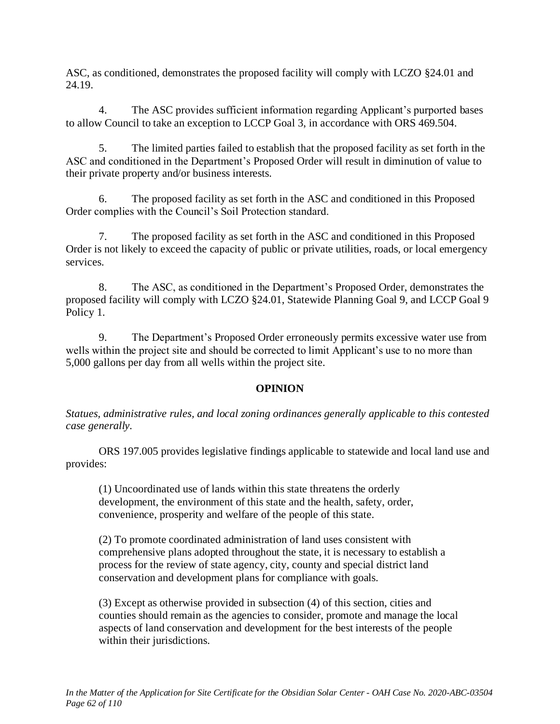ASC, as conditioned, demonstrates the proposed facility will comply with LCZO §24.01 and 24.19.

4. The ASC provides sufficient information regarding Applicant's purported bases to allow Council to take an exception to LCCP Goal 3, in accordance with ORS 469.504.

5. The limited parties failed to establish that the proposed facility as set forth in the ASC and conditioned in the Department's Proposed Order will result in diminution of value to their private property and/or business interests.

6. The proposed facility as set forth in the ASC and conditioned in this Proposed Order complies with the Council's Soil Protection standard.

7. The proposed facility as set forth in the ASC and conditioned in this Proposed Order is not likely to exceed the capacity of public or private utilities, roads, or local emergency services.

8. The ASC, as conditioned in the Department's Proposed Order, demonstrates the proposed facility will comply with LCZO §24.01, Statewide Planning Goal 9, and LCCP Goal 9 Policy 1.

9. The Department's Proposed Order erroneously permits excessive water use from wells within the project site and should be corrected to limit Applicant's use to no more than 5,000 gallons per day from all wells within the project site.

## **OPINION**

*Statues, administrative rules, and local zoning ordinances generally applicable to this contested case generally.*

ORS 197.005 provides legislative findings applicable to statewide and local land use and provides:

(1) Uncoordinated use of lands within this state threatens the orderly development, the environment of this state and the health, safety, order, convenience, prosperity and welfare of the people of this state.

(2) To promote coordinated administration of land uses consistent with comprehensive plans adopted throughout the state, it is necessary to establish a process for the review of state agency, city, county and special district land conservation and development plans for compliance with goals.

(3) Except as otherwise provided in subsection (4) of this section, cities and counties should remain as the agencies to consider, promote and manage the local aspects of land conservation and development for the best interests of the people within their jurisdictions.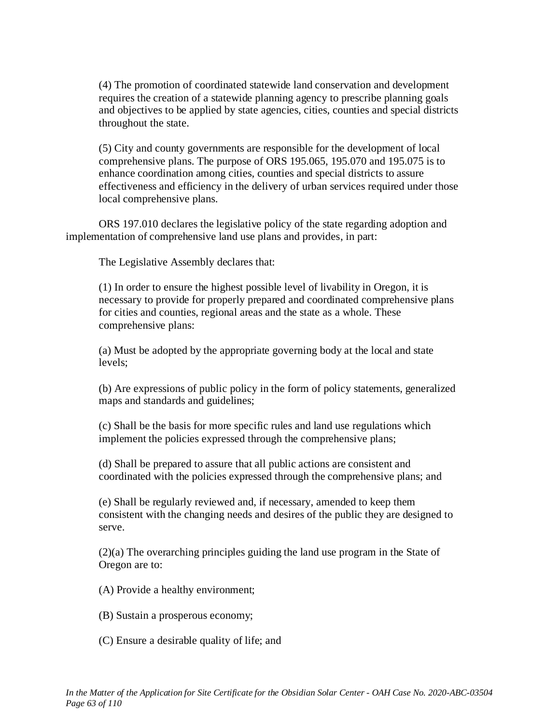(4) The promotion of coordinated statewide land conservation and development requires the creation of a statewide planning agency to prescribe planning goals and objectives to be applied by state agencies, cities, counties and special districts throughout the state.

(5) City and county governments are responsible for the development of local comprehensive plans. The purpose of ORS 195.065, 195.070 and 195.075 is to enhance coordination among cities, counties and special districts to assure effectiveness and efficiency in the delivery of urban services required under those local comprehensive plans.

ORS 197.010 declares the legislative policy of the state regarding adoption and implementation of comprehensive land use plans and provides, in part:

The Legislative Assembly declares that:

(1) In order to ensure the highest possible level of livability in Oregon, it is necessary to provide for properly prepared and coordinated comprehensive plans for cities and counties, regional areas and the state as a whole. These comprehensive plans:

(a) Must be adopted by the appropriate governing body at the local and state levels;

(b) Are expressions of public policy in the form of policy statements, generalized maps and standards and guidelines;

(c) Shall be the basis for more specific rules and land use regulations which implement the policies expressed through the comprehensive plans;

(d) Shall be prepared to assure that all public actions are consistent and coordinated with the policies expressed through the comprehensive plans; and

(e) Shall be regularly reviewed and, if necessary, amended to keep them consistent with the changing needs and desires of the public they are designed to serve.

(2)(a) The overarching principles guiding the land use program in the State of Oregon are to:

(A) Provide a healthy environment;

- (B) Sustain a prosperous economy;
- (C) Ensure a desirable quality of life; and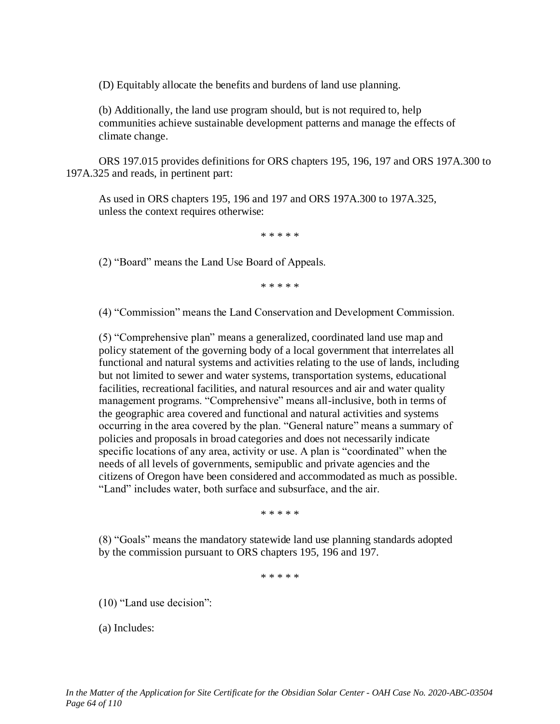(D) Equitably allocate the benefits and burdens of land use planning.

(b) Additionally, the land use program should, but is not required to, help communities achieve sustainable development patterns and manage the effects of climate change.

ORS 197.015 provides definitions for ORS chapters 195, 196, 197 and ORS 197A.300 to 197A.325 and reads, in pertinent part:

As used in ORS chapters 195, 196 and 197 and ORS 197A.300 to 197A.325, unless the context requires otherwise:

\* \* \* \* \*

(2) "Board" means the Land Use Board of Appeals.

\* \* \* \* \*

(4) "Commission" means the Land Conservation and Development Commission.

(5) "Comprehensive plan" means a generalized, coordinated land use map and policy statement of the governing body of a local government that interrelates all functional and natural systems and activities relating to the use of lands, including but not limited to sewer and water systems, transportation systems, educational facilities, recreational facilities, and natural resources and air and water quality management programs. "Comprehensive" means all-inclusive, both in terms of the geographic area covered and functional and natural activities and systems occurring in the area covered by the plan. "General nature" means a summary of policies and proposals in broad categories and does not necessarily indicate specific locations of any area, activity or use. A plan is "coordinated" when the needs of all levels of governments, semipublic and private agencies and the citizens of Oregon have been considered and accommodated as much as possible. "Land" includes water, both surface and subsurface, and the air.

\* \* \* \* \*

(8) "Goals" means the mandatory statewide land use planning standards adopted by the commission pursuant to ORS chapters 195, 196 and 197.

\* \* \* \* \*

(10) "Land use decision":

(a) Includes: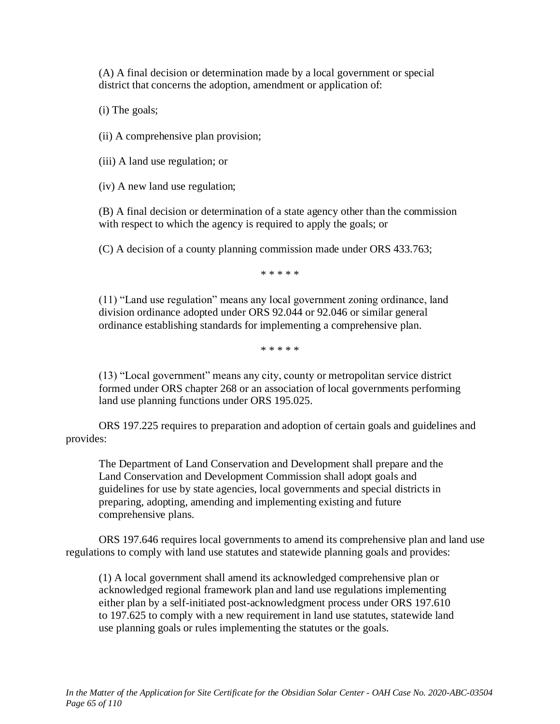(A) A final decision or determination made by a local government or special district that concerns the adoption, amendment or application of:

(i) The goals;

(ii) A comprehensive plan provision;

(iii) A land use regulation; or

(iv) A new land use regulation;

(B) A final decision or determination of a state agency other than the commission with respect to which the agency is required to apply the goals; or

(C) A decision of a county planning commission made under ORS 433.763;

\* \* \* \* \*

(11) "Land use regulation" means any local government zoning ordinance, land division ordinance adopted under ORS 92.044 or 92.046 or similar general ordinance establishing standards for implementing a comprehensive plan.

\* \* \* \* \*

(13) "Local government" means any city, county or metropolitan service district formed under ORS chapter 268 or an association of local governments performing land use planning functions under ORS 195.025.

ORS 197.225 requires to preparation and adoption of certain goals and guidelines and provides:

The Department of Land Conservation and Development shall prepare and the Land Conservation and Development Commission shall adopt goals and guidelines for use by state agencies, local governments and special districts in preparing, adopting, amending and implementing existing and future comprehensive plans.

ORS 197.646 requires local governments to amend its comprehensive plan and land use regulations to comply with land use statutes and statewide planning goals and provides:

(1) A local government shall amend its acknowledged comprehensive plan or acknowledged regional framework plan and land use regulations implementing either plan by a self-initiated post-acknowledgment process under ORS 197.610 to 197.625 to comply with a new requirement in land use statutes, statewide land use planning goals or rules implementing the statutes or the goals.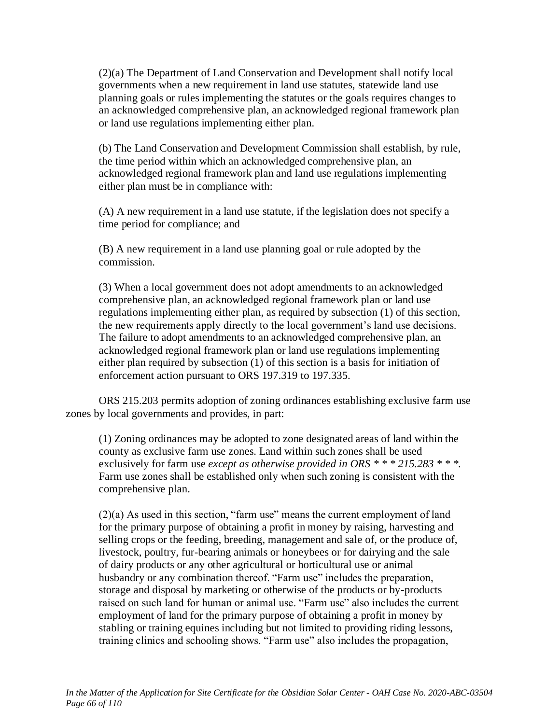(2)(a) The Department of Land Conservation and Development shall notify local governments when a new requirement in land use statutes, statewide land use planning goals or rules implementing the statutes or the goals requires changes to an acknowledged comprehensive plan, an acknowledged regional framework plan or land use regulations implementing either plan.

(b) The Land Conservation and Development Commission shall establish, by rule, the time period within which an acknowledged comprehensive plan, an acknowledged regional framework plan and land use regulations implementing either plan must be in compliance with:

(A) A new requirement in a land use statute, if the legislation does not specify a time period for compliance; and

(B) A new requirement in a land use planning goal or rule adopted by the commission.

(3) When a local government does not adopt amendments to an acknowledged comprehensive plan, an acknowledged regional framework plan or land use regulations implementing either plan, as required by subsection (1) of this section, the new requirements apply directly to the local government's land use decisions. The failure to adopt amendments to an acknowledged comprehensive plan, an acknowledged regional framework plan or land use regulations implementing either plan required by subsection (1) of this section is a basis for initiation of enforcement action pursuant to ORS 197.319 to 197.335.

ORS 215.203 permits adoption of zoning ordinances establishing exclusive farm use zones by local governments and provides, in part:

(1) Zoning ordinances may be adopted to zone designated areas of land within the county as exclusive farm use zones. Land within such zones shall be used exclusively for farm use *except as otherwise provided in ORS \* \* \* 215.283 \* \* \*.* Farm use zones shall be established only when such zoning is consistent with the comprehensive plan.

(2)(a) As used in this section, "farm use" means the current employment of land for the primary purpose of obtaining a profit in money by raising, harvesting and selling crops or the feeding, breeding, management and sale of, or the produce of, livestock, poultry, fur-bearing animals or honeybees or for dairying and the sale of dairy products or any other agricultural or horticultural use or animal husbandry or any combination thereof. "Farm use" includes the preparation, storage and disposal by marketing or otherwise of the products or by-products raised on such land for human or animal use. "Farm use" also includes the current employment of land for the primary purpose of obtaining a profit in money by stabling or training equines including but not limited to providing riding lessons, training clinics and schooling shows. "Farm use" also includes the propagation,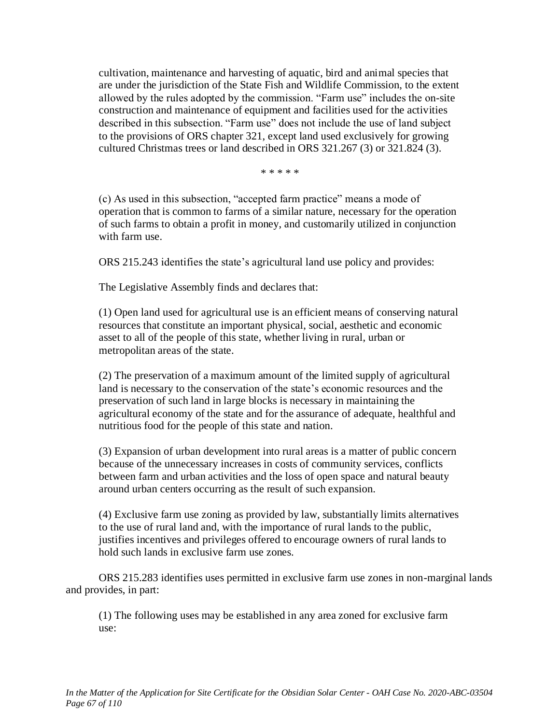cultivation, maintenance and harvesting of aquatic, bird and animal species that are under the jurisdiction of the State Fish and Wildlife Commission, to the extent allowed by the rules adopted by the commission. "Farm use" includes the on-site construction and maintenance of equipment and facilities used for the activities described in this subsection. "Farm use" does not include the use of land subject to the provisions of ORS chapter 321, except land used exclusively for growing cultured Christmas trees or land described in ORS 321.267 (3) or 321.824 (3).

\* \* \* \* \*

(c) As used in this subsection, "accepted farm practice" means a mode of operation that is common to farms of a similar nature, necessary for the operation of such farms to obtain a profit in money, and customarily utilized in conjunction with farm use.

ORS 215.243 identifies the state's agricultural land use policy and provides:

The Legislative Assembly finds and declares that:

(1) Open land used for agricultural use is an efficient means of conserving natural resources that constitute an important physical, social, aesthetic and economic asset to all of the people of this state, whether living in rural, urban or metropolitan areas of the state.

(2) The preservation of a maximum amount of the limited supply of agricultural land is necessary to the conservation of the state's economic resources and the preservation of such land in large blocks is necessary in maintaining the agricultural economy of the state and for the assurance of adequate, healthful and nutritious food for the people of this state and nation.

(3) Expansion of urban development into rural areas is a matter of public concern because of the unnecessary increases in costs of community services, conflicts between farm and urban activities and the loss of open space and natural beauty around urban centers occurring as the result of such expansion.

(4) Exclusive farm use zoning as provided by law, substantially limits alternatives to the use of rural land and, with the importance of rural lands to the public, justifies incentives and privileges offered to encourage owners of rural lands to hold such lands in exclusive farm use zones.

ORS 215.283 identifies uses permitted in exclusive farm use zones in non-marginal lands and provides, in part:

(1) The following uses may be established in any area zoned for exclusive farm use: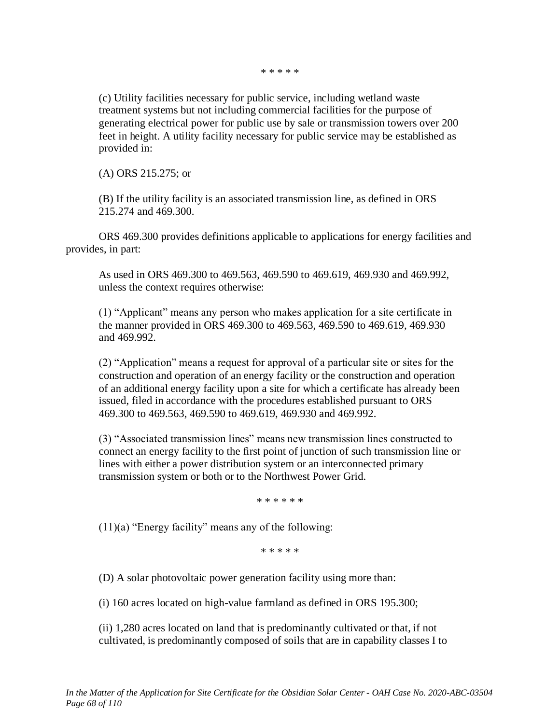\* \* \* \* \*

(c) Utility facilities necessary for public service, including wetland waste treatment systems but not including commercial facilities for the purpose of generating electrical power for public use by sale or transmission towers over 200 feet in height. A utility facility necessary for public service may be established as provided in:

(A) ORS 215.275; or

(B) If the utility facility is an associated transmission line, as defined in ORS 215.274 and 469.300.

ORS 469.300 provides definitions applicable to applications for energy facilities and provides, in part:

As used in ORS 469.300 to 469.563, 469.590 to 469.619, 469.930 and 469.992, unless the context requires otherwise:

(1) "Applicant" means any person who makes application for a site certificate in the manner provided in ORS 469.300 to 469.563, 469.590 to 469.619, 469.930 and 469.992.

(2) "Application" means a request for approval of a particular site or sites for the construction and operation of an energy facility or the construction and operation of an additional energy facility upon a site for which a certificate has already been issued, filed in accordance with the procedures established pursuant to ORS 469.300 to 469.563, 469.590 to 469.619, 469.930 and 469.992.

(3) "Associated transmission lines" means new transmission lines constructed to connect an energy facility to the first point of junction of such transmission line or lines with either a power distribution system or an interconnected primary transmission system or both or to the Northwest Power Grid.

\* \* \* \* \* \*

 $(11)(a)$  "Energy facility" means any of the following:

\* \* \* \* \*

(D) A solar photovoltaic power generation facility using more than:

(i) 160 acres located on high-value farmland as defined in ORS 195.300;

(ii) 1,280 acres located on land that is predominantly cultivated or that, if not cultivated, is predominantly composed of soils that are in capability classes I to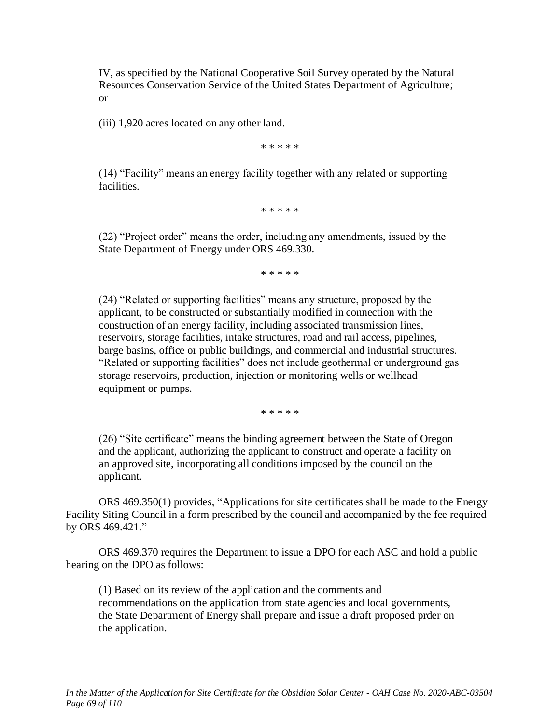IV, as specified by the National Cooperative Soil Survey operated by the Natural Resources Conservation Service of the United States Department of Agriculture; or

(iii) 1,920 acres located on any other land.

\* \* \* \* \*

(14) "Facility" means an energy facility together with any related or supporting facilities.

\* \* \* \* \*

(22) "Project order" means the order, including any amendments, issued by the State Department of Energy under ORS 469.330.

\* \* \* \* \*

(24) "Related or supporting facilities" means any structure, proposed by the applicant, to be constructed or substantially modified in connection with the construction of an energy facility, including associated transmission lines, reservoirs, storage facilities, intake structures, road and rail access, pipelines, barge basins, office or public buildings, and commercial and industrial structures. "Related or supporting facilities" does not include geothermal or underground gas storage reservoirs, production, injection or monitoring wells or wellhead equipment or pumps.

\* \* \* \* \*

(26) "Site certificate" means the binding agreement between the State of Oregon and the applicant, authorizing the applicant to construct and operate a facility on an approved site, incorporating all conditions imposed by the council on the applicant.

ORS 469.350(1) provides, "Applications for site certificates shall be made to the Energy Facility Siting Council in a form prescribed by the council and accompanied by the fee required by ORS 469.421."

ORS 469.370 requires the Department to issue a DPO for each ASC and hold a public hearing on the DPO as follows:

(1) Based on its review of the application and the comments and recommendations on the application from state agencies and local governments, the State Department of Energy shall prepare and issue a draft proposed prder on the application.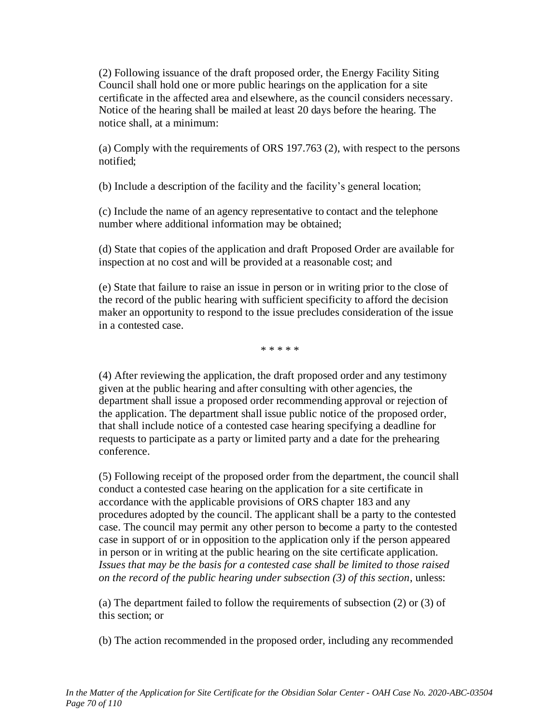(2) Following issuance of the draft proposed order, the Energy Facility Siting Council shall hold one or more public hearings on the application for a site certificate in the affected area and elsewhere, as the council considers necessary. Notice of the hearing shall be mailed at least 20 days before the hearing. The notice shall, at a minimum:

(a) Comply with the requirements of ORS 197.763 (2), with respect to the persons notified;

(b) Include a description of the facility and the facility's general location;

(c) Include the name of an agency representative to contact and the telephone number where additional information may be obtained;

(d) State that copies of the application and draft Proposed Order are available for inspection at no cost and will be provided at a reasonable cost; and

(e) State that failure to raise an issue in person or in writing prior to the close of the record of the public hearing with sufficient specificity to afford the decision maker an opportunity to respond to the issue precludes consideration of the issue in a contested case.

\* \* \* \* \*

(4) After reviewing the application, the draft proposed order and any testimony given at the public hearing and after consulting with other agencies, the department shall issue a proposed order recommending approval or rejection of the application. The department shall issue public notice of the proposed order, that shall include notice of a contested case hearing specifying a deadline for requests to participate as a party or limited party and a date for the prehearing conference.

(5) Following receipt of the proposed order from the department, the council shall conduct a contested case hearing on the application for a site certificate in accordance with the applicable provisions of ORS chapter 183 and any procedures adopted by the council. The applicant shall be a party to the contested case. The council may permit any other person to become a party to the contested case in support of or in opposition to the application only if the person appeared in person or in writing at the public hearing on the site certificate application. *Issues that may be the basis for a contested case shall be limited to those raised on the record of the public hearing under subsection (3) of this section*, unless:

(a) The department failed to follow the requirements of subsection (2) or (3) of this section; or

(b) The action recommended in the proposed order, including any recommended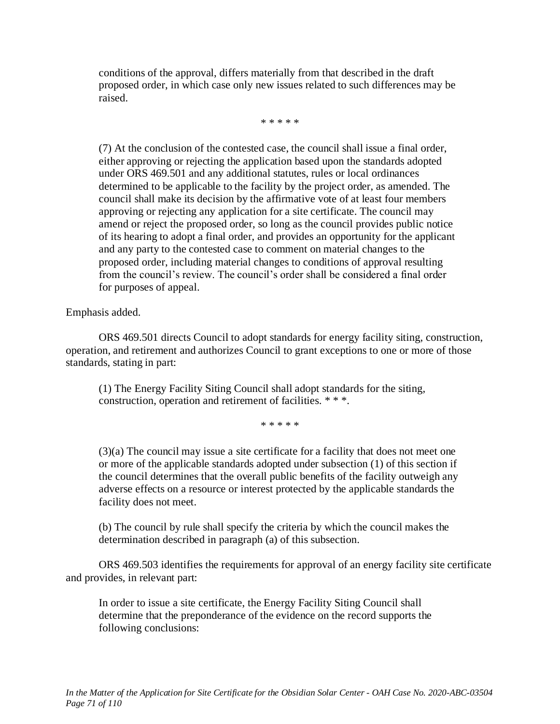conditions of the approval, differs materially from that described in the draft proposed order, in which case only new issues related to such differences may be raised.

\* \* \* \* \*

(7) At the conclusion of the contested case, the council shall issue a final order, either approving or rejecting the application based upon the standards adopted under ORS 469.501 and any additional statutes, rules or local ordinances determined to be applicable to the facility by the project order, as amended. The council shall make its decision by the affirmative vote of at least four members approving or rejecting any application for a site certificate. The council may amend or reject the proposed order, so long as the council provides public notice of its hearing to adopt a final order, and provides an opportunity for the applicant and any party to the contested case to comment on material changes to the proposed order, including material changes to conditions of approval resulting from the council's review. The council's order shall be considered a final order for purposes of appeal.

Emphasis added.

ORS 469.501 directs Council to adopt standards for energy facility siting, construction, operation, and retirement and authorizes Council to grant exceptions to one or more of those standards, stating in part:

(1) The Energy Facility Siting Council shall adopt standards for the siting, construction, operation and retirement of facilities. \* \* \*.

\* \* \* \* \*

(3)(a) The council may issue a site certificate for a facility that does not meet one or more of the applicable standards adopted under subsection (1) of this section if the council determines that the overall public benefits of the facility outweigh any adverse effects on a resource or interest protected by the applicable standards the facility does not meet.

(b) The council by rule shall specify the criteria by which the council makes the determination described in paragraph (a) of this subsection.

ORS 469.503 identifies the requirements for approval of an energy facility site certificate and provides, in relevant part:

In order to issue a site certificate, the Energy Facility Siting Council shall determine that the preponderance of the evidence on the record supports the following conclusions: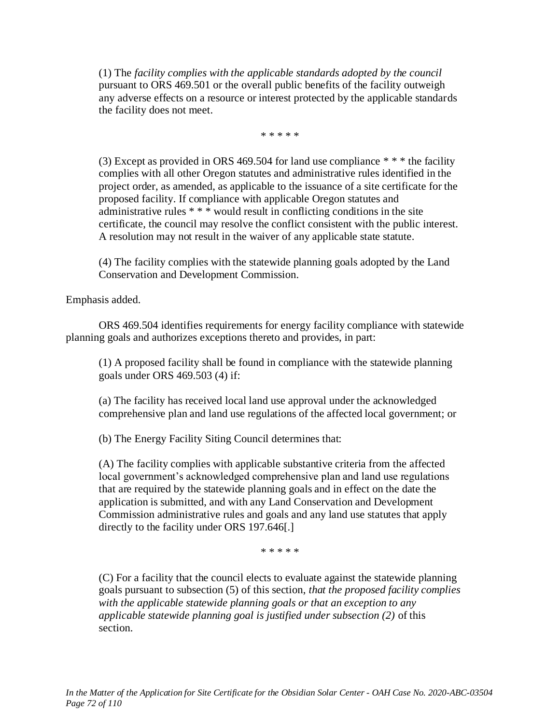(1) The *facility complies with the applicable standards adopted by the council* pursuant to ORS 469.501 or the overall public benefits of the facility outweigh any adverse effects on a resource or interest protected by the applicable standards the facility does not meet.

\* \* \* \* \*

(3) Except as provided in ORS 469.504 for land use compliance  $**$  the facility complies with all other Oregon statutes and administrative rules identified in the project order, as amended, as applicable to the issuance of a site certificate for the proposed facility. If compliance with applicable Oregon statutes and administrative rules \* \* \* would result in conflicting conditions in the site certificate, the council may resolve the conflict consistent with the public interest. A resolution may not result in the waiver of any applicable state statute.

(4) The facility complies with the statewide planning goals adopted by the Land Conservation and Development Commission.

Emphasis added.

ORS 469.504 identifies requirements for energy facility compliance with statewide planning goals and authorizes exceptions thereto and provides, in part:

(1) A proposed facility shall be found in compliance with the statewide planning goals under ORS 469.503 (4) if:

(a) The facility has received local land use approval under the acknowledged comprehensive plan and land use regulations of the affected local government; or

(b) The Energy Facility Siting Council determines that:

(A) The facility complies with applicable substantive criteria from the affected local government's acknowledged comprehensive plan and land use regulations that are required by the statewide planning goals and in effect on the date the application is submitted, and with any Land Conservation and Development Commission administrative rules and goals and any land use statutes that apply directly to the facility under ORS 197.646[.]

\* \* \* \* \*

(C) For a facility that the council elects to evaluate against the statewide planning goals pursuant to subsection (5) of this section, *that the proposed facility complies with the applicable statewide planning goals or that an exception to any applicable statewide planning goal is justified under subsection (2)* of this section.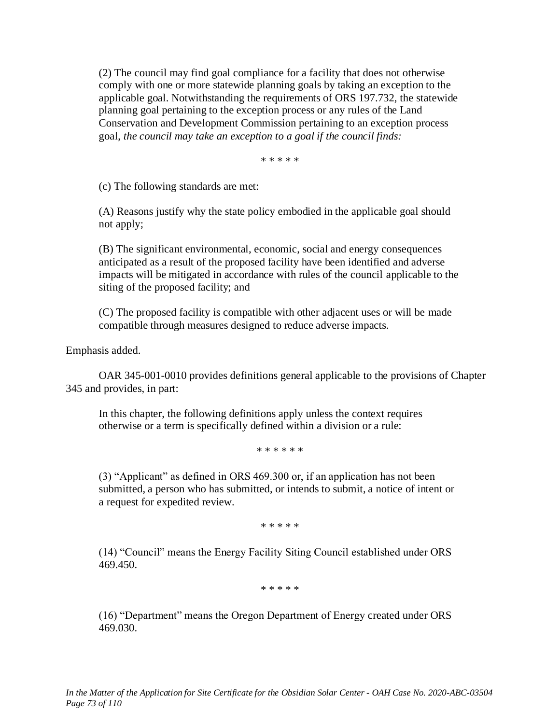(2) The council may find goal compliance for a facility that does not otherwise comply with one or more statewide planning goals by taking an exception to the applicable goal. Notwithstanding the requirements of ORS 197.732, the statewide planning goal pertaining to the exception process or any rules of the Land Conservation and Development Commission pertaining to an exception process goal, *the council may take an exception to a goal if the council finds:*

\* \* \* \* \*

(c) The following standards are met:

(A) Reasons justify why the state policy embodied in the applicable goal should not apply;

(B) The significant environmental, economic, social and energy consequences anticipated as a result of the proposed facility have been identified and adverse impacts will be mitigated in accordance with rules of the council applicable to the siting of the proposed facility; and

(C) The proposed facility is compatible with other adjacent uses or will be made compatible through measures designed to reduce adverse impacts.

Emphasis added.

OAR 345-001-0010 provides definitions general applicable to the provisions of Chapter 345 and provides, in part:

In this chapter, the following definitions apply unless the context requires otherwise or a term is specifically defined within a division or a rule:

\* \* \* \* \* \*

(3) "Applicant" as defined in ORS 469.300 or, if an application has not been submitted, a person who has submitted, or intends to submit, a notice of intent or a request for expedited review.

\* \* \* \* \*

(14) "Council" means the Energy Facility Siting Council established under ORS 469.450.

\* \* \* \* \*

(16) "Department" means the Oregon Department of Energy created under ORS 469.030.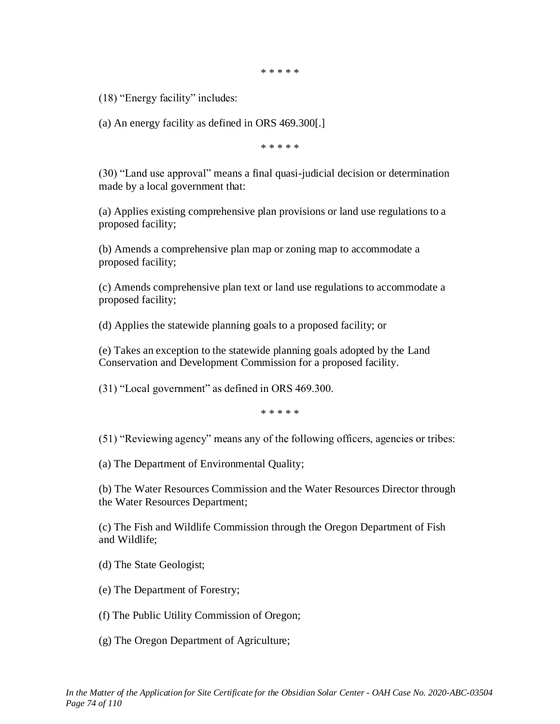\* \* \* \* \*

(18) "Energy facility" includes:

(a) An energy facility as defined in ORS 469.300[.]

\* \* \* \* \*

(30) "Land use approval" means a final quasi-judicial decision or determination made by a local government that:

(a) Applies existing comprehensive plan provisions or land use regulations to a proposed facility;

(b) Amends a comprehensive plan map or zoning map to accommodate a proposed facility;

(c) Amends comprehensive plan text or land use regulations to accommodate a proposed facility;

(d) Applies the statewide planning goals to a proposed facility; or

(e) Takes an exception to the statewide planning goals adopted by the Land Conservation and Development Commission for a proposed facility.

(31) "Local government" as defined in ORS 469.300.

\* \* \* \* \*

(51) "Reviewing agency" means any of the following officers, agencies or tribes:

(a) The Department of Environmental Quality;

(b) The Water Resources Commission and the Water Resources Director through the Water Resources Department;

(c) The Fish and Wildlife Commission through the Oregon Department of Fish and Wildlife;

(d) The State Geologist;

(e) The Department of Forestry;

(f) The Public Utility Commission of Oregon;

(g) The Oregon Department of Agriculture;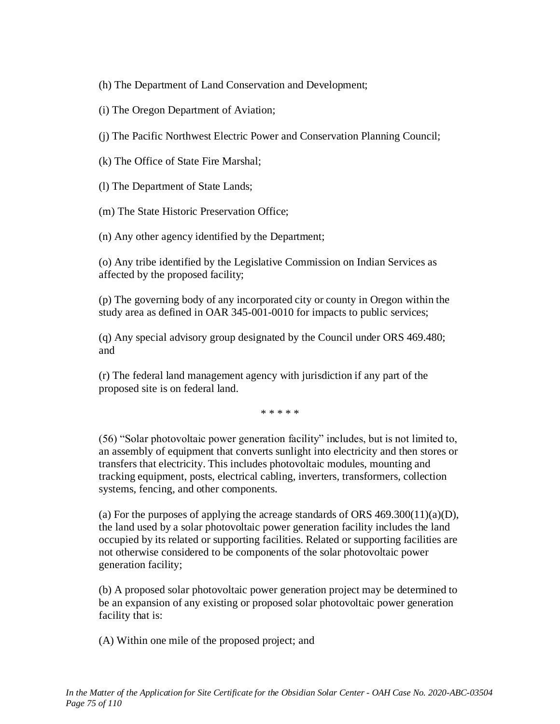(h) The Department of Land Conservation and Development;

- (i) The Oregon Department of Aviation;
- (j) The Pacific Northwest Electric Power and Conservation Planning Council;
- (k) The Office of State Fire Marshal;

(l) The Department of State Lands;

(m) The State Historic Preservation Office;

(n) Any other agency identified by the Department;

(o) Any tribe identified by the Legislative Commission on Indian Services as affected by the proposed facility;

(p) The governing body of any incorporated city or county in Oregon within the study area as defined in OAR 345-001-0010 for impacts to public services;

(q) Any special advisory group designated by the Council under ORS 469.480; and

(r) The federal land management agency with jurisdiction if any part of the proposed site is on federal land.

\* \* \* \* \*

(56) "Solar photovoltaic power generation facility" includes, but is not limited to, an assembly of equipment that converts sunlight into electricity and then stores or transfers that electricity. This includes photovoltaic modules, mounting and tracking equipment, posts, electrical cabling, inverters, transformers, collection systems, fencing, and other components.

(a) For the purposes of applying the acreage standards of ORS  $469.300(11)(a)$ , the land used by a solar photovoltaic power generation facility includes the land occupied by its related or supporting facilities. Related or supporting facilities are not otherwise considered to be components of the solar photovoltaic power generation facility;

(b) A proposed solar photovoltaic power generation project may be determined to be an expansion of any existing or proposed solar photovoltaic power generation facility that is:

(A) Within one mile of the proposed project; and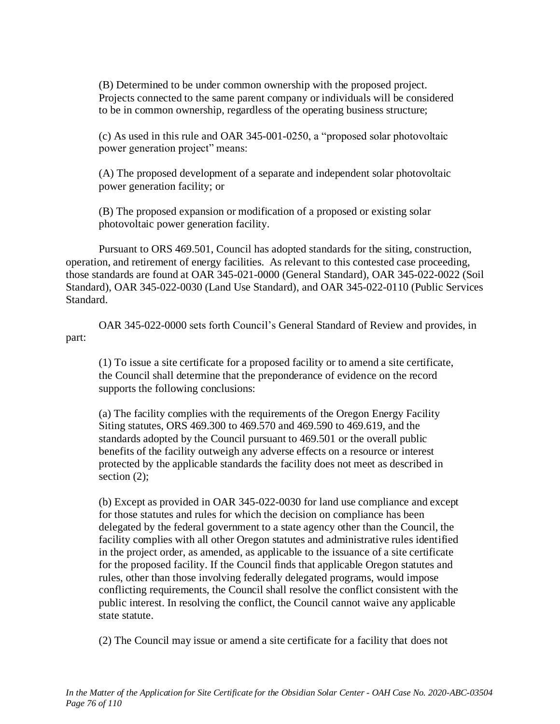(B) Determined to be under common ownership with the proposed project. Projects connected to the same parent company or individuals will be considered to be in common ownership, regardless of the operating business structure;

(c) As used in this rule and OAR 345-001-0250, a "proposed solar photovoltaic power generation project" means:

(A) The proposed development of a separate and independent solar photovoltaic power generation facility; or

(B) The proposed expansion or modification of a proposed or existing solar photovoltaic power generation facility.

Pursuant to ORS 469.501, Council has adopted standards for the siting, construction, operation, and retirement of energy facilities. As relevant to this contested case proceeding, those standards are found at OAR 345-021-0000 (General Standard), OAR 345-022-0022 (Soil Standard), OAR 345-022-0030 (Land Use Standard), and OAR 345-022-0110 (Public Services Standard.

OAR 345-022-0000 sets forth Council's General Standard of Review and provides, in part:

(1) To issue a site certificate for a proposed facility or to amend a site certificate, the Council shall determine that the preponderance of evidence on the record supports the following conclusions:

(a) The facility complies with the requirements of the Oregon Energy Facility Siting statutes, ORS 469.300 to 469.570 and 469.590 to 469.619, and the standards adopted by the Council pursuant to 469.501 or the overall public benefits of the facility outweigh any adverse effects on a resource or interest protected by the applicable standards the facility does not meet as described in section  $(2)$ ;

(b) Except as provided in OAR 345-022-0030 for land use compliance and except for those statutes and rules for which the decision on compliance has been delegated by the federal government to a state agency other than the Council, the facility complies with all other Oregon statutes and administrative rules identified in the project order, as amended, as applicable to the issuance of a site certificate for the proposed facility. If the Council finds that applicable Oregon statutes and rules, other than those involving federally delegated programs, would impose conflicting requirements, the Council shall resolve the conflict consistent with the public interest. In resolving the conflict, the Council cannot waive any applicable state statute.

(2) The Council may issue or amend a site certificate for a facility that does not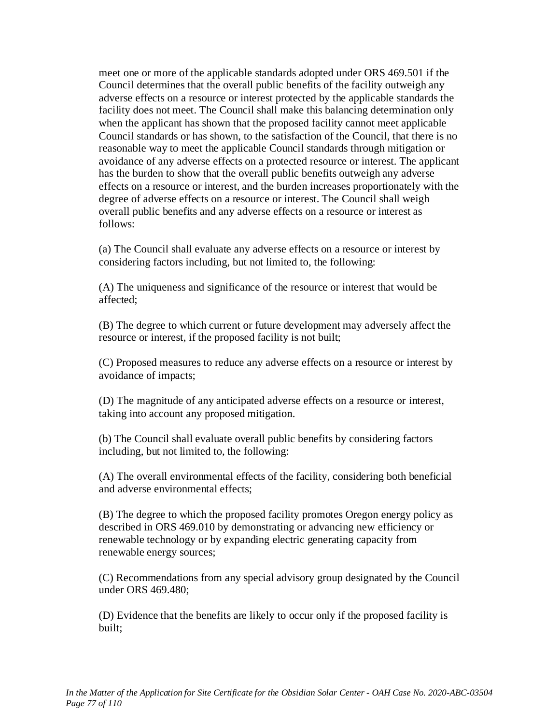meet one or more of the applicable standards adopted under ORS 469.501 if the Council determines that the overall public benefits of the facility outweigh any adverse effects on a resource or interest protected by the applicable standards the facility does not meet. The Council shall make this balancing determination only when the applicant has shown that the proposed facility cannot meet applicable Council standards or has shown, to the satisfaction of the Council, that there is no reasonable way to meet the applicable Council standards through mitigation or avoidance of any adverse effects on a protected resource or interest. The applicant has the burden to show that the overall public benefits outweigh any adverse effects on a resource or interest, and the burden increases proportionately with the degree of adverse effects on a resource or interest. The Council shall weigh overall public benefits and any adverse effects on a resource or interest as follows:

(a) The Council shall evaluate any adverse effects on a resource or interest by considering factors including, but not limited to, the following:

(A) The uniqueness and significance of the resource or interest that would be affected;

(B) The degree to which current or future development may adversely affect the resource or interest, if the proposed facility is not built;

(C) Proposed measures to reduce any adverse effects on a resource or interest by avoidance of impacts;

(D) The magnitude of any anticipated adverse effects on a resource or interest, taking into account any proposed mitigation.

(b) The Council shall evaluate overall public benefits by considering factors including, but not limited to, the following:

(A) The overall environmental effects of the facility, considering both beneficial and adverse environmental effects;

(B) The degree to which the proposed facility promotes Oregon energy policy as described in ORS 469.010 by demonstrating or advancing new efficiency or renewable technology or by expanding electric generating capacity from renewable energy sources;

(C) Recommendations from any special advisory group designated by the Council under ORS 469.480;

(D) Evidence that the benefits are likely to occur only if the proposed facility is built;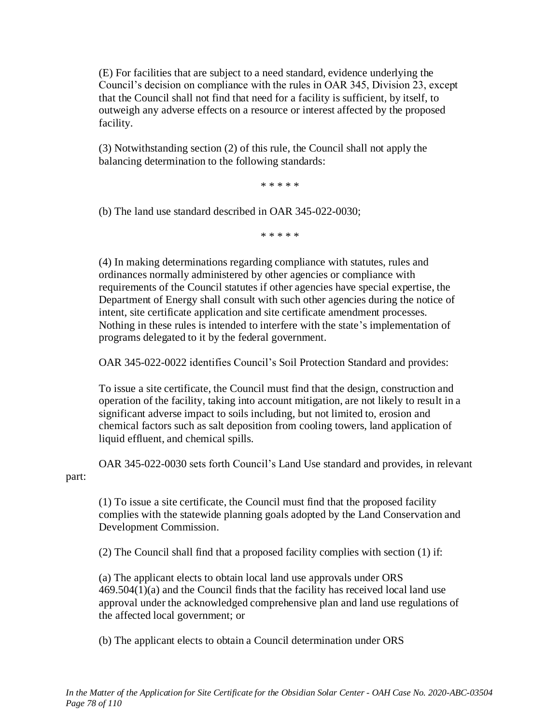(E) For facilities that are subject to a need standard, evidence underlying the Council's decision on compliance with the rules in OAR 345, Division 23, except that the Council shall not find that need for a facility is sufficient, by itself, to outweigh any adverse effects on a resource or interest affected by the proposed facility.

(3) Notwithstanding section (2) of this rule, the Council shall not apply the balancing determination to the following standards:

\* \* \* \* \*

(b) The land use standard described in OAR 345-022-0030;

\* \* \* \* \*

(4) In making determinations regarding compliance with statutes, rules and ordinances normally administered by other agencies or compliance with requirements of the Council statutes if other agencies have special expertise, the Department of Energy shall consult with such other agencies during the notice of intent, site certificate application and site certificate amendment processes. Nothing in these rules is intended to interfere with the state's implementation of programs delegated to it by the federal government.

OAR 345-022-0022 identifies Council's Soil Protection Standard and provides:

To issue a site certificate, the Council must find that the design, construction and operation of the facility, taking into account mitigation, are not likely to result in a significant adverse impact to soils including, but not limited to, erosion and chemical factors such as salt deposition from cooling towers, land application of liquid effluent, and chemical spills.

OAR 345-022-0030 sets forth Council's Land Use standard and provides, in relevant part:

(1) To issue a site certificate, the Council must find that the proposed facility complies with the statewide planning goals adopted by the Land Conservation and Development Commission.

(2) The Council shall find that a proposed facility complies with section (1) if:

(a) The applicant elects to obtain local land use approvals under ORS 469.504(1)(a) and the Council finds that the facility has received local land use approval under the acknowledged comprehensive plan and land use regulations of the affected local government; or

(b) The applicant elects to obtain a Council determination under ORS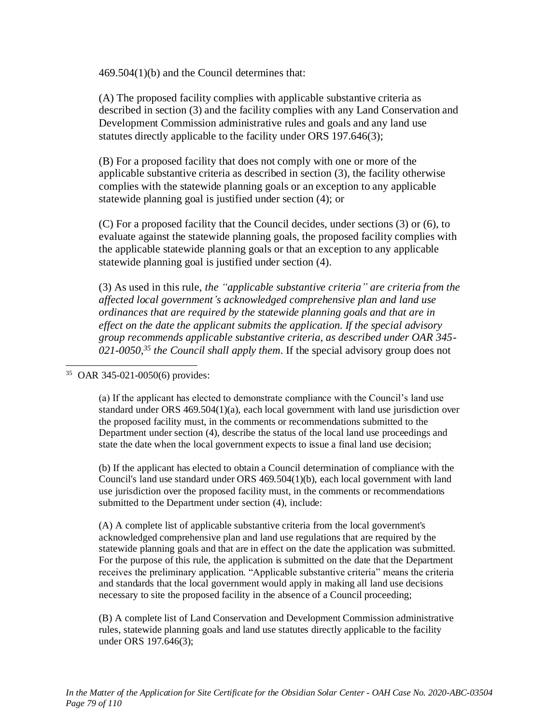469.504(1)(b) and the Council determines that:

(A) The proposed facility complies with applicable substantive criteria as described in section (3) and the facility complies with any Land Conservation and Development Commission administrative rules and goals and any land use statutes directly applicable to the facility under ORS 197.646(3);

(B) For a proposed facility that does not comply with one or more of the applicable substantive criteria as described in section (3), the facility otherwise complies with the statewide planning goals or an exception to any applicable statewide planning goal is justified under section (4); or

(C) For a proposed facility that the Council decides, under sections (3) or (6), to evaluate against the statewide planning goals, the proposed facility complies with the applicable statewide planning goals or that an exception to any applicable statewide planning goal is justified under section (4).

(3) As used in this rule, *the "applicable substantive criteria" are criteria from the affected local government's acknowledged comprehensive plan and land use ordinances that are required by the statewide planning goals and that are in effect on the date the applicant submits the application. If the special advisory group recommends applicable substantive criteria, as described under OAR 345- 021-0050,<sup>35</sup> the Council shall apply them*. If the special advisory group does not

#### 35 OAR 345-021-0050(6) provides:

(a) If the applicant has elected to demonstrate compliance with the Council's land use standard under ORS 469.504(1)(a), each local government with land use jurisdiction over the proposed facility must, in the comments or recommendations submitted to the Department under section (4), describe the status of the local land use proceedings and state the date when the local government expects to issue a final land use decision;

(b) If the applicant has elected to obtain a Council determination of compliance with the Council's land use standard under ORS 469.504(1)(b), each local government with land use jurisdiction over the proposed facility must, in the comments or recommendations submitted to the Department under section (4), include:

(A) A complete list of applicable substantive criteria from the local government's acknowledged comprehensive plan and land use regulations that are required by the statewide planning goals and that are in effect on the date the application was submitted. For the purpose of this rule, the application is submitted on the date that the Department receives the preliminary application. "Applicable substantive criteria" means the criteria and standards that the local government would apply in making all land use decisions necessary to site the proposed facility in the absence of a Council proceeding;

(B) A complete list of Land Conservation and Development Commission administrative rules, statewide planning goals and land use statutes directly applicable to the facility under ORS 197.646(3);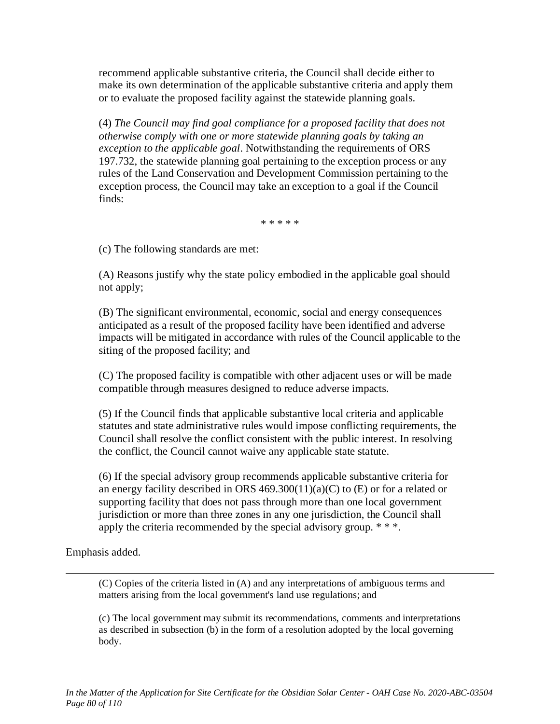recommend applicable substantive criteria, the Council shall decide either to make its own determination of the applicable substantive criteria and apply them or to evaluate the proposed facility against the statewide planning goals.

(4) *The Council may find goal compliance for a proposed facility that does not otherwise comply with one or more statewide planning goals by taking an exception to the applicable goal*. Notwithstanding the requirements of ORS 197.732, the statewide planning goal pertaining to the exception process or any rules of the Land Conservation and Development Commission pertaining to the exception process, the Council may take an exception to a goal if the Council finds:

\* \* \* \* \*

(c) The following standards are met:

(A) Reasons justify why the state policy embodied in the applicable goal should not apply;

(B) The significant environmental, economic, social and energy consequences anticipated as a result of the proposed facility have been identified and adverse impacts will be mitigated in accordance with rules of the Council applicable to the siting of the proposed facility; and

(C) The proposed facility is compatible with other adjacent uses or will be made compatible through measures designed to reduce adverse impacts.

(5) If the Council finds that applicable substantive local criteria and applicable statutes and state administrative rules would impose conflicting requirements, the Council shall resolve the conflict consistent with the public interest. In resolving the conflict, the Council cannot waive any applicable state statute.

(6) If the special advisory group recommends applicable substantive criteria for an energy facility described in ORS  $469.300(11)(a)(C)$  to (E) or for a related or supporting facility that does not pass through more than one local government jurisdiction or more than three zones in any one jurisdiction, the Council shall apply the criteria recommended by the special advisory group. \* \* \*.

Emphasis added.

(C) Copies of the criteria listed in (A) and any interpretations of ambiguous terms and matters arising from the local government's land use regulations; and

(c) The local government may submit its recommendations, comments and interpretations as described in subsection (b) in the form of a resolution adopted by the local governing body.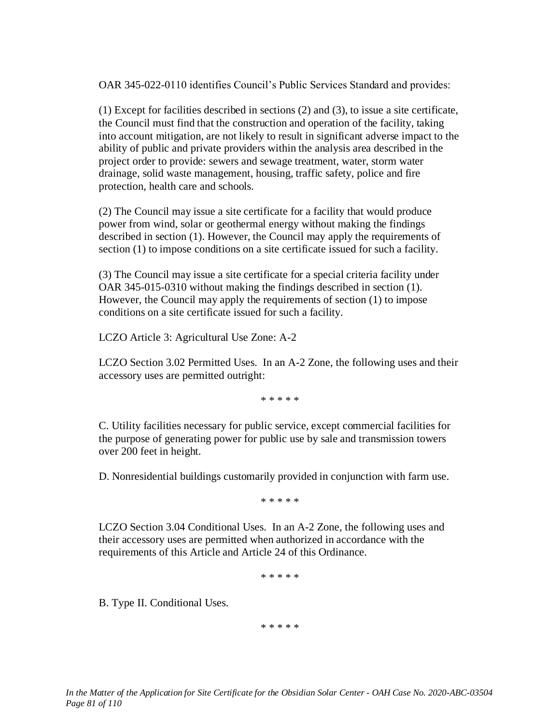OAR 345-022-0110 identifies Council's Public Services Standard and provides:

(1) Except for facilities described in sections (2) and (3), to issue a site certificate, the Council must find that the construction and operation of the facility, taking into account mitigation, are not likely to result in significant adverse impact to the ability of public and private providers within the analysis area described in the project order to provide: sewers and sewage treatment, water, storm water drainage, solid waste management, housing, traffic safety, police and fire protection, health care and schools.

(2) The Council may issue a site certificate for a facility that would produce power from wind, solar or geothermal energy without making the findings described in section (1). However, the Council may apply the requirements of section (1) to impose conditions on a site certificate issued for such a facility.

(3) The Council may issue a site certificate for a special criteria facility under OAR 345-015-0310 without making the findings described in section (1). However, the Council may apply the requirements of section (1) to impose conditions on a site certificate issued for such a facility.

LCZO Article 3: Agricultural Use Zone: A-2

LCZO Section 3.02 Permitted Uses. In an A-2 Zone, the following uses and their accessory uses are permitted outright:

\* \* \* \* \*

C. Utility facilities necessary for public service, except commercial facilities for the purpose of generating power for public use by sale and transmission towers over 200 feet in height.

D. Nonresidential buildings customarily provided in conjunction with farm use.

\* \* \* \* \*

LCZO Section 3.04 Conditional Uses. In an A-2 Zone, the following uses and their accessory uses are permitted when authorized in accordance with the requirements of this Article and Article 24 of this Ordinance.

\* \* \* \* \*

B. Type II. Conditional Uses.

\* \* \* \* \*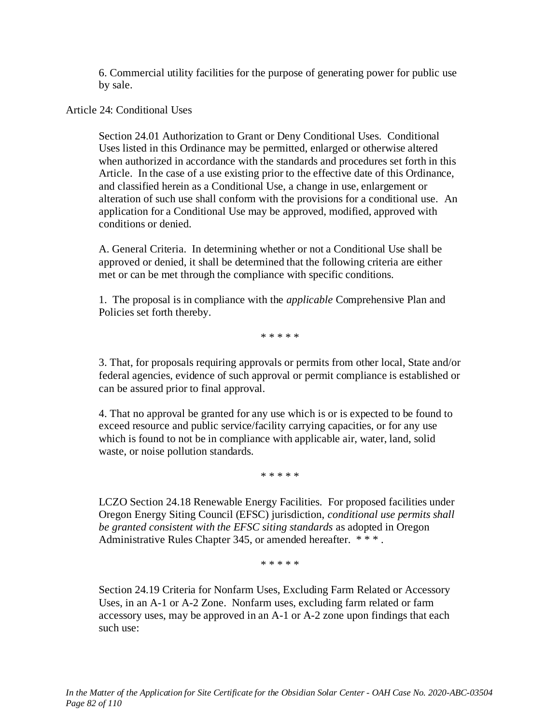6. Commercial utility facilities for the purpose of generating power for public use by sale.

Article 24: Conditional Uses

Section 24.01 Authorization to Grant or Deny Conditional Uses. Conditional Uses listed in this Ordinance may be permitted, enlarged or otherwise altered when authorized in accordance with the standards and procedures set forth in this Article. In the case of a use existing prior to the effective date of this Ordinance, and classified herein as a Conditional Use, a change in use, enlargement or alteration of such use shall conform with the provisions for a conditional use. An application for a Conditional Use may be approved, modified, approved with conditions or denied.

A. General Criteria. In determining whether or not a Conditional Use shall be approved or denied, it shall be determined that the following criteria are either met or can be met through the compliance with specific conditions.

1. The proposal is in compliance with the *applicable* Comprehensive Plan and Policies set forth thereby.

\* \* \* \* \*

3. That, for proposals requiring approvals or permits from other local, State and/or federal agencies, evidence of such approval or permit compliance is established or can be assured prior to final approval.

4. That no approval be granted for any use which is or is expected to be found to exceed resource and public service/facility carrying capacities, or for any use which is found to not be in compliance with applicable air, water, land, solid waste, or noise pollution standards.

\* \* \* \* \*

LCZO Section 24.18 Renewable Energy Facilities. For proposed facilities under Oregon Energy Siting Council (EFSC) jurisdiction, *conditional use permits shall be granted consistent with the EFSC siting standards* as adopted in Oregon Administrative Rules Chapter 345, or amended hereafter. \*\*\*.

\* \* \* \* \*

Section 24.19 Criteria for Nonfarm Uses, Excluding Farm Related or Accessory Uses, in an A-1 or A-2 Zone. Nonfarm uses, excluding farm related or farm accessory uses, may be approved in an A-1 or A-2 zone upon findings that each such use: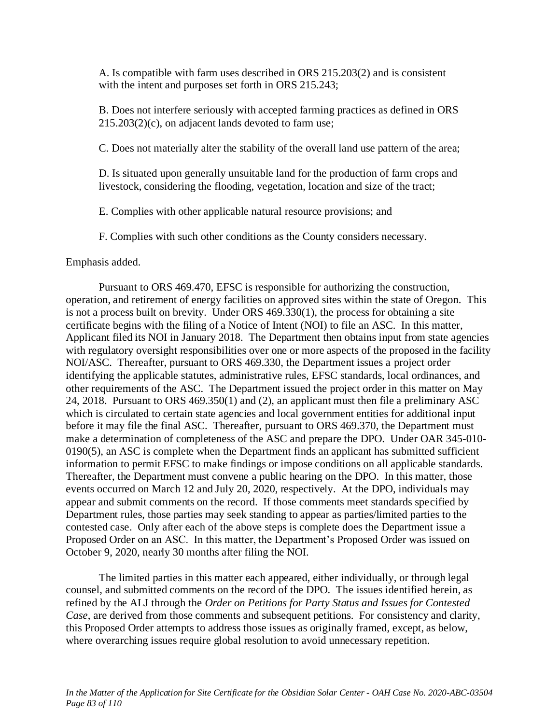A. Is compatible with farm uses described in ORS 215.203(2) and is consistent with the intent and purposes set forth in ORS 215.243;

B. Does not interfere seriously with accepted farming practices as defined in ORS 215.203(2)(c), on adjacent lands devoted to farm use;

C. Does not materially alter the stability of the overall land use pattern of the area;

D. Is situated upon generally unsuitable land for the production of farm crops and livestock, considering the flooding, vegetation, location and size of the tract;

E. Complies with other applicable natural resource provisions; and

F. Complies with such other conditions as the County considers necessary.

Emphasis added.

Pursuant to ORS 469.470, EFSC is responsible for authorizing the construction, operation, and retirement of energy facilities on approved sites within the state of Oregon. This is not a process built on brevity. Under ORS 469.330(1), the process for obtaining a site certificate begins with the filing of a Notice of Intent (NOI) to file an ASC. In this matter, Applicant filed its NOI in January 2018. The Department then obtains input from state agencies with regulatory oversight responsibilities over one or more aspects of the proposed in the facility NOI/ASC. Thereafter, pursuant to ORS 469.330, the Department issues a project order identifying the applicable statutes, administrative rules, EFSC standards, local ordinances, and other requirements of the ASC. The Department issued the project order in this matter on May 24, 2018. Pursuant to ORS 469.350(1) and (2), an applicant must then file a preliminary ASC which is circulated to certain state agencies and local government entities for additional input before it may file the final ASC. Thereafter, pursuant to ORS 469.370, the Department must make a determination of completeness of the ASC and prepare the DPO. Under OAR 345-010- 0190(5), an ASC is complete when the Department finds an applicant has submitted sufficient information to permit EFSC to make findings or impose conditions on all applicable standards. Thereafter, the Department must convene a public hearing on the DPO. In this matter, those events occurred on March 12 and July 20, 2020, respectively. At the DPO, individuals may appear and submit comments on the record. If those comments meet standards specified by Department rules, those parties may seek standing to appear as parties/limited parties to the contested case. Only after each of the above steps is complete does the Department issue a Proposed Order on an ASC. In this matter, the Department's Proposed Order was issued on October 9, 2020, nearly 30 months after filing the NOI.

The limited parties in this matter each appeared, either individually, or through legal counsel, and submitted comments on the record of the DPO. The issues identified herein, as refined by the ALJ through the *Order on Petitions for Party Status and Issues for Contested Case*, are derived from those comments and subsequent petitions. For consistency and clarity, this Proposed Order attempts to address those issues as originally framed, except, as below, where overarching issues require global resolution to avoid unnecessary repetition.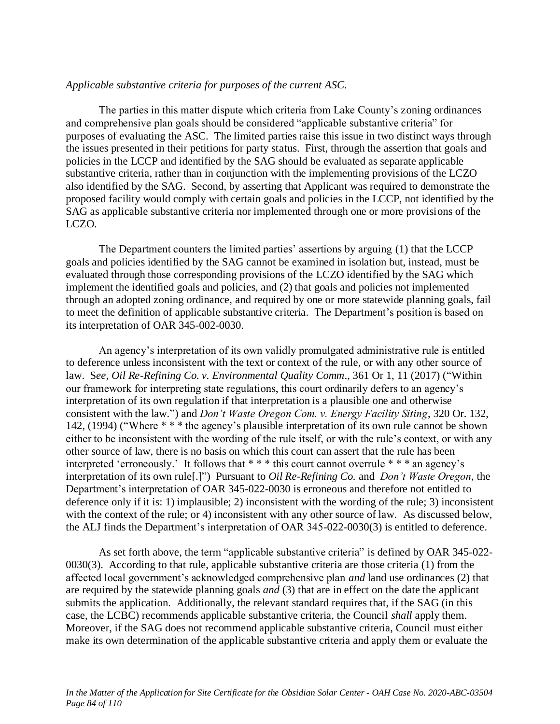### *Applicable substantive criteria for purposes of the current ASC.*

The parties in this matter dispute which criteria from Lake County's zoning ordinances and comprehensive plan goals should be considered "applicable substantive criteria" for purposes of evaluating the ASC. The limited parties raise this issue in two distinct ways through the issues presented in their petitions for party status. First, through the assertion that goals and policies in the LCCP and identified by the SAG should be evaluated as separate applicable substantive criteria, rather than in conjunction with the implementing provisions of the LCZO also identified by the SAG. Second, by asserting that Applicant was required to demonstrate the proposed facility would comply with certain goals and policies in the LCCP, not identified by the SAG as applicable substantive criteria nor implemented through one or more provisions of the LCZO.

The Department counters the limited parties' assertions by arguing (1) that the LCCP goals and policies identified by the SAG cannot be examined in isolation but, instead, must be evaluated through those corresponding provisions of the LCZO identified by the SAG which implement the identified goals and policies, and (2) that goals and policies not implemented through an adopted zoning ordinance, and required by one or more statewide planning goals, fail to meet the definition of applicable substantive criteria. The Department's position is based on its interpretation of OAR 345-002-0030.

An agency's interpretation of its own validly promulgated administrative rule is entitled to deference unless inconsistent with the text or context of the rule, or with any other source of law. S*ee, Oil Re-Refining Co. v. Environmental Quality Comm*., 361 Or 1, 11 (2017) ("Within our framework for interpreting state regulations, this court ordinarily defers to an agency's interpretation of its own regulation if that interpretation is a plausible one and otherwise consistent with the law.") and *Don't Waste Oregon Com. v. Energy Facility Siting*, 320 Or. 132, 142, (1994) ("Where \* \* \* the agency's plausible interpretation of its own rule cannot be shown either to be inconsistent with the wording of the rule itself, or with the rule's context, or with any other source of law, there is no basis on which this court can assert that the rule has been interpreted 'erroneously.' It follows that \* \* \* this court cannot overrule \* \* \* an agency's interpretation of its own rule[.]") Pursuant to *Oil Re-Refining Co.* and *Don't Waste Oregon*, the Department's interpretation of OAR 345-022-0030 is erroneous and therefore not entitled to deference only if it is: 1) implausible; 2) inconsistent with the wording of the rule; 3) inconsistent with the context of the rule; or 4) inconsistent with any other source of law. As discussed below, the ALJ finds the Department's interpretation of OAR 345-022-0030(3) is entitled to deference.

As set forth above, the term "applicable substantive criteria" is defined by OAR 345-022- 0030(3). According to that rule, applicable substantive criteria are those criteria (1) from the affected local government's acknowledged comprehensive plan *and* land use ordinances (2) that are required by the statewide planning goals *and* (3) that are in effect on the date the applicant submits the application*.* Additionally, the relevant standard requires that, if the SAG (in this case, the LCBC) recommends applicable substantive criteria, the Council *shall* apply them. Moreover, if the SAG does not recommend applicable substantive criteria, Council must either make its own determination of the applicable substantive criteria and apply them or evaluate the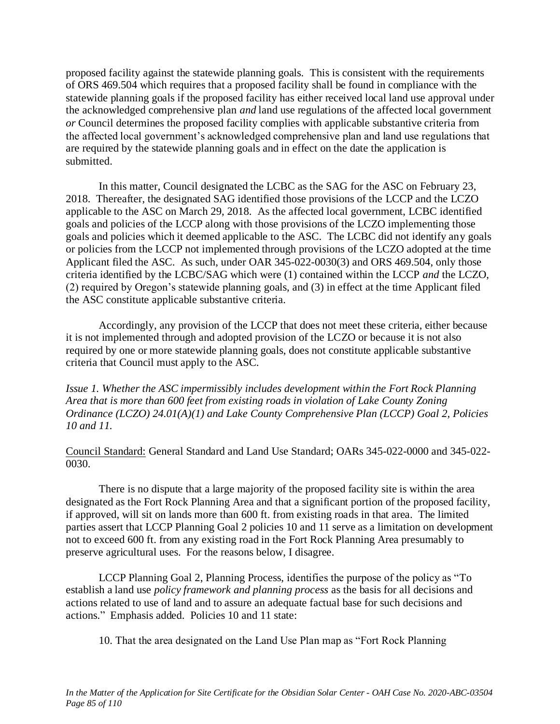proposed facility against the statewide planning goals. This is consistent with the requirements of ORS 469.504 which requires that a proposed facility shall be found in compliance with the statewide planning goals if the proposed facility has either received local land use approval under the acknowledged comprehensive plan *and* land use regulations of the affected local government *or* Council determines the proposed facility complies with applicable substantive criteria from the affected local government's acknowledged comprehensive plan and land use regulations that are required by the statewide planning goals and in effect on the date the application is submitted.

In this matter, Council designated the LCBC as the SAG for the ASC on February 23, 2018. Thereafter, the designated SAG identified those provisions of the LCCP and the LCZO applicable to the ASC on March 29, 2018. As the affected local government, LCBC identified goals and policies of the LCCP along with those provisions of the LCZO implementing those goals and policies which it deemed applicable to the ASC. The LCBC did not identify any goals or policies from the LCCP not implemented through provisions of the LCZO adopted at the time Applicant filed the ASC. As such, under OAR 345-022-0030(3) and ORS 469.504, only those criteria identified by the LCBC/SAG which were (1) contained within the LCCP *and* the LCZO, (2) required by Oregon's statewide planning goals, and (3) in effect at the time Applicant filed the ASC constitute applicable substantive criteria.

Accordingly, any provision of the LCCP that does not meet these criteria, either because it is not implemented through and adopted provision of the LCZO or because it is not also required by one or more statewide planning goals, does not constitute applicable substantive criteria that Council must apply to the ASC.

*Issue 1. Whether the ASC impermissibly includes development within the Fort Rock Planning Area that is more than 600 feet from existing roads in violation of Lake County Zoning Ordinance (LCZO) 24.01(A)(1) and Lake County Comprehensive Plan (LCCP) Goal 2, Policies 10 and 11.*

Council Standard: General Standard and Land Use Standard; OARs 345-022-0000 and 345-022- 0030.

There is no dispute that a large majority of the proposed facility site is within the area designated as the Fort Rock Planning Area and that a significant portion of the proposed facility, if approved, will sit on lands more than 600 ft. from existing roads in that area. The limited parties assert that LCCP Planning Goal 2 policies 10 and 11 serve as a limitation on development not to exceed 600 ft. from any existing road in the Fort Rock Planning Area presumably to preserve agricultural uses. For the reasons below, I disagree.

LCCP Planning Goal 2, Planning Process, identifies the purpose of the policy as "To establish a land use *policy framework and planning process* as the basis for all decisions and actions related to use of land and to assure an adequate factual base for such decisions and actions." Emphasis added. Policies 10 and 11 state:

10. That the area designated on the Land Use Plan map as "Fort Rock Planning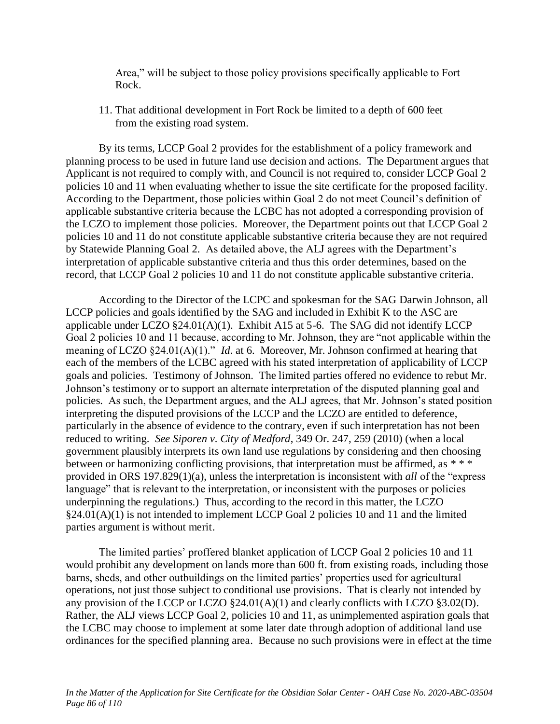Area," will be subject to those policy provisions specifically applicable to Fort Rock.

11. That additional development in Fort Rock be limited to a depth of 600 feet from the existing road system.

By its terms, LCCP Goal 2 provides for the establishment of a policy framework and planning process to be used in future land use decision and actions. The Department argues that Applicant is not required to comply with, and Council is not required to, consider LCCP Goal 2 policies 10 and 11 when evaluating whether to issue the site certificate for the proposed facility. According to the Department, those policies within Goal 2 do not meet Council's definition of applicable substantive criteria because the LCBC has not adopted a corresponding provision of the LCZO to implement those policies. Moreover, the Department points out that LCCP Goal 2 policies 10 and 11 do not constitute applicable substantive criteria because they are not required by Statewide Planning Goal 2. As detailed above, the ALJ agrees with the Department's interpretation of applicable substantive criteria and thus this order determines, based on the record, that LCCP Goal 2 policies 10 and 11 do not constitute applicable substantive criteria.

According to the Director of the LCPC and spokesman for the SAG Darwin Johnson, all LCCP policies and goals identified by the SAG and included in Exhibit K to the ASC are applicable under LCZO  $\S24.01(A)(1)$ . Exhibit A15 at 5-6. The SAG did not identify LCCP Goal 2 policies 10 and 11 because, according to Mr. Johnson, they are "not applicable within the meaning of LCZO §24.01(A)(1)." *Id*. at 6. Moreover, Mr. Johnson confirmed at hearing that each of the members of the LCBC agreed with his stated interpretation of applicability of LCCP goals and policies. Testimony of Johnson. The limited parties offered no evidence to rebut Mr. Johnson's testimony or to support an alternate interpretation of the disputed planning goal and policies. As such, the Department argues, and the ALJ agrees, that Mr. Johnson's stated position interpreting the disputed provisions of the LCCP and the LCZO are entitled to deference, particularly in the absence of evidence to the contrary, even if such interpretation has not been reduced to writing. *See Siporen v. City of Medford*, 349 Or. 247, 259 (2010) (when a local government plausibly interprets its own land use regulations by considering and then choosing between or harmonizing conflicting provisions, that interpretation must be affirmed, as \*\*\* provided in ORS 197.829(1)(a), unless the interpretation is inconsistent with *all* of the "express language" that is relevant to the interpretation, or inconsistent with the purposes or policies underpinning the regulations.) Thus, according to the record in this matter, the LCZO §24.01(A)(1) is not intended to implement LCCP Goal 2 policies 10 and 11 and the limited parties argument is without merit.

The limited parties' proffered blanket application of LCCP Goal 2 policies 10 and 11 would prohibit any development on lands more than 600 ft. from existing roads, including those barns, sheds, and other outbuildings on the limited parties' properties used for agricultural operations, not just those subject to conditional use provisions. That is clearly not intended by any provision of the LCCP or LCZO  $\S 24.01(A)(1)$  and clearly conflicts with LCZO  $\S 3.02(D)$ . Rather, the ALJ views LCCP Goal 2, policies 10 and 11, as unimplemented aspiration goals that the LCBC may choose to implement at some later date through adoption of additional land use ordinances for the specified planning area. Because no such provisions were in effect at the time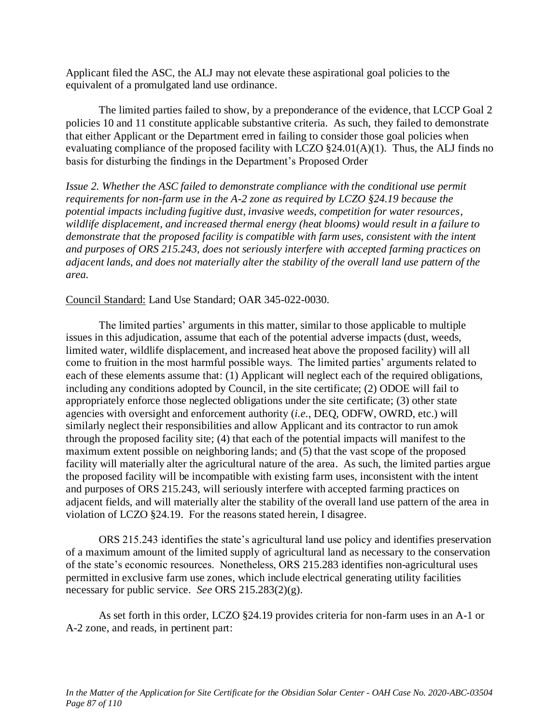Applicant filed the ASC, the ALJ may not elevate these aspirational goal policies to the equivalent of a promulgated land use ordinance.

The limited parties failed to show, by a preponderance of the evidence, that LCCP Goal 2 policies 10 and 11 constitute applicable substantive criteria. As such, they failed to demonstrate that either Applicant or the Department erred in failing to consider those goal policies when evaluating compliance of the proposed facility with LCZO  $\S24.01(A)(1)$ . Thus, the ALJ finds no basis for disturbing the findings in the Department's Proposed Order

*Issue 2. Whether the ASC failed to demonstrate compliance with the conditional use permit requirements for non-farm use in the A-2 zone as required by LCZO §24.19 because the potential impacts including fugitive dust, invasive weeds, competition for water resources, wildlife displacement, and increased thermal energy (heat blooms) would result in a failure to demonstrate that the proposed facility is compatible with farm uses, consistent with the intent and purposes of ORS 215.243, does not seriously interfere with accepted farming practices on adjacent lands, and does not materially alter the stability of the overall land use pattern of the area.*

Council Standard: Land Use Standard; OAR 345-022-0030.

The limited parties' arguments in this matter, similar to those applicable to multiple issues in this adjudication, assume that each of the potential adverse impacts (dust, weeds, limited water, wildlife displacement, and increased heat above the proposed facility) will all come to fruition in the most harmful possible ways. The limited parties' arguments related to each of these elements assume that: (1) Applicant will neglect each of the required obligations, including any conditions adopted by Council, in the site certificate; (2) ODOE will fail to appropriately enforce those neglected obligations under the site certificate; (3) other state agencies with oversight and enforcement authority (*i.e.*, DEQ, ODFW, OWRD, etc.) will similarly neglect their responsibilities and allow Applicant and its contractor to run amok through the proposed facility site; (4) that each of the potential impacts will manifest to the maximum extent possible on neighboring lands; and (5) that the vast scope of the proposed facility will materially alter the agricultural nature of the area. As such, the limited parties argue the proposed facility will be incompatible with existing farm uses, inconsistent with the intent and purposes of ORS 215.243, will seriously interfere with accepted farming practices on adjacent fields, and will materially alter the stability of the overall land use pattern of the area in violation of LCZO §24.19. For the reasons stated herein, I disagree.

ORS 215.243 identifies the state's agricultural land use policy and identifies preservation of a maximum amount of the limited supply of agricultural land as necessary to the conservation of the state's economic resources. Nonetheless, ORS 215.283 identifies non-agricultural uses permitted in exclusive farm use zones, which include electrical generating utility facilities necessary for public service. *See* ORS 215.283(2)(g).

As set forth in this order, LCZO §24.19 provides criteria for non-farm uses in an A-1 or A-2 zone, and reads, in pertinent part: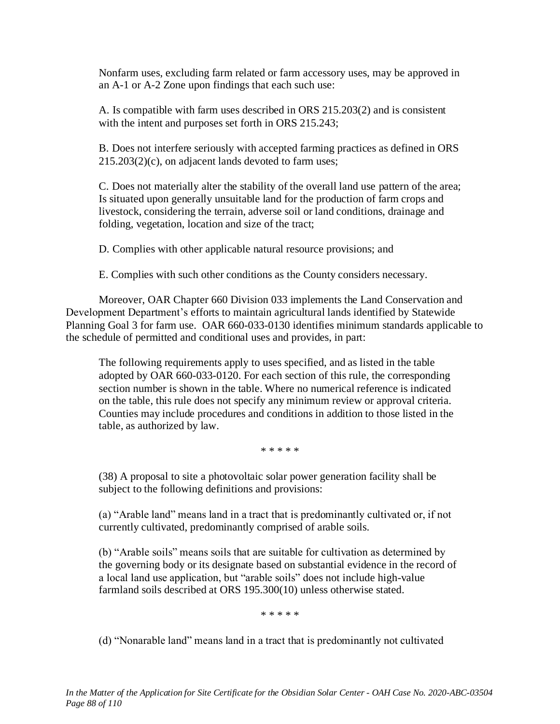Nonfarm uses, excluding farm related or farm accessory uses, may be approved in an A-1 or A-2 Zone upon findings that each such use:

A. Is compatible with farm uses described in ORS 215.203(2) and is consistent with the intent and purposes set forth in ORS 215.243;

B. Does not interfere seriously with accepted farming practices as defined in ORS 215.203(2)(c), on adjacent lands devoted to farm uses;

C. Does not materially alter the stability of the overall land use pattern of the area; Is situated upon generally unsuitable land for the production of farm crops and livestock, considering the terrain, adverse soil or land conditions, drainage and folding, vegetation, location and size of the tract;

D. Complies with other applicable natural resource provisions; and

E. Complies with such other conditions as the County considers necessary.

Moreover, OAR Chapter 660 Division 033 implements the Land Conservation and Development Department's efforts to maintain agricultural lands identified by Statewide Planning Goal 3 for farm use. OAR 660-033-0130 identifies minimum standards applicable to the schedule of permitted and conditional uses and provides, in part:

The following requirements apply to uses specified, and as listed in the table adopted by OAR 660-033-0120. For each section of this rule, the corresponding section number is shown in the table. Where no numerical reference is indicated on the table, this rule does not specify any minimum review or approval criteria. Counties may include procedures and conditions in addition to those listed in the table, as authorized by law.

\* \* \* \* \*

(38) A proposal to site a photovoltaic solar power generation facility shall be subject to the following definitions and provisions:

(a) "Arable land" means land in a tract that is predominantly cultivated or, if not currently cultivated, predominantly comprised of arable soils.

(b) "Arable soils" means soils that are suitable for cultivation as determined by the governing body or its designate based on substantial evidence in the record of a local land use application, but "arable soils" does not include high-value farmland soils described at ORS 195.300(10) unless otherwise stated.

\* \* \* \* \*

(d) "Nonarable land" means land in a tract that is predominantly not cultivated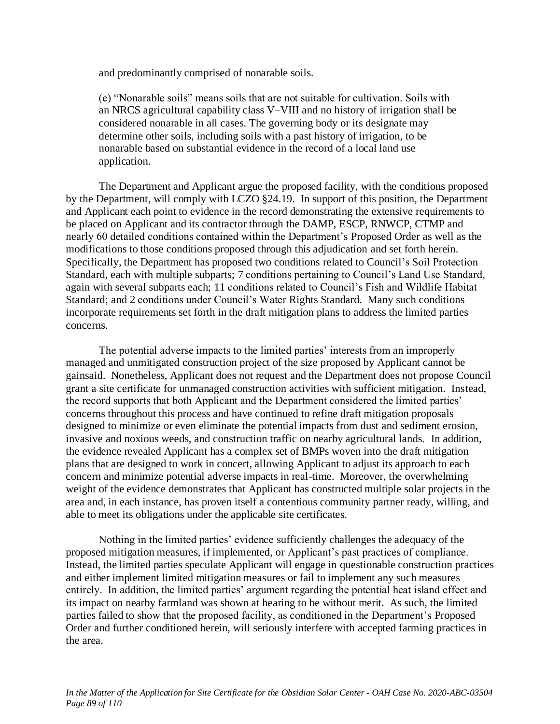and predominantly comprised of nonarable soils.

(e) "Nonarable soils" means soils that are not suitable for cultivation. Soils with an NRCS agricultural capability class V–VIII and no history of irrigation shall be considered nonarable in all cases. The governing body or its designate may determine other soils, including soils with a past history of irrigation, to be nonarable based on substantial evidence in the record of a local land use application.

The Department and Applicant argue the proposed facility, with the conditions proposed by the Department, will comply with LCZO §24.19. In support of this position, the Department and Applicant each point to evidence in the record demonstrating the extensive requirements to be placed on Applicant and its contractor through the DAMP, ESCP, RNWCP, CTMP and nearly 60 detailed conditions contained within the Department's Proposed Order as well as the modifications to those conditions proposed through this adjudication and set forth herein. Specifically, the Department has proposed two conditions related to Council's Soil Protection Standard, each with multiple subparts; 7 conditions pertaining to Council's Land Use Standard, again with several subparts each; 11 conditions related to Council's Fish and Wildlife Habitat Standard; and 2 conditions under Council's Water Rights Standard. Many such conditions incorporate requirements set forth in the draft mitigation plans to address the limited parties concerns.

The potential adverse impacts to the limited parties' interests from an improperly managed and unmitigated construction project of the size proposed by Applicant cannot be gainsaid. Nonetheless, Applicant does not request and the Department does not propose Council grant a site certificate for unmanaged construction activities with sufficient mitigation. Instead, the record supports that both Applicant and the Department considered the limited parties' concerns throughout this process and have continued to refine draft mitigation proposals designed to minimize or even eliminate the potential impacts from dust and sediment erosion, invasive and noxious weeds, and construction traffic on nearby agricultural lands. In addition, the evidence revealed Applicant has a complex set of BMPs woven into the draft mitigation plans that are designed to work in concert, allowing Applicant to adjust its approach to each concern and minimize potential adverse impacts in real-time. Moreover, the overwhelming weight of the evidence demonstrates that Applicant has constructed multiple solar projects in the area and, in each instance, has proven itself a contentious community partner ready, willing, and able to meet its obligations under the applicable site certificates.

Nothing in the limited parties' evidence sufficiently challenges the adequacy of the proposed mitigation measures, if implemented, or Applicant's past practices of compliance. Instead, the limited parties speculate Applicant will engage in questionable construction practices and either implement limited mitigation measures or fail to implement any such measures entirely. In addition, the limited parties' argument regarding the potential heat island effect and its impact on nearby farmland was shown at hearing to be without merit. As such, the limited parties failed to show that the proposed facility, as conditioned in the Department's Proposed Order and further conditioned herein, will seriously interfere with accepted farming practices in the area.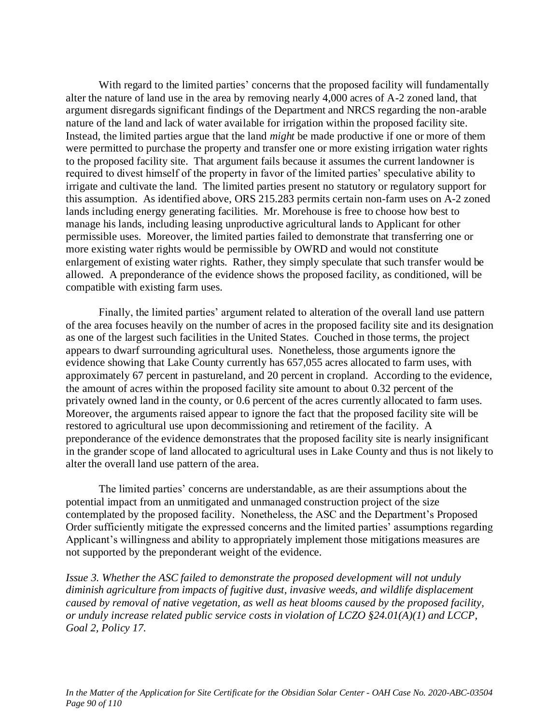With regard to the limited parties' concerns that the proposed facility will fundamentally alter the nature of land use in the area by removing nearly 4,000 acres of A-2 zoned land, that argument disregards significant findings of the Department and NRCS regarding the non-arable nature of the land and lack of water available for irrigation within the proposed facility site. Instead, the limited parties argue that the land *might* be made productive if one or more of them were permitted to purchase the property and transfer one or more existing irrigation water rights to the proposed facility site. That argument fails because it assumes the current landowner is required to divest himself of the property in favor of the limited parties' speculative ability to irrigate and cultivate the land. The limited parties present no statutory or regulatory support for this assumption. As identified above, ORS 215.283 permits certain non-farm uses on A-2 zoned lands including energy generating facilities. Mr. Morehouse is free to choose how best to manage his lands, including leasing unproductive agricultural lands to Applicant for other permissible uses. Moreover, the limited parties failed to demonstrate that transferring one or more existing water rights would be permissible by OWRD and would not constitute enlargement of existing water rights. Rather, they simply speculate that such transfer would be allowed. A preponderance of the evidence shows the proposed facility, as conditioned, will be compatible with existing farm uses.

Finally, the limited parties' argument related to alteration of the overall land use pattern of the area focuses heavily on the number of acres in the proposed facility site and its designation as one of the largest such facilities in the United States. Couched in those terms, the project appears to dwarf surrounding agricultural uses. Nonetheless, those arguments ignore the evidence showing that Lake County currently has 657,055 acres allocated to farm uses, with approximately 67 percent in pastureland, and 20 percent in cropland. According to the evidence, the amount of acres within the proposed facility site amount to about 0.32 percent of the privately owned land in the county, or 0.6 percent of the acres currently allocated to farm uses. Moreover, the arguments raised appear to ignore the fact that the proposed facility site will be restored to agricultural use upon decommissioning and retirement of the facility. A preponderance of the evidence demonstrates that the proposed facility site is nearly insignificant in the grander scope of land allocated to agricultural uses in Lake County and thus is not likely to alter the overall land use pattern of the area.

The limited parties' concerns are understandable, as are their assumptions about the potential impact from an unmitigated and unmanaged construction project of the size contemplated by the proposed facility. Nonetheless, the ASC and the Department's Proposed Order sufficiently mitigate the expressed concerns and the limited parties' assumptions regarding Applicant's willingness and ability to appropriately implement those mitigations measures are not supported by the preponderant weight of the evidence.

*Issue 3. Whether the ASC failed to demonstrate the proposed development will not unduly diminish agriculture from impacts of fugitive dust, invasive weeds, and wildlife displacement caused by removal of native vegetation, as well as heat blooms caused by the proposed facility, or unduly increase related public service costs in violation of LCZO §24.01(A)(1) and LCCP, Goal 2, Policy 17.*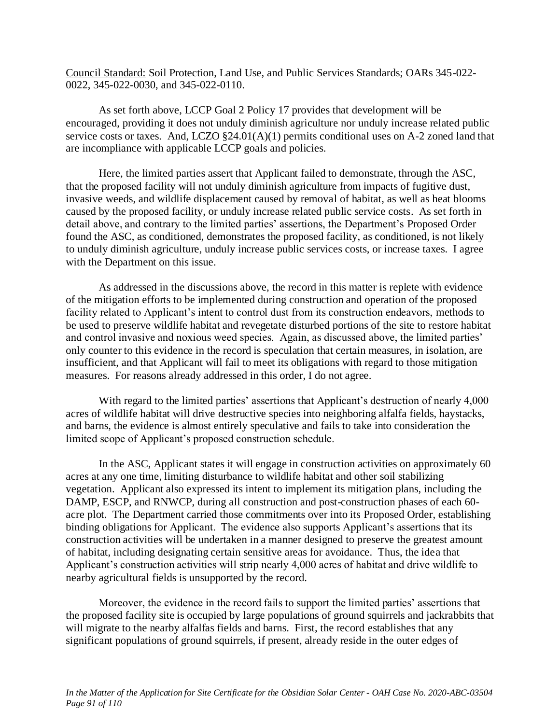Council Standard: Soil Protection, Land Use, and Public Services Standards; OARs 345-022- 0022, 345-022-0030, and 345-022-0110.

As set forth above, LCCP Goal 2 Policy 17 provides that development will be encouraged, providing it does not unduly diminish agriculture nor unduly increase related public service costs or taxes. And, LCZO §24.01(A)(1) permits conditional uses on A-2 zoned land that are incompliance with applicable LCCP goals and policies.

Here, the limited parties assert that Applicant failed to demonstrate, through the ASC, that the proposed facility will not unduly diminish agriculture from impacts of fugitive dust, invasive weeds, and wildlife displacement caused by removal of habitat, as well as heat blooms caused by the proposed facility, or unduly increase related public service costs. As set forth in detail above, and contrary to the limited parties' assertions, the Department's Proposed Order found the ASC, as conditioned, demonstrates the proposed facility, as conditioned, is not likely to unduly diminish agriculture, unduly increase public services costs, or increase taxes. I agree with the Department on this issue.

As addressed in the discussions above, the record in this matter is replete with evidence of the mitigation efforts to be implemented during construction and operation of the proposed facility related to Applicant's intent to control dust from its construction endeavors, methods to be used to preserve wildlife habitat and revegetate disturbed portions of the site to restore habitat and control invasive and noxious weed species. Again, as discussed above, the limited parties' only counter to this evidence in the record is speculation that certain measures, in isolation, are insufficient, and that Applicant will fail to meet its obligations with regard to those mitigation measures. For reasons already addressed in this order, I do not agree.

With regard to the limited parties' assertions that Applicant's destruction of nearly 4,000 acres of wildlife habitat will drive destructive species into neighboring alfalfa fields, haystacks, and barns, the evidence is almost entirely speculative and fails to take into consideration the limited scope of Applicant's proposed construction schedule.

In the ASC, Applicant states it will engage in construction activities on approximately 60 acres at any one time, limiting disturbance to wildlife habitat and other soil stabilizing vegetation. Applicant also expressed its intent to implement its mitigation plans, including the DAMP, ESCP, and RNWCP, during all construction and post-construction phases of each 60 acre plot. The Department carried those commitments over into its Proposed Order, establishing binding obligations for Applicant. The evidence also supports Applicant's assertions that its construction activities will be undertaken in a manner designed to preserve the greatest amount of habitat, including designating certain sensitive areas for avoidance. Thus, the idea that Applicant's construction activities will strip nearly 4,000 acres of habitat and drive wildlife to nearby agricultural fields is unsupported by the record.

Moreover, the evidence in the record fails to support the limited parties' assertions that the proposed facility site is occupied by large populations of ground squirrels and jackrabbits that will migrate to the nearby alfalfas fields and barns. First, the record establishes that any significant populations of ground squirrels, if present, already reside in the outer edges of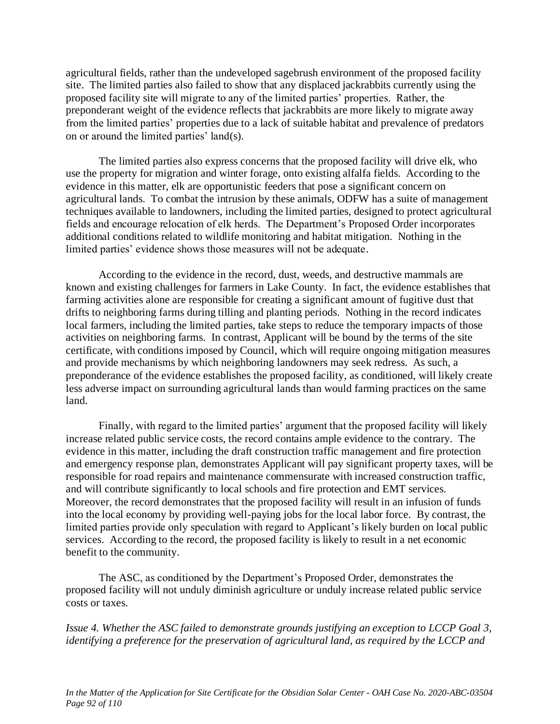agricultural fields, rather than the undeveloped sagebrush environment of the proposed facility site. The limited parties also failed to show that any displaced jackrabbits currently using the proposed facility site will migrate to any of the limited parties' properties. Rather, the preponderant weight of the evidence reflects that jackrabbits are more likely to migrate away from the limited parties' properties due to a lack of suitable habitat and prevalence of predators on or around the limited parties' land(s).

The limited parties also express concerns that the proposed facility will drive elk, who use the property for migration and winter forage, onto existing alfalfa fields. According to the evidence in this matter, elk are opportunistic feeders that pose a significant concern on agricultural lands. To combat the intrusion by these animals, ODFW has a suite of management techniques available to landowners, including the limited parties, designed to protect agricultural fields and encourage relocation of elk herds. The Department's Proposed Order incorporates additional conditions related to wildlife monitoring and habitat mitigation. Nothing in the limited parties' evidence shows those measures will not be adequate.

According to the evidence in the record, dust, weeds, and destructive mammals are known and existing challenges for farmers in Lake County. In fact, the evidence establishes that farming activities alone are responsible for creating a significant amount of fugitive dust that drifts to neighboring farms during tilling and planting periods. Nothing in the record indicates local farmers, including the limited parties, take steps to reduce the temporary impacts of those activities on neighboring farms. In contrast, Applicant will be bound by the terms of the site certificate, with conditions imposed by Council, which will require ongoing mitigation measures and provide mechanisms by which neighboring landowners may seek redress. As such, a preponderance of the evidence establishes the proposed facility, as conditioned, will likely create less adverse impact on surrounding agricultural lands than would farming practices on the same land.

Finally, with regard to the limited parties' argument that the proposed facility will likely increase related public service costs, the record contains ample evidence to the contrary. The evidence in this matter, including the draft construction traffic management and fire protection and emergency response plan, demonstrates Applicant will pay significant property taxes, will be responsible for road repairs and maintenance commensurate with increased construction traffic, and will contribute significantly to local schools and fire protection and EMT services. Moreover, the record demonstrates that the proposed facility will result in an infusion of funds into the local economy by providing well-paying jobs for the local labor force. By contrast, the limited parties provide only speculation with regard to Applicant's likely burden on local public services. According to the record, the proposed facility is likely to result in a net economic benefit to the community.

The ASC, as conditioned by the Department's Proposed Order, demonstrates the proposed facility will not unduly diminish agriculture or unduly increase related public service costs or taxes.

*Issue 4. Whether the ASC failed to demonstrate grounds justifying an exception to LCCP Goal 3, identifying a preference for the preservation of agricultural land, as required by the LCCP and*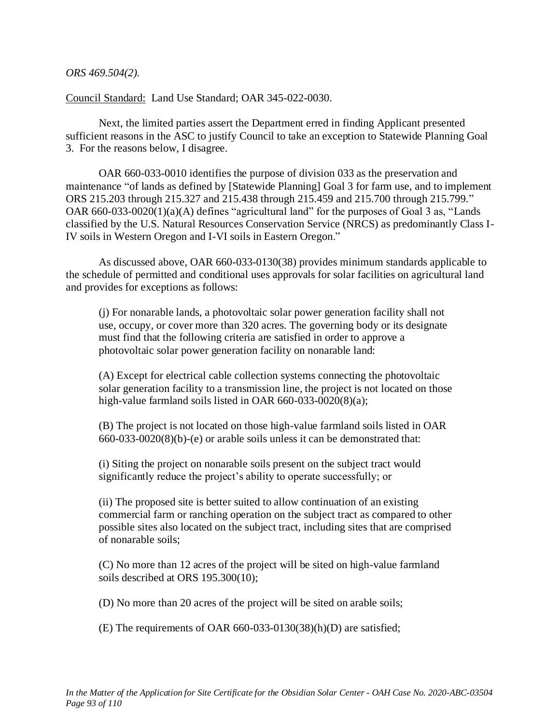*ORS 469.504(2).*

Council Standard: Land Use Standard; OAR 345-022-0030.

Next, the limited parties assert the Department erred in finding Applicant presented sufficient reasons in the ASC to justify Council to take an exception to Statewide Planning Goal 3. For the reasons below, I disagree.

OAR 660-033-0010 identifies the purpose of division 033 as the preservation and maintenance "of lands as defined by [Statewide Planning] Goal 3 for farm use, and to implement ORS 215.203 through 215.327 and 215.438 through 215.459 and 215.700 through 215.799." OAR 660-033-0020(1)(a)(A) defines "agricultural land" for the purposes of Goal 3 as, "Lands classified by the U.S. Natural Resources Conservation Service (NRCS) as predominantly Class I-IV soils in Western Oregon and I-VI soils in Eastern Oregon."

As discussed above, OAR 660-033-0130(38) provides minimum standards applicable to the schedule of permitted and conditional uses approvals for solar facilities on agricultural land and provides for exceptions as follows:

(j) For nonarable lands, a photovoltaic solar power generation facility shall not use, occupy, or cover more than 320 acres. The governing body or its designate must find that the following criteria are satisfied in order to approve a photovoltaic solar power generation facility on nonarable land:

(A) Except for electrical cable collection systems connecting the photovoltaic solar generation facility to a transmission line, the project is not located on those high-value farmland soils listed in OAR 660-033-0020(8)(a);

(B) The project is not located on those high-value farmland soils listed in OAR 660-033-0020(8)(b)-(e) or arable soils unless it can be demonstrated that:

(i) Siting the project on nonarable soils present on the subject tract would significantly reduce the project's ability to operate successfully; or

(ii) The proposed site is better suited to allow continuation of an existing commercial farm or ranching operation on the subject tract as compared to other possible sites also located on the subject tract, including sites that are comprised of nonarable soils;

(C) No more than 12 acres of the project will be sited on high-value farmland soils described at ORS 195.300(10);

(D) No more than 20 acres of the project will be sited on arable soils;

(E) The requirements of OAR 660-033-0130(38)(h)(D) are satisfied;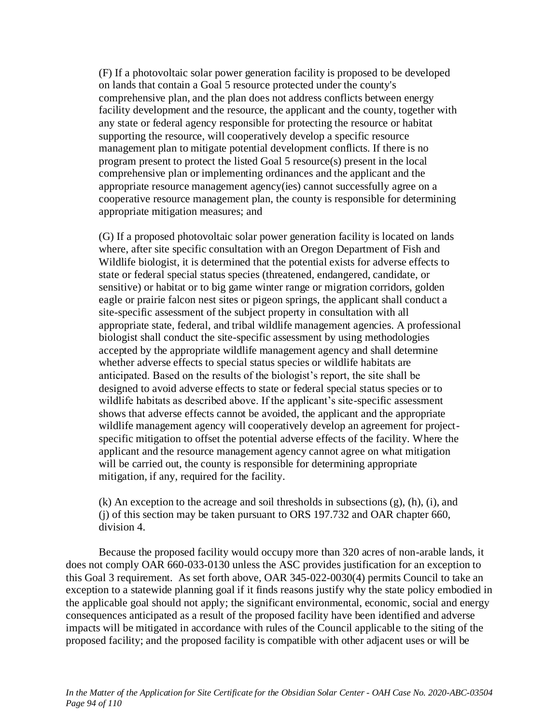(F) If a photovoltaic solar power generation facility is proposed to be developed on lands that contain a Goal 5 resource protected under the county's comprehensive plan, and the plan does not address conflicts between energy facility development and the resource, the applicant and the county, together with any state or federal agency responsible for protecting the resource or habitat supporting the resource, will cooperatively develop a specific resource management plan to mitigate potential development conflicts. If there is no program present to protect the listed Goal 5 resource(s) present in the local comprehensive plan or implementing ordinances and the applicant and the appropriate resource management agency(ies) cannot successfully agree on a cooperative resource management plan, the county is responsible for determining appropriate mitigation measures; and

(G) If a proposed photovoltaic solar power generation facility is located on lands where, after site specific consultation with an Oregon Department of Fish and Wildlife biologist, it is determined that the potential exists for adverse effects to state or federal special status species (threatened, endangered, candidate, or sensitive) or habitat or to big game winter range or migration corridors, golden eagle or prairie falcon nest sites or pigeon springs, the applicant shall conduct a site-specific assessment of the subject property in consultation with all appropriate state, federal, and tribal wildlife management agencies. A professional biologist shall conduct the site-specific assessment by using methodologies accepted by the appropriate wildlife management agency and shall determine whether adverse effects to special status species or wildlife habitats are anticipated. Based on the results of the biologist's report, the site shall be designed to avoid adverse effects to state or federal special status species or to wildlife habitats as described above. If the applicant's site-specific assessment shows that adverse effects cannot be avoided, the applicant and the appropriate wildlife management agency will cooperatively develop an agreement for projectspecific mitigation to offset the potential adverse effects of the facility. Where the applicant and the resource management agency cannot agree on what mitigation will be carried out, the county is responsible for determining appropriate mitigation, if any, required for the facility.

(k) An exception to the acreage and soil thresholds in subsections (g), (h), (i), and (j) of this section may be taken pursuant to ORS 197.732 and OAR chapter 660, division 4.

Because the proposed facility would occupy more than 320 acres of non-arable lands, it does not comply OAR 660-033-0130 unless the ASC provides justification for an exception to this Goal 3 requirement. As set forth above, OAR 345-022-0030(4) permits Council to take an exception to a statewide planning goal if it finds reasons justify why the state policy embodied in the applicable goal should not apply; the significant environmental, economic, social and energy consequences anticipated as a result of the proposed facility have been identified and adverse impacts will be mitigated in accordance with rules of the Council applicable to the siting of the proposed facility; and the proposed facility is compatible with other adjacent uses or will be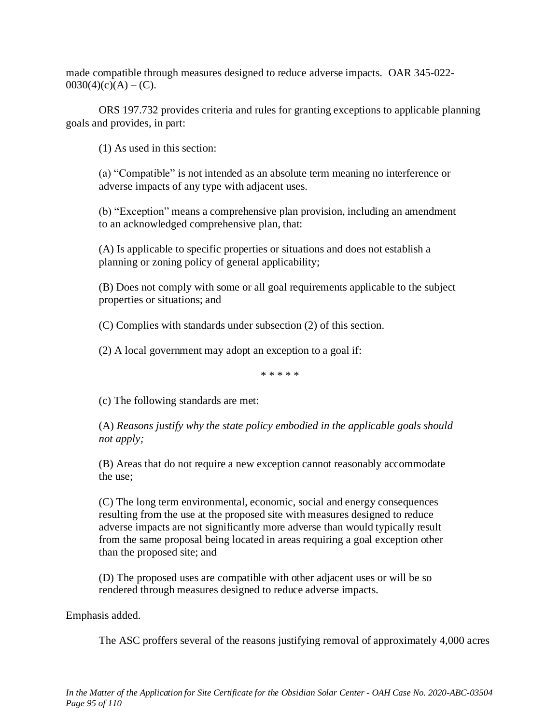made compatible through measures designed to reduce adverse impacts. OAR 345-022-  $0030(4)(c)(A) - (C)$ .

ORS 197.732 provides criteria and rules for granting exceptions to applicable planning goals and provides, in part:

(1) As used in this section:

(a) "Compatible" is not intended as an absolute term meaning no interference or adverse impacts of any type with adjacent uses.

(b) "Exception" means a comprehensive plan provision, including an amendment to an acknowledged comprehensive plan, that:

(A) Is applicable to specific properties or situations and does not establish a planning or zoning policy of general applicability;

(B) Does not comply with some or all goal requirements applicable to the subject properties or situations; and

(C) Complies with standards under subsection (2) of this section.

(2) A local government may adopt an exception to a goal if:

\* \* \* \* \*

(c) The following standards are met:

(A) *Reasons justify why the state policy embodied in the applicable goals should not apply;*

(B) Areas that do not require a new exception cannot reasonably accommodate the use;

(C) The long term environmental, economic, social and energy consequences resulting from the use at the proposed site with measures designed to reduce adverse impacts are not significantly more adverse than would typically result from the same proposal being located in areas requiring a goal exception other than the proposed site; and

(D) The proposed uses are compatible with other adjacent uses or will be so rendered through measures designed to reduce adverse impacts.

Emphasis added.

The ASC proffers several of the reasons justifying removal of approximately 4,000 acres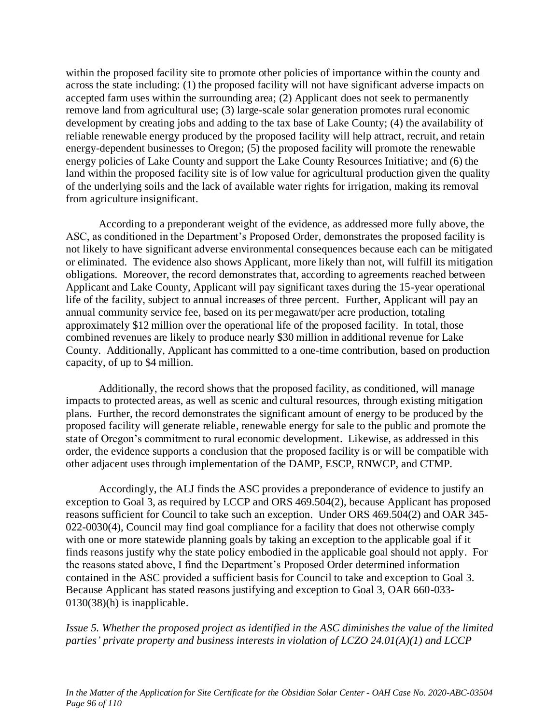within the proposed facility site to promote other policies of importance within the county and across the state including: (1) the proposed facility will not have significant adverse impacts on accepted farm uses within the surrounding area; (2) Applicant does not seek to permanently remove land from agricultural use; (3) large-scale solar generation promotes rural economic development by creating jobs and adding to the tax base of Lake County; (4) the availability of reliable renewable energy produced by the proposed facility will help attract, recruit, and retain energy-dependent businesses to Oregon; (5) the proposed facility will promote the renewable energy policies of Lake County and support the Lake County Resources Initiative; and (6) the land within the proposed facility site is of low value for agricultural production given the quality of the underlying soils and the lack of available water rights for irrigation, making its removal from agriculture insignificant.

According to a preponderant weight of the evidence, as addressed more fully above, the ASC, as conditioned in the Department's Proposed Order, demonstrates the proposed facility is not likely to have significant adverse environmental consequences because each can be mitigated or eliminated. The evidence also shows Applicant, more likely than not, will fulfill its mitigation obligations. Moreover, the record demonstrates that, according to agreements reached between Applicant and Lake County, Applicant will pay significant taxes during the 15-year operational life of the facility, subject to annual increases of three percent. Further, Applicant will pay an annual community service fee, based on its per megawatt/per acre production, totaling approximately \$12 million over the operational life of the proposed facility. In total, those combined revenues are likely to produce nearly \$30 million in additional revenue for Lake County. Additionally, Applicant has committed to a one-time contribution, based on production capacity, of up to \$4 million.

Additionally, the record shows that the proposed facility, as conditioned, will manage impacts to protected areas, as well as scenic and cultural resources, through existing mitigation plans. Further, the record demonstrates the significant amount of energy to be produced by the proposed facility will generate reliable, renewable energy for sale to the public and promote the state of Oregon's commitment to rural economic development. Likewise, as addressed in this order, the evidence supports a conclusion that the proposed facility is or will be compatible with other adjacent uses through implementation of the DAMP, ESCP, RNWCP, and CTMP.

Accordingly, the ALJ finds the ASC provides a preponderance of evidence to justify an exception to Goal 3, as required by LCCP and ORS 469.504(2), because Applicant has proposed reasons sufficient for Council to take such an exception. Under ORS 469.504(2) and OAR 345- 022-0030(4), Council may find goal compliance for a facility that does not otherwise comply with one or more statewide planning goals by taking an exception to the applicable goal if it finds reasons justify why the state policy embodied in the applicable goal should not apply. For the reasons stated above, I find the Department's Proposed Order determined information contained in the ASC provided a sufficient basis for Council to take and exception to Goal 3. Because Applicant has stated reasons justifying and exception to Goal 3, OAR 660-033- 0130(38)(h) is inapplicable.

*Issue 5. Whether the proposed project as identified in the ASC diminishes the value of the limited parties' private property and business interests in violation of LCZO 24.01(A)(1) and LCCP*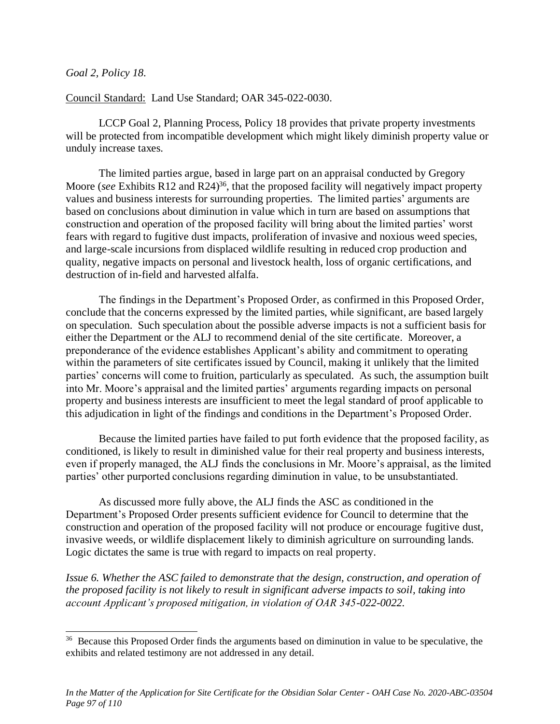### *Goal 2, Policy 18.*

### Council Standard: Land Use Standard; OAR 345-022-0030.

LCCP Goal 2, Planning Process, Policy 18 provides that private property investments will be protected from incompatible development which might likely diminish property value or unduly increase taxes.

The limited parties argue, based in large part on an appraisal conducted by Gregory Moore (*see* Exhibits R12 and R24)<sup>36</sup>, that the proposed facility will negatively impact property values and business interests for surrounding properties. The limited parties' arguments are based on conclusions about diminution in value which in turn are based on assumptions that construction and operation of the proposed facility will bring about the limited parties' worst fears with regard to fugitive dust impacts, proliferation of invasive and noxious weed species, and large-scale incursions from displaced wildlife resulting in reduced crop production and quality, negative impacts on personal and livestock health, loss of organic certifications, and destruction of in-field and harvested alfalfa.

The findings in the Department's Proposed Order, as confirmed in this Proposed Order, conclude that the concerns expressed by the limited parties, while significant, are based largely on speculation. Such speculation about the possible adverse impacts is not a sufficient basis for either the Department or the ALJ to recommend denial of the site certificate. Moreover, a preponderance of the evidence establishes Applicant's ability and commitment to operating within the parameters of site certificates issued by Council, making it unlikely that the limited parties' concerns will come to fruition, particularly as speculated. As such, the assumption built into Mr. Moore's appraisal and the limited parties' arguments regarding impacts on personal property and business interests are insufficient to meet the legal standard of proof applicable to this adjudication in light of the findings and conditions in the Department's Proposed Order.

Because the limited parties have failed to put forth evidence that the proposed facility, as conditioned, is likely to result in diminished value for their real property and business interests, even if properly managed, the ALJ finds the conclusions in Mr. Moore's appraisal, as the limited parties' other purported conclusions regarding diminution in value, to be unsubstantiated.

As discussed more fully above, the ALJ finds the ASC as conditioned in the Department's Proposed Order presents sufficient evidence for Council to determine that the construction and operation of the proposed facility will not produce or encourage fugitive dust, invasive weeds, or wildlife displacement likely to diminish agriculture on surrounding lands. Logic dictates the same is true with regard to impacts on real property.

*Issue 6. Whether the ASC failed to demonstrate that the design, construction, and operation of the proposed facility is not likely to result in significant adverse impacts to soil, taking into account Applicant's proposed mitigation, in violation of OAR 345-022-0022.*

<sup>&</sup>lt;sup>36</sup> Because this Proposed Order finds the arguments based on diminution in value to be speculative, the exhibits and related testimony are not addressed in any detail.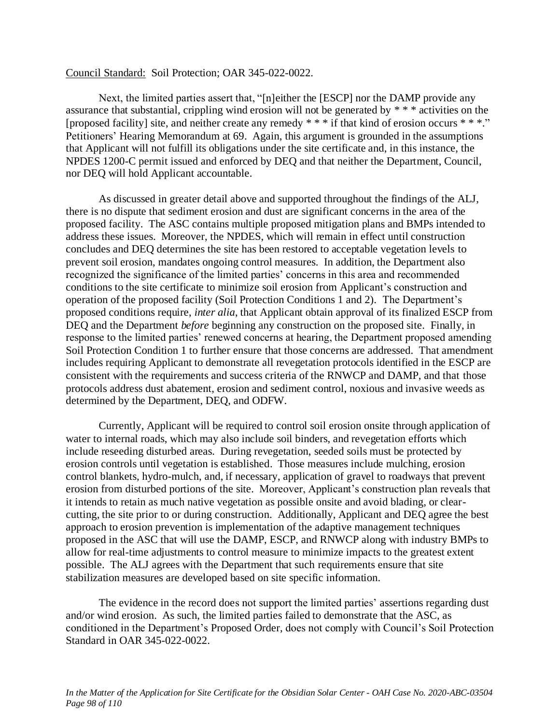#### Council Standard: Soil Protection; OAR 345-022-0022.

Next, the limited parties assert that, "[n]either the [ESCP] nor the DAMP provide any assurance that substantial, crippling wind erosion will not be generated by \* \* \* activities on the [proposed facility] site, and neither create any remedy  $***$  if that kind of erosion occurs  $***$ ." Petitioners' Hearing Memorandum at 69. Again, this argument is grounded in the assumptions that Applicant will not fulfill its obligations under the site certificate and, in this instance, the NPDES 1200-C permit issued and enforced by DEQ and that neither the Department, Council, nor DEQ will hold Applicant accountable.

As discussed in greater detail above and supported throughout the findings of the ALJ, there is no dispute that sediment erosion and dust are significant concerns in the area of the proposed facility. The ASC contains multiple proposed mitigation plans and BMPs intended to address these issues. Moreover, the NPDES, which will remain in effect until construction concludes and DEQ determines the site has been restored to acceptable vegetation levels to prevent soil erosion, mandates ongoing control measures. In addition, the Department also recognized the significance of the limited parties' concerns in this area and recommended conditions to the site certificate to minimize soil erosion from Applicant's construction and operation of the proposed facility (Soil Protection Conditions 1 and 2). The Department's proposed conditions require, *inter alia*, that Applicant obtain approval of its finalized ESCP from DEQ and the Department *before* beginning any construction on the proposed site. Finally, in response to the limited parties' renewed concerns at hearing, the Department proposed amending Soil Protection Condition 1 to further ensure that those concerns are addressed. That amendment includes requiring Applicant to demonstrate all revegetation protocols identified in the ESCP are consistent with the requirements and success criteria of the RNWCP and DAMP, and that those protocols address dust abatement, erosion and sediment control, noxious and invasive weeds as determined by the Department, DEQ, and ODFW.

Currently, Applicant will be required to control soil erosion onsite through application of water to internal roads, which may also include soil binders, and revegetation efforts which include reseeding disturbed areas. During revegetation, seeded soils must be protected by erosion controls until vegetation is established. Those measures include mulching, erosion control blankets, hydro-mulch, and, if necessary, application of gravel to roadways that prevent erosion from disturbed portions of the site. Moreover, Applicant's construction plan reveals that it intends to retain as much native vegetation as possible onsite and avoid blading, or clearcutting, the site prior to or during construction. Additionally, Applicant and DEQ agree the best approach to erosion prevention is implementation of the adaptive management techniques proposed in the ASC that will use the DAMP, ESCP, and RNWCP along with industry BMPs to allow for real-time adjustments to control measure to minimize impacts to the greatest extent possible. The ALJ agrees with the Department that such requirements ensure that site stabilization measures are developed based on site specific information.

The evidence in the record does not support the limited parties' assertions regarding dust and/or wind erosion. As such, the limited parties failed to demonstrate that the ASC, as conditioned in the Department's Proposed Order, does not comply with Council's Soil Protection Standard in OAR 345-022-0022.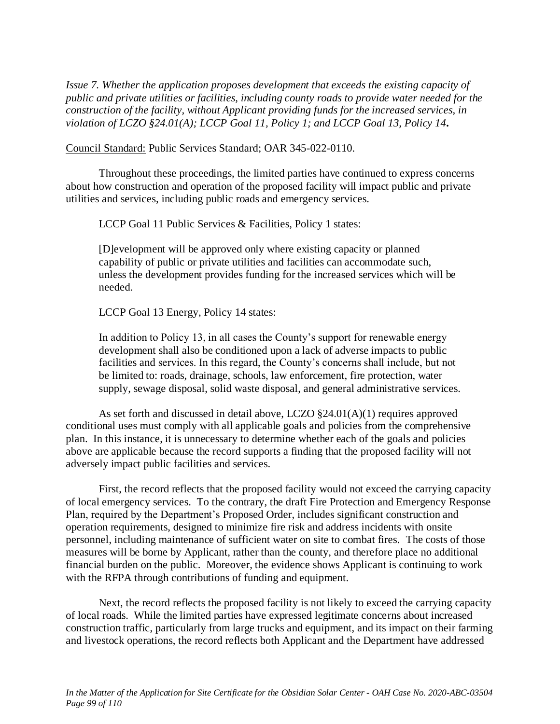*Issue 7. Whether the application proposes development that exceeds the existing capacity of public and private utilities or facilities, including county roads to provide water needed for the construction of the facility, without Applicant providing funds for the increased services, in violation of LCZO §24.01(A); LCCP Goal 11, Policy 1; and LCCP Goal 13, Policy 14.*

Council Standard: Public Services Standard; OAR 345-022-0110.

Throughout these proceedings, the limited parties have continued to express concerns about how construction and operation of the proposed facility will impact public and private utilities and services, including public roads and emergency services.

LCCP Goal 11 Public Services & Facilities, Policy 1 states:

[D]evelopment will be approved only where existing capacity or planned capability of public or private utilities and facilities can accommodate such, unless the development provides funding for the increased services which will be needed.

LCCP Goal 13 Energy, Policy 14 states:

In addition to Policy 13, in all cases the County's support for renewable energy development shall also be conditioned upon a lack of adverse impacts to public facilities and services. In this regard, the County's concerns shall include, but not be limited to: roads, drainage, schools, law enforcement, fire protection, water supply, sewage disposal, solid waste disposal, and general administrative services.

As set forth and discussed in detail above, LCZO  $\S 24.01(A)(1)$  requires approved conditional uses must comply with all applicable goals and policies from the comprehensive plan. In this instance, it is unnecessary to determine whether each of the goals and policies above are applicable because the record supports a finding that the proposed facility will not adversely impact public facilities and services.

First, the record reflects that the proposed facility would not exceed the carrying capacity of local emergency services. To the contrary, the draft Fire Protection and Emergency Response Plan, required by the Department's Proposed Order, includes significant construction and operation requirements, designed to minimize fire risk and address incidents with onsite personnel, including maintenance of sufficient water on site to combat fires. The costs of those measures will be borne by Applicant, rather than the county, and therefore place no additional financial burden on the public. Moreover, the evidence shows Applicant is continuing to work with the RFPA through contributions of funding and equipment.

Next, the record reflects the proposed facility is not likely to exceed the carrying capacity of local roads. While the limited parties have expressed legitimate concerns about increased construction traffic, particularly from large trucks and equipment, and its impact on their farming and livestock operations, the record reflects both Applicant and the Department have addressed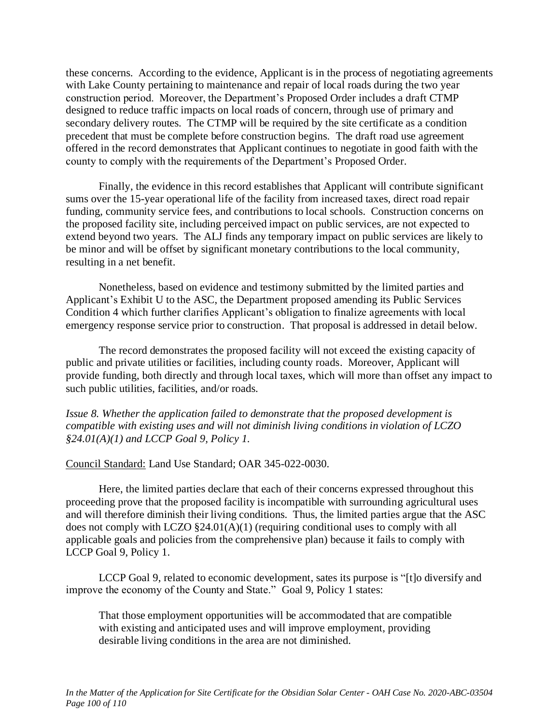these concerns. According to the evidence, Applicant is in the process of negotiating agreements with Lake County pertaining to maintenance and repair of local roads during the two year construction period. Moreover, the Department's Proposed Order includes a draft CTMP designed to reduce traffic impacts on local roads of concern, through use of primary and secondary delivery routes. The CTMP will be required by the site certificate as a condition precedent that must be complete before construction begins. The draft road use agreement offered in the record demonstrates that Applicant continues to negotiate in good faith with the county to comply with the requirements of the Department's Proposed Order.

Finally, the evidence in this record establishes that Applicant will contribute significant sums over the 15-year operational life of the facility from increased taxes, direct road repair funding, community service fees, and contributions to local schools. Construction concerns on the proposed facility site, including perceived impact on public services, are not expected to extend beyond two years. The ALJ finds any temporary impact on public services are likely to be minor and will be offset by significant monetary contributions to the local community, resulting in a net benefit.

Nonetheless, based on evidence and testimony submitted by the limited parties and Applicant's Exhibit U to the ASC, the Department proposed amending its Public Services Condition 4 which further clarifies Applicant's obligation to finalize agreements with local emergency response service prior to construction. That proposal is addressed in detail below.

The record demonstrates the proposed facility will not exceed the existing capacity of public and private utilities or facilities, including county roads. Moreover, Applicant will provide funding, both directly and through local taxes, which will more than offset any impact to such public utilities, facilities, and/or roads.

*Issue 8. Whether the application failed to demonstrate that the proposed development is compatible with existing uses and will not diminish living conditions in violation of LCZO §24.01(A)(1) and LCCP Goal 9, Policy 1.*

#### Council Standard: Land Use Standard; OAR 345-022-0030.

Here, the limited parties declare that each of their concerns expressed throughout this proceeding prove that the proposed facility is incompatible with surrounding agricultural uses and will therefore diminish their living conditions. Thus, the limited parties argue that the ASC does not comply with LCZO §24.01(A)(1) (requiring conditional uses to comply with all applicable goals and policies from the comprehensive plan) because it fails to comply with LCCP Goal 9, Policy 1.

LCCP Goal 9, related to economic development, sates its purpose is "[t]o diversify and improve the economy of the County and State." Goal 9, Policy 1 states:

That those employment opportunities will be accommodated that are compatible with existing and anticipated uses and will improve employment, providing desirable living conditions in the area are not diminished.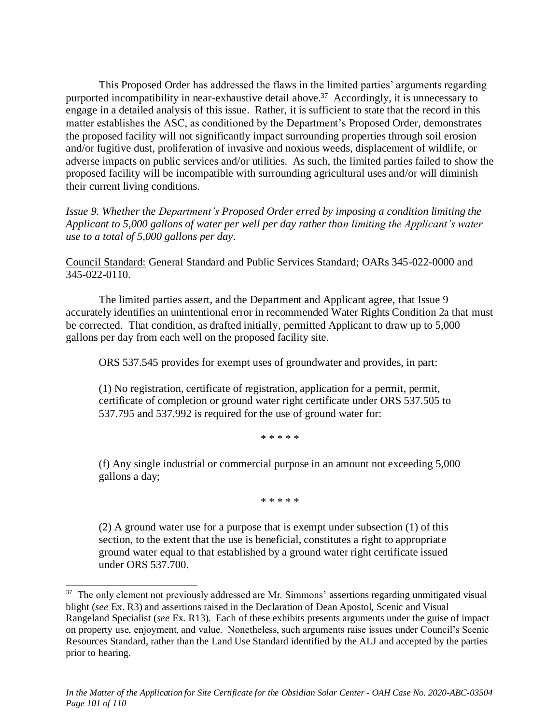This Proposed Order has addressed the flaws in the limited parties' arguments regarding purported incompatibility in near-exhaustive detail above.<sup>37</sup> Accordingly, it is unnecessary to engage in a detailed analysis of this issue. Rather, it is sufficient to state that the record in this matter establishes the ASC, as conditioned by the Department's Proposed Order, demonstrates the proposed facility will not significantly impact surrounding properties through soil erosion and/or fugitive dust, proliferation of invasive and noxious weeds, displacement of wildlife, or adverse impacts on public services and/or utilities. As such, the limited parties failed to show the proposed facility will be incompatible with surrounding agricultural uses and/or will diminish their current living conditions.

*Issue 9. Whether the Department's Proposed Order erred by imposing a condition limiting the Applicant to 5,000 gallons of water per well per day rather than limiting the Applicant's water use to a total of 5,000 gallons per day.*

Council Standard: General Standard and Public Services Standard; OARs 345-022-0000 and 345-022-0110.

The limited parties assert, and the Department and Applicant agree, that Issue 9 accurately identifies an unintentional error in recommended Water Rights Condition 2a that must be corrected. That condition, as drafted initially, permitted Applicant to draw up to 5,000 gallons per day from each well on the proposed facility site.

ORS 537.545 provides for exempt uses of groundwater and provides, in part:

(1) No registration, certificate of registration, application for a permit, permit, certificate of completion or ground water right certificate under ORS 537.505 to 537.795 and 537.992 is required for the use of ground water for:

\* \* \* \* \*

(f) Any single industrial or commercial purpose in an amount not exceeding 5,000 gallons a day;

\* \* \* \* \*

(2) A ground water use for a purpose that is exempt under subsection (1) of this section, to the extent that the use is beneficial, constitutes a right to appropriate ground water equal to that established by a ground water right certificate issued under ORS 537.700.

<sup>&</sup>lt;sup>37</sup> The only element not previously addressed are Mr. Simmons' assertions regarding unmitigated visual blight (*see* Ex. R3) and assertions raised in the Declaration of Dean Apostol, Scenic and Visual Rangeland Specialist (*see* Ex. R13). Each of these exhibits presents arguments under the guise of impact on property use, enjoyment, and value. Nonetheless, such arguments raise issues under Council's Scenic Resources Standard, rather than the Land Use Standard identified by the ALJ and accepted by the parties prior to hearing.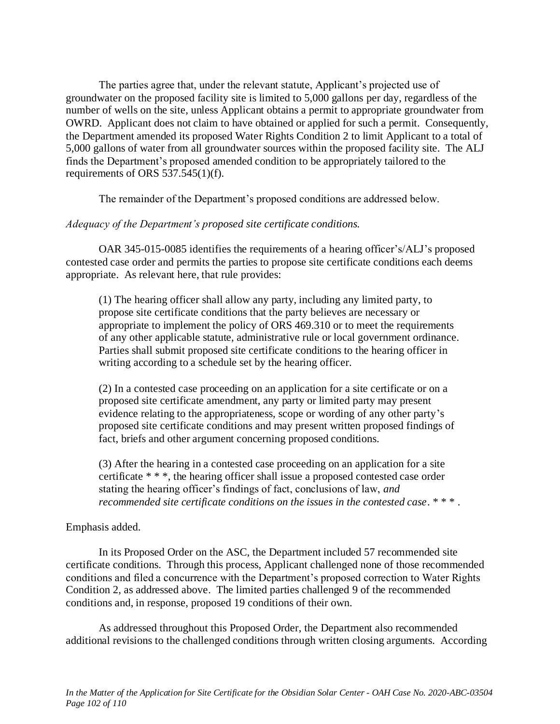The parties agree that, under the relevant statute, Applicant's projected use of groundwater on the proposed facility site is limited to 5,000 gallons per day, regardless of the number of wells on the site, unless Applicant obtains a permit to appropriate groundwater from OWRD. Applicant does not claim to have obtained or applied for such a permit. Consequently, the Department amended its proposed Water Rights Condition 2 to limit Applicant to a total of 5,000 gallons of water from all groundwater sources within the proposed facility site. The ALJ finds the Department's proposed amended condition to be appropriately tailored to the requirements of ORS 537.545(1)(f).

The remainder of the Department's proposed conditions are addressed below.

### *Adequacy of the Department's proposed site certificate conditions.*

OAR 345-015-0085 identifies the requirements of a hearing officer's/ALJ's proposed contested case order and permits the parties to propose site certificate conditions each deems appropriate. As relevant here, that rule provides:

(1) The hearing officer shall allow any party, including any limited party, to propose site certificate conditions that the party believes are necessary or appropriate to implement the policy of ORS 469.310 or to meet the requirements of any other applicable statute, administrative rule or local government ordinance. Parties shall submit proposed site certificate conditions to the hearing officer in writing according to a schedule set by the hearing officer.

(2) In a contested case proceeding on an application for a site certificate or on a proposed site certificate amendment, any party or limited party may present evidence relating to the appropriateness, scope or wording of any other party's proposed site certificate conditions and may present written proposed findings of fact, briefs and other argument concerning proposed conditions.

(3) After the hearing in a contested case proceeding on an application for a site certificate \* \* \*, the hearing officer shall issue a proposed contested case order stating the hearing officer's findings of fact, conclusions of law, *and recommended site certificate conditions on the issues in the contested case*. \* \* \* .

## Emphasis added.

In its Proposed Order on the ASC, the Department included 57 recommended site certificate conditions. Through this process, Applicant challenged none of those recommended conditions and filed a concurrence with the Department's proposed correction to Water Rights Condition 2, as addressed above. The limited parties challenged 9 of the recommended conditions and, in response, proposed 19 conditions of their own.

As addressed throughout this Proposed Order, the Department also recommended additional revisions to the challenged conditions through written closing arguments. According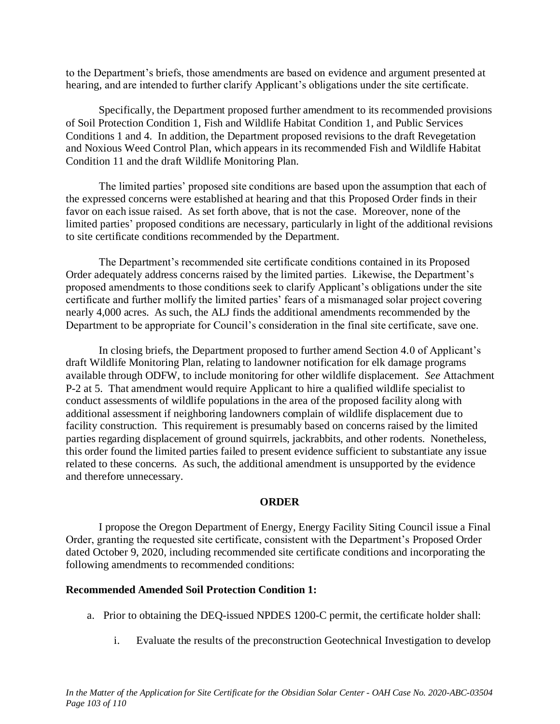to the Department's briefs, those amendments are based on evidence and argument presented at hearing, and are intended to further clarify Applicant's obligations under the site certificate.

Specifically, the Department proposed further amendment to its recommended provisions of Soil Protection Condition 1, Fish and Wildlife Habitat Condition 1, and Public Services Conditions 1 and 4. In addition, the Department proposed revisions to the draft Revegetation and Noxious Weed Control Plan, which appears in its recommended Fish and Wildlife Habitat Condition 11 and the draft Wildlife Monitoring Plan.

The limited parties' proposed site conditions are based upon the assumption that each of the expressed concerns were established at hearing and that this Proposed Order finds in their favor on each issue raised. As set forth above, that is not the case. Moreover, none of the limited parties' proposed conditions are necessary, particularly in light of the additional revisions to site certificate conditions recommended by the Department.

The Department's recommended site certificate conditions contained in its Proposed Order adequately address concerns raised by the limited parties. Likewise, the Department's proposed amendments to those conditions seek to clarify Applicant's obligations under the site certificate and further mollify the limited parties' fears of a mismanaged solar project covering nearly 4,000 acres. As such, the ALJ finds the additional amendments recommended by the Department to be appropriate for Council's consideration in the final site certificate, save one.

In closing briefs, the Department proposed to further amend Section 4.0 of Applicant's draft Wildlife Monitoring Plan, relating to landowner notification for elk damage programs available through ODFW, to include monitoring for other wildlife displacement. *See* Attachment P-2 at 5. That amendment would require Applicant to hire a qualified wildlife specialist to conduct assessments of wildlife populations in the area of the proposed facility along with additional assessment if neighboring landowners complain of wildlife displacement due to facility construction. This requirement is presumably based on concerns raised by the limited parties regarding displacement of ground squirrels, jackrabbits, and other rodents. Nonetheless, this order found the limited parties failed to present evidence sufficient to substantiate any issue related to these concerns. As such, the additional amendment is unsupported by the evidence and therefore unnecessary.

### **ORDER**

I propose the Oregon Department of Energy, Energy Facility Siting Council issue a Final Order, granting the requested site certificate, consistent with the Department's Proposed Order dated October 9, 2020, including recommended site certificate conditions and incorporating the following amendments to recommended conditions:

## **Recommended Amended Soil Protection Condition 1:**

- a. Prior to obtaining the DEQ-issued NPDES 1200-C permit, the certificate holder shall:
	- i. Evaluate the results of the preconstruction Geotechnical Investigation to develop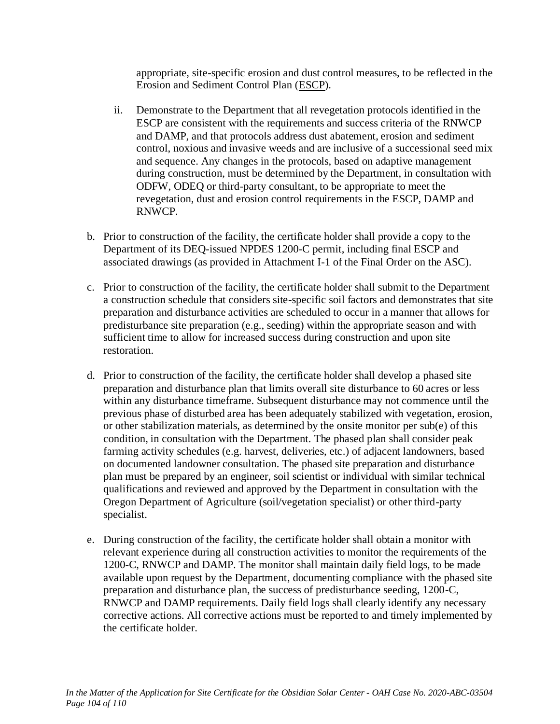appropriate, site-specific erosion and dust control measures, to be reflected in the Erosion and Sediment Control Plan (ESCP).

- ii. Demonstrate to the Department that all revegetation protocols identified in the ESCP are consistent with the requirements and success criteria of the RNWCP and DAMP, and that protocols address dust abatement, erosion and sediment control, noxious and invasive weeds and are inclusive of a successional seed mix and sequence. Any changes in the protocols, based on adaptive management during construction, must be determined by the Department, in consultation with ODFW, ODEQ or third-party consultant, to be appropriate to meet the revegetation, dust and erosion control requirements in the ESCP, DAMP and RNWCP.
- b. Prior to construction of the facility, the certificate holder shall provide a copy to the Department of its DEQ-issued NPDES 1200-C permit, including final ESCP and associated drawings (as provided in Attachment I-1 of the Final Order on the ASC).
- c. Prior to construction of the facility, the certificate holder shall submit to the Department a construction schedule that considers site-specific soil factors and demonstrates that site preparation and disturbance activities are scheduled to occur in a manner that allows for predisturbance site preparation (e.g., seeding) within the appropriate season and with sufficient time to allow for increased success during construction and upon site restoration.
- d. Prior to construction of the facility, the certificate holder shall develop a phased site preparation and disturbance plan that limits overall site disturbance to 60 acres or less within any disturbance timeframe. Subsequent disturbance may not commence until the previous phase of disturbed area has been adequately stabilized with vegetation, erosion, or other stabilization materials, as determined by the onsite monitor per sub(e) of this condition, in consultation with the Department. The phased plan shall consider peak farming activity schedules (e.g. harvest, deliveries, etc.) of adjacent landowners, based on documented landowner consultation. The phased site preparation and disturbance plan must be prepared by an engineer, soil scientist or individual with similar technical qualifications and reviewed and approved by the Department in consultation with the Oregon Department of Agriculture (soil/vegetation specialist) or other third-party specialist.
- e. During construction of the facility, the certificate holder shall obtain a monitor with relevant experience during all construction activities to monitor the requirements of the 1200-C, RNWCP and DAMP. The monitor shall maintain daily field logs, to be made available upon request by the Department, documenting compliance with the phased site preparation and disturbance plan, the success of predisturbance seeding, 1200-C, RNWCP and DAMP requirements. Daily field logs shall clearly identify any necessary corrective actions. All corrective actions must be reported to and timely implemented by the certificate holder.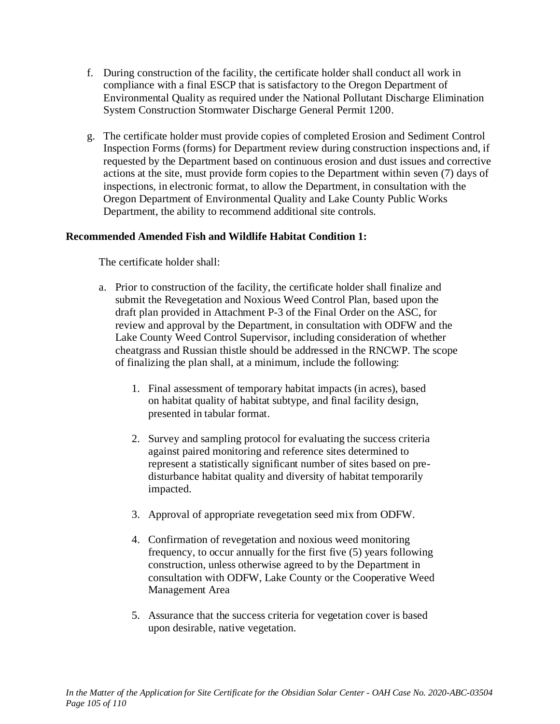- f. During construction of the facility, the certificate holder shall conduct all work in compliance with a final ESCP that is satisfactory to the Oregon Department of Environmental Quality as required under the National Pollutant Discharge Elimination System Construction Stormwater Discharge General Permit 1200.
- g. The certificate holder must provide copies of completed Erosion and Sediment Control Inspection Forms (forms) for Department review during construction inspections and, if requested by the Department based on continuous erosion and dust issues and corrective actions at the site, must provide form copies to the Department within seven (7) days of inspections, in electronic format, to allow the Department, in consultation with the Oregon Department of Environmental Quality and Lake County Public Works Department, the ability to recommend additional site controls.

## **Recommended Amended Fish and Wildlife Habitat Condition 1:**

The certificate holder shall:

- a. Prior to construction of the facility, the certificate holder shall finalize and submit the Revegetation and Noxious Weed Control Plan, based upon the draft plan provided in Attachment P-3 of the Final Order on the ASC, for review and approval by the Department, in consultation with ODFW and the Lake County Weed Control Supervisor, including consideration of whether cheatgrass and Russian thistle should be addressed in the RNCWP. The scope of finalizing the plan shall, at a minimum, include the following:
	- 1. Final assessment of temporary habitat impacts (in acres), based on habitat quality of habitat subtype, and final facility design, presented in tabular format.
	- 2. Survey and sampling protocol for evaluating the success criteria against paired monitoring and reference sites determined to represent a statistically significant number of sites based on predisturbance habitat quality and diversity of habitat temporarily impacted.
	- 3. Approval of appropriate revegetation seed mix from ODFW.
	- 4. Confirmation of revegetation and noxious weed monitoring frequency, to occur annually for the first five (5) years following construction, unless otherwise agreed to by the Department in consultation with ODFW, Lake County or the Cooperative Weed Management Area
	- 5. Assurance that the success criteria for vegetation cover is based upon desirable, native vegetation.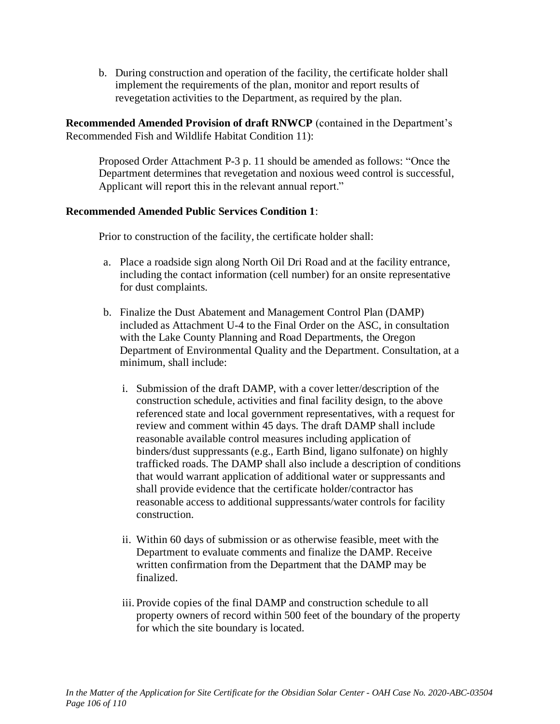b. During construction and operation of the facility, the certificate holder shall implement the requirements of the plan, monitor and report results of revegetation activities to the Department, as required by the plan.

**Recommended Amended Provision of draft RNWCP** (contained in the Department's Recommended Fish and Wildlife Habitat Condition 11):

Proposed Order Attachment P-3 p. 11 should be amended as follows: "Once the Department determines that revegetation and noxious weed control is successful, Applicant will report this in the relevant annual report."

### **Recommended Amended Public Services Condition 1**:

Prior to construction of the facility, the certificate holder shall:

- a. Place a roadside sign along North Oil Dri Road and at the facility entrance, including the contact information (cell number) for an onsite representative for dust complaints.
- b. Finalize the Dust Abatement and Management Control Plan (DAMP) included as Attachment U-4 to the Final Order on the ASC, in consultation with the Lake County Planning and Road Departments, the Oregon Department of Environmental Quality and the Department. Consultation, at a minimum, shall include:
	- i. Submission of the draft DAMP, with a cover letter/description of the construction schedule, activities and final facility design, to the above referenced state and local government representatives, with a request for review and comment within 45 days. The draft DAMP shall include reasonable available control measures including application of binders/dust suppressants (e.g., Earth Bind, ligano sulfonate) on highly trafficked roads. The DAMP shall also include a description of conditions that would warrant application of additional water or suppressants and shall provide evidence that the certificate holder/contractor has reasonable access to additional suppressants/water controls for facility construction.
	- ii. Within 60 days of submission or as otherwise feasible, meet with the Department to evaluate comments and finalize the DAMP. Receive written confirmation from the Department that the DAMP may be finalized.
	- iii. Provide copies of the final DAMP and construction schedule to all property owners of record within 500 feet of the boundary of the property for which the site boundary is located.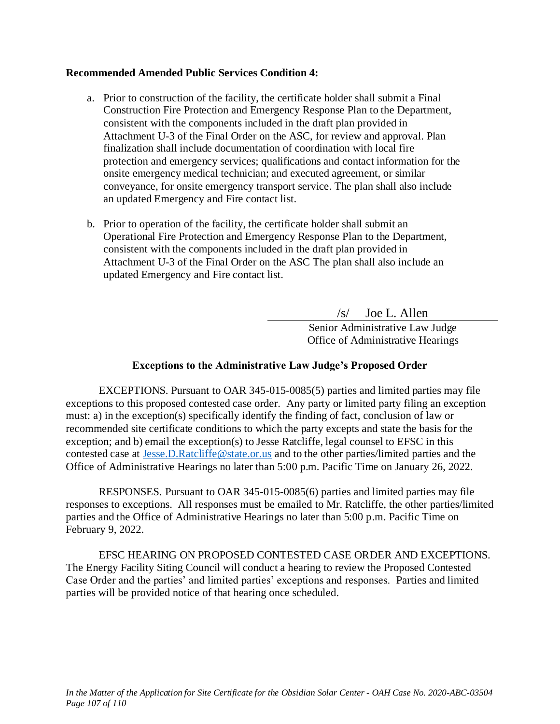### **Recommended Amended Public Services Condition 4:**

- a. Prior to construction of the facility, the certificate holder shall submit a Final Construction Fire Protection and Emergency Response Plan to the Department, consistent with the components included in the draft plan provided in Attachment U-3 of the Final Order on the ASC, for review and approval. Plan finalization shall include documentation of coordination with local fire protection and emergency services; qualifications and contact information for the onsite emergency medical technician; and executed agreement, or similar conveyance, for onsite emergency transport service. The plan shall also include an updated Emergency and Fire contact list.
- b. Prior to operation of the facility, the certificate holder shall submit an Operational Fire Protection and Emergency Response Plan to the Department, consistent with the components included in the draft plan provided in Attachment U-3 of the Final Order on the ASC The plan shall also include an updated Emergency and Fire contact list.

/s/ Joe L. Allen Senior Administrative Law Judge Office of Administrative Hearings

## **Exceptions to the Administrative Law Judge's Proposed Order**

EXCEPTIONS. Pursuant to OAR 345-015-0085(5) parties and limited parties may file exceptions to this proposed contested case order. Any party or limited party filing an exception must: a) in the exception(s) specifically identify the finding of fact, conclusion of law or recommended site certificate conditions to which the party excepts and state the basis for the exception; and b) email the exception(s) to Jesse Ratcliffe, legal counsel to EFSC in this contested case at [Jesse.D.Ratcliffe@state.or.us](mailto:Jesse.D.Ratcliffe@state.or.us) and to the other parties/limited parties and the Office of Administrative Hearings no later than 5:00 p.m. Pacific Time on January 26, 2022.

RESPONSES. Pursuant to OAR 345-015-0085(6) parties and limited parties may file responses to exceptions. All responses must be emailed to Mr. Ratcliffe, the other parties/limited parties and the Office of Administrative Hearings no later than 5:00 p.m. Pacific Time on February 9, 2022.

EFSC HEARING ON PROPOSED CONTESTED CASE ORDER AND EXCEPTIONS. The Energy Facility Siting Council will conduct a hearing to review the Proposed Contested Case Order and the parties' and limited parties' exceptions and responses. Parties and limited parties will be provided notice of that hearing once scheduled.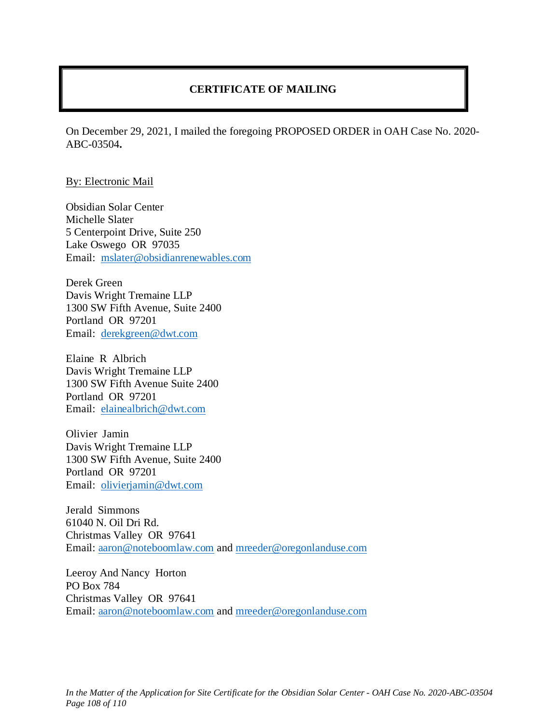# **CERTIFICATE OF MAILING**

On December 29, 2021, I mailed the foregoing PROPOSED ORDER in OAH Case No. 2020- ABC-03504**.**

#### By: Electronic Mail

Obsidian Solar Center Michelle Slater 5 Centerpoint Drive, Suite 250 Lake Oswego OR 97035 Email: [mslater@obsidianrenewables.com](mailto:mslater@obsidianrenewables.com)

Derek Green Davis Wright Tremaine LLP 1300 SW Fifth Avenue, Suite 2400 Portland OR 97201 Email: [derekgreen@dwt.com](mailto:derekgreen@dwt.com)

Elaine R Albrich Davis Wright Tremaine LLP 1300 SW Fifth Avenue Suite 2400 Portland OR 97201 Email: [elainealbrich@dwt.com](mailto:elainealbrich@dwt.com)

Olivier Jamin Davis Wright Tremaine LLP 1300 SW Fifth Avenue, Suite 2400 Portland OR 97201 Email: [olivierjamin@dwt.com](mailto:olivierjamin@dwt.com)

Jerald Simmons 61040 N. Oil Dri Rd. Christmas Valley OR 97641 Email: [aaron@noteboomlaw.com](mailto:aaron@noteboomlaw.com) and [mreeder@oregonlanduse.com](mailto:mreeder@oregonlanduse.com)

Leeroy And Nancy Horton PO Box 784 Christmas Valley OR 97641 Email: [aaron@noteboomlaw.com](mailto:aaron@noteboomlaw.com) and [mreeder@oregonlanduse.com](mailto:mreeder@oregonlanduse.com)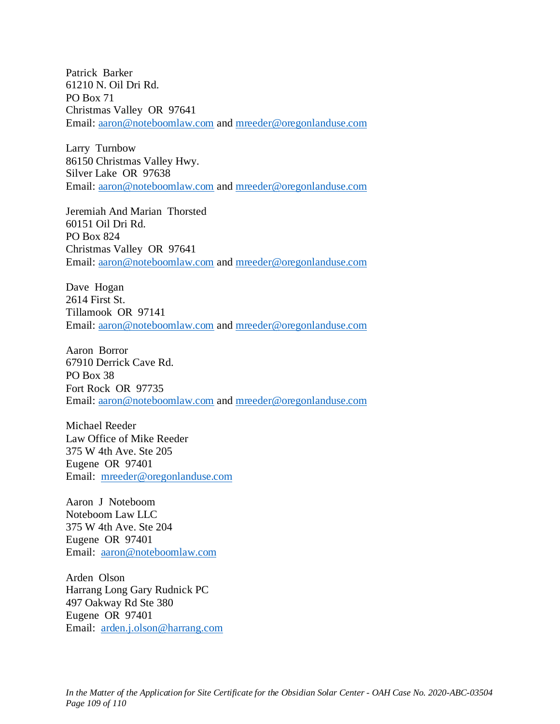Patrick Barker 61210 N. Oil Dri Rd. PO Box 71 Christmas Valley OR 97641 Email: [aaron@noteboomlaw.com](mailto:aaron@noteboomlaw.com) and [mreeder@oregonlanduse.com](mailto:mreeder@oregonlanduse.com)

Larry Turnbow 86150 Christmas Valley Hwy. Silver Lake OR 97638 Email: [aaron@noteboomlaw.com](mailto:aaron@noteboomlaw.com) and [mreeder@oregonlanduse.com](mailto:mreeder@oregonlanduse.com)

Jeremiah And Marian Thorsted 60151 Oil Dri Rd. PO Box 824 Christmas Valley OR 97641 Email: [aaron@noteboomlaw.com](mailto:aaron@noteboomlaw.com) and [mreeder@oregonlanduse.com](mailto:mreeder@oregonlanduse.com)

Dave Hogan 2614 First St. Tillamook OR 97141 Email: [aaron@noteboomlaw.com](mailto:aaron@noteboomlaw.com) and [mreeder@oregonlanduse.com](mailto:mreeder@oregonlanduse.com)

Aaron Borror 67910 Derrick Cave Rd. PO Box 38 Fort Rock OR 97735 Email: [aaron@noteboomlaw.com](mailto:aaron@noteboomlaw.com) and [mreeder@oregonlanduse.com](mailto:mreeder@oregonlanduse.com)

Michael Reeder Law Office of Mike Reeder 375 W 4th Ave. Ste 205 Eugene OR 97401 Email: [mreeder@oregonlanduse.com](mailto:mreeder@oregonlanduse.com)

Aaron J Noteboom Noteboom Law LLC 375 W 4th Ave. Ste 204 Eugene OR 97401 Email: [aaron@noteboomlaw.com](mailto:aaron@noteboomlaw.com)

Arden Olson Harrang Long Gary Rudnick PC 497 Oakway Rd Ste 380 Eugene OR 97401 Email: [arden.j.olson@harrang.com](mailto:arden.j.olson@harrang.com)